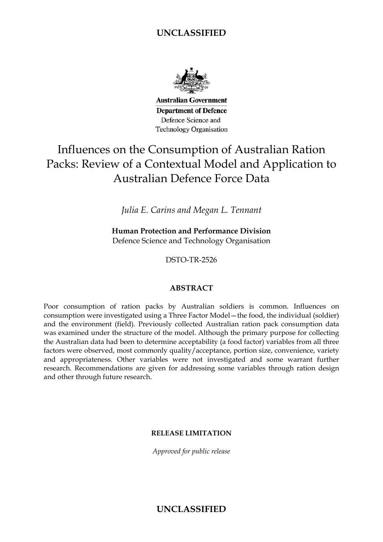

**Australian Government Department of Defence** Defence Science and **Technology Organisation** 

# Influences on the Consumption of Australian Ration Packs: Review of a Contextual Model and Application to Australian Defence Force Data

*Julia E. Carins and Megan L. Tennant* 

**Human Protection and Performance Division**  Defence Science and Technology Organisation

DSTO-TR-2526

## **ABSTRACT**

Poor consumption of ration packs by Australian soldiers is common. Influences on consumption were investigated using a Three Factor Model—the food, the individual (soldier) and the environment (field). Previously collected Australian ration pack consumption data was examined under the structure of the model. Although the primary purpose for collecting the Australian data had been to determine acceptability (a food factor) variables from all three factors were observed, most commonly quality/acceptance, portion size, convenience, variety and appropriateness. Other variables were not investigated and some warrant further research. Recommendations are given for addressing some variables through ration design and other through future research.

#### **RELEASE LIMITATION**

*Approved for public release*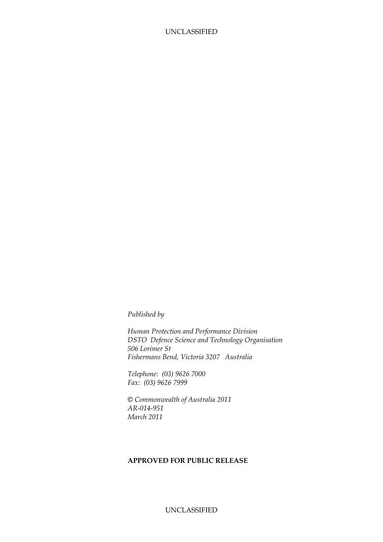*Published by*

*Human Protection and Performance Division DSTO Defence Science and Technology Organisation 506 Lorimer St Fishermans Bend, Victoria 3207 Australia* 

*Telephone: (03) 9626 7000 Fax: (03) 9626 7999* 

*© Commonwealth of Australia 2011 AR-014-951 March 2011* 

#### **APPROVED FOR PUBLIC RELEASE**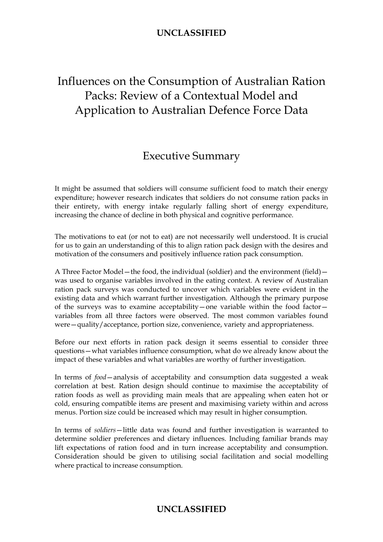# Influences on the Consumption of Australian Ration Packs: Review of a Contextual Model and Application to Australian Defence Force Data

# Executive Summary

It might be assumed that soldiers will consume sufficient food to match their energy expenditure; however research indicates that soldiers do not consume ration packs in their entirety, with energy intake regularly falling short of energy expenditure, increasing the chance of decline in both physical and cognitive performance.

The motivations to eat (or not to eat) are not necessarily well understood. It is crucial for us to gain an understanding of this to align ration pack design with the desires and motivation of the consumers and positively influence ration pack consumption.

A Three Factor Model—the food, the individual (soldier) and the environment (field) was used to organise variables involved in the eating context. A review of Australian ration pack surveys was conducted to uncover which variables were evident in the existing data and which warrant further investigation. Although the primary purpose of the surveys was to examine acceptability—one variable within the food factor variables from all three factors were observed. The most common variables found were—quality/acceptance, portion size, convenience, variety and appropriateness.

Before our next efforts in ration pack design it seems essential to consider three questions—what variables influence consumption, what do we already know about the impact of these variables and what variables are worthy of further investigation.

In terms of *food*—analysis of acceptability and consumption data suggested a weak correlation at best. Ration design should continue to maximise the acceptability of ration foods as well as providing main meals that are appealing when eaten hot or cold, ensuring compatible items are present and maximising variety within and across menus. Portion size could be increased which may result in higher consumption.

In terms of *soldiers*—little data was found and further investigation is warranted to determine soldier preferences and dietary influences. Including familiar brands may lift expectations of ration food and in turn increase acceptability and consumption. Consideration should be given to utilising social facilitation and social modelling where practical to increase consumption.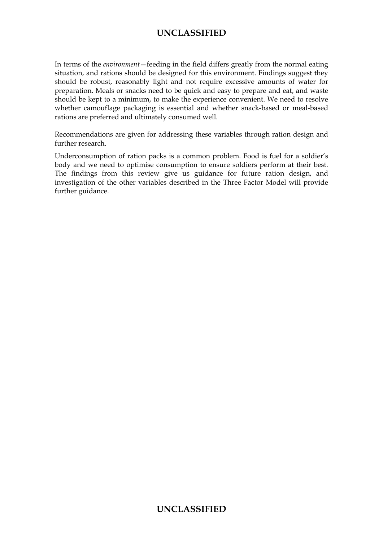In terms of the *environment*—feeding in the field differs greatly from the normal eating situation, and rations should be designed for this environment. Findings suggest they should be robust, reasonably light and not require excessive amounts of water for preparation. Meals or snacks need to be quick and easy to prepare and eat, and waste should be kept to a minimum, to make the experience convenient. We need to resolve whether camouflage packaging is essential and whether snack-based or meal-based rations are preferred and ultimately consumed well.

Recommendations are given for addressing these variables through ration design and further research.

Underconsumption of ration packs is a common problem. Food is fuel for a soldier's body and we need to optimise consumption to ensure soldiers perform at their best. The findings from this review give us guidance for future ration design, and investigation of the other variables described in the Three Factor Model will provide further guidance.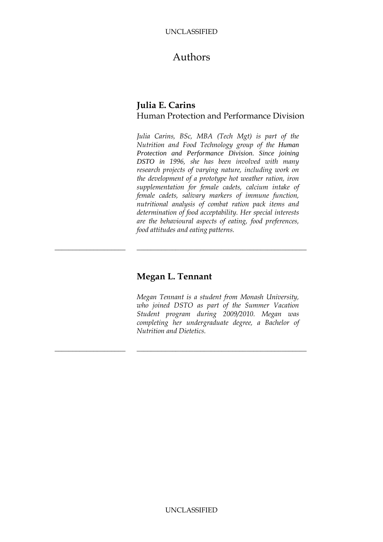## Authors

## **Julia E. Carins** Human Protection and Performance Division

*Julia Carins, BSc, MBA (Tech Mgt) is part of the Nutrition and Food Technology group of the Human Protection and Performance Division. Since joining DSTO in 1996, she has been involved with many research projects of varying nature, including work on the development of a prototype hot weather ration, iron supplementation for female cadets, calcium intake of female cadets, salivary markers of immune function, nutritional analysis of combat ration pack items and determination of food acceptability. Her special interests are the behavioural aspects of eating, food preferences, food attitudes and eating patterns.* 

## **Megan L. Tennant**

\_\_\_\_\_\_\_\_\_\_\_\_\_\_\_\_\_\_\_\_ \_\_\_\_\_\_\_\_\_\_\_\_\_\_\_\_\_\_\_\_\_\_\_\_\_\_\_\_\_\_\_\_\_\_\_\_\_\_\_\_\_\_\_\_\_\_\_\_

\_\_\_\_\_\_\_\_\_\_\_\_\_\_\_\_\_\_\_\_ \_\_\_\_\_\_\_\_\_\_\_\_\_\_\_\_\_\_\_\_\_\_\_\_\_\_\_\_\_\_\_\_\_\_\_\_\_\_\_\_\_\_\_\_\_\_\_\_

*Megan Tennant is a student from Monash University, who joined DSTO as part of the Summer Vacation Student program during 2009/2010. Megan was completing her undergraduate degree, a Bachelor of Nutrition and Dietetics.*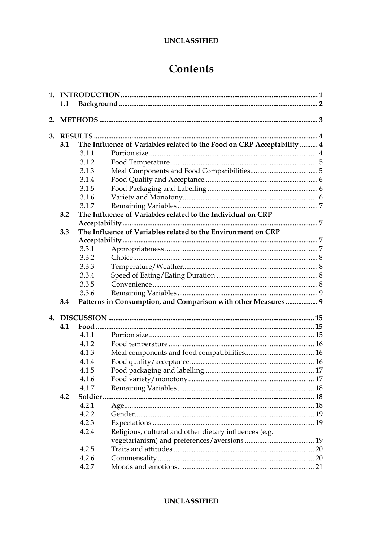# **Contents**

|                                                                               | 1.1 |       |                                                                |  |
|-------------------------------------------------------------------------------|-----|-------|----------------------------------------------------------------|--|
| 2.                                                                            |     |       |                                                                |  |
| 3.                                                                            |     |       |                                                                |  |
| The Influence of Variables related to the Food on CRP Acceptability  4<br>3.1 |     |       |                                                                |  |
|                                                                               |     | 3.1.1 |                                                                |  |
|                                                                               |     | 3.1.2 |                                                                |  |
|                                                                               |     | 3.1.3 |                                                                |  |
|                                                                               |     | 3.1.4 |                                                                |  |
|                                                                               |     | 3.1.5 |                                                                |  |
|                                                                               |     | 3.1.6 |                                                                |  |
|                                                                               |     | 3.1.7 |                                                                |  |
|                                                                               | 3.2 |       | The Influence of Variables related to the Individual on CRP    |  |
|                                                                               |     |       |                                                                |  |
|                                                                               | 3.3 |       | The Influence of Variables related to the Environment on CRP   |  |
|                                                                               |     |       |                                                                |  |
|                                                                               |     | 3.3.1 |                                                                |  |
|                                                                               |     | 3.3.2 |                                                                |  |
|                                                                               |     | 3.3.3 |                                                                |  |
|                                                                               |     | 3.3.4 |                                                                |  |
|                                                                               |     | 3.3.5 |                                                                |  |
|                                                                               |     | 3.3.6 |                                                                |  |
|                                                                               | 3.4 |       | Patterns in Consumption, and Comparison with other Measures  9 |  |
|                                                                               |     |       |                                                                |  |
|                                                                               | 4.1 |       |                                                                |  |
|                                                                               |     | 4.1.1 |                                                                |  |
|                                                                               |     | 4.1.2 |                                                                |  |
|                                                                               |     | 4.1.3 |                                                                |  |
|                                                                               |     | 4.1.4 |                                                                |  |
|                                                                               |     | 4.1.5 |                                                                |  |
|                                                                               |     | 4.1.6 |                                                                |  |
|                                                                               |     | 4.1.7 |                                                                |  |
|                                                                               | 4.2 |       |                                                                |  |
|                                                                               |     | 4.2.1 |                                                                |  |
|                                                                               |     | 4.2.2 |                                                                |  |
|                                                                               |     | 4.2.3 |                                                                |  |
|                                                                               |     | 4.2.4 | Religious, cultural and other dietary influences (e.g.         |  |
|                                                                               |     |       |                                                                |  |
|                                                                               |     | 4.2.5 |                                                                |  |
|                                                                               |     | 4.2.6 |                                                                |  |
|                                                                               |     | 4.2.7 |                                                                |  |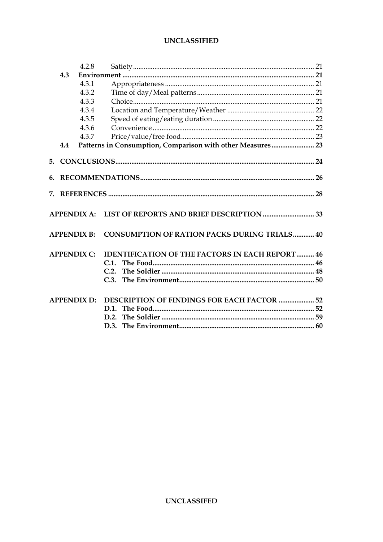|    |     | 4.2.8              |                                                            |  |
|----|-----|--------------------|------------------------------------------------------------|--|
|    | 4.3 |                    |                                                            |  |
|    |     | 4.3.1              |                                                            |  |
|    |     | 4.3.2              |                                                            |  |
|    |     | 4.3.3              |                                                            |  |
|    |     | 4.3.4              |                                                            |  |
|    |     | 4.3.5              |                                                            |  |
|    |     | 4.3.6              |                                                            |  |
|    |     | 4.3.7              |                                                            |  |
|    | 4.4 |                    | Patterns in Consumption, Comparison with other Measures 23 |  |
|    |     |                    |                                                            |  |
|    |     |                    |                                                            |  |
| 6. |     |                    |                                                            |  |
|    |     |                    |                                                            |  |
|    |     |                    |                                                            |  |
|    |     |                    |                                                            |  |
|    |     |                    | APPENDIX A: LIST OF REPORTS AND BRIEF DESCRIPTION  33      |  |
|    |     |                    |                                                            |  |
|    |     |                    |                                                            |  |
|    |     | <b>APPENDIX B:</b> | <b>CONSUMPTION OF RATION PACKS DURING TRIALS 40</b>        |  |
|    |     |                    |                                                            |  |
|    |     | <b>APPENDIX C:</b> | <b>IDENTIFICATION OF THE FACTORS IN EACH REPORT  46</b>    |  |
|    |     |                    | C.1.                                                       |  |
|    |     |                    | C.2.                                                       |  |
|    |     |                    | C.3.                                                       |  |
|    |     |                    |                                                            |  |
|    |     | <b>APPENDIX D:</b> | <b>DESCRIPTION OF FINDINGS FOR EACH FACTOR  52</b>         |  |
|    |     |                    |                                                            |  |
|    |     |                    | D.2.                                                       |  |
|    |     |                    |                                                            |  |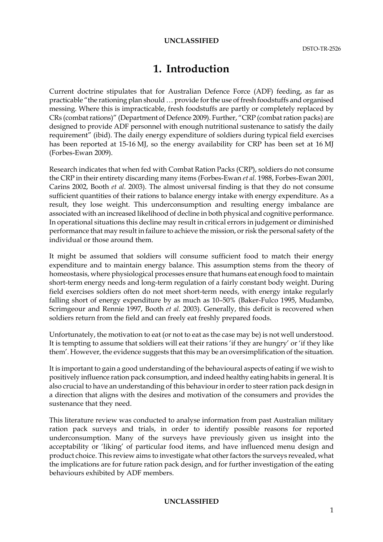# **1. Introduction**

<span id="page-7-0"></span>Current doctrine stipulates that for Australian Defence Force (ADF) feeding, as far as practicable "the rationing plan should … provide for the use of fresh foodstuffs and organised messing. Where this is impracticable, fresh foodstuffs are partly or completely replaced by CRs (combat rations)" [\(Department of Defence 2009\)](#page-34-1). Further, "CRP (combat ration packs) are designed to provide ADF personnel with enough nutritional sustenance to satisfy the daily requirement" (ibid). The daily energy expenditure of soldiers during typical field exercises has been reported at 15-16 MJ, so the energy availability for CRP has been set at 16 MJ [\(Forbes-Ewan 2009\)](#page-35-0).

Research indicates that when fed with Combat Ration Packs (CRP), soldiers do not consume the CRP in their entirety discarding many items ([Forbes-Ewan](#page-35-1) *et al.* 1988, [Forbes-Ewan 2001](#page-35-2), [Carins 2002](#page-34-2), [Booth](#page-34-3) *et al.* 2003). The almost universal finding is that they do not consume sufficient quantities of their rations to balance energy intake with energy expenditure. As a result, they lose weight. This underconsumption and resulting energy imbalance are associated with an increased likelihood of decline in both physical and cognitive performance. In operational situations this decline may result in critical errors in judgement or diminished performance that may result in failure to achieve the mission, or risk the personal safety of the individual or those around them.

It might be assumed that soldiers will consume sufficient food to match their energy expenditure and to maintain energy balance. This assumption stems from the theory of homeostasis, where physiological processes ensure that humans eat enough food to maintain short-term energy needs and long-term regulation of a fairly constant body weight. During field exercises soldiers often do not meet short-term needs, with energy intake regularly falling short of energy expenditure by as much as 10–50% [\(Baker-Fulco 1995,](#page-34-4) [Mudambo,](#page-36-0)  [Scrimgeour and Rennie 1997](#page-36-0), [Booth](#page-34-3) *et al.* 2003). Generally, this deficit is recovered when soldiers return from the field and can freely eat freshly prepared foods.

Unfortunately, the motivation to eat (or not to eat as the case may be) is not well understood. It is tempting to assume that soldiers will eat their rations 'if they are hungry' or 'if they like them'. However, the evidence suggests that this may be an oversimplification of the situation.

It is important to gain a good understanding of the behavioural aspects of eating if we wish to positively influence ration pack consumption, and indeed healthy eating habits in general. It is also crucial to have an understanding of this behaviour in order to steer ration pack design in a direction that aligns with the desires and motivation of the consumers and provides the sustenance that they need.

This literature review was conducted to analyse information from past Australian military ration pack surveys and trials, in order to identify possible reasons for reported underconsumption. Many of the surveys have previously given us insight into the acceptability or 'liking' of particular food items, and have influenced menu design and product choice. This review aims to investigate what other factors the surveys revealed, what the implications are for future ration pack design, and for further investigation of the eating behaviours exhibited by ADF members.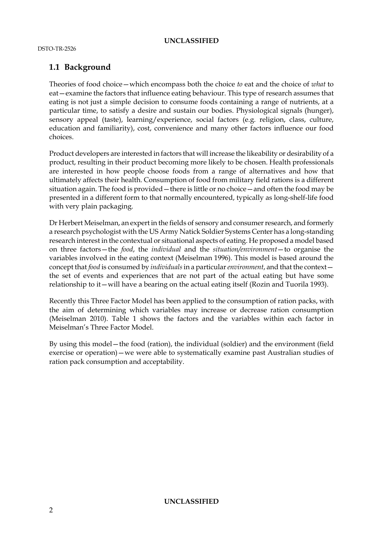## <span id="page-8-0"></span>**1.1 Background**

Theories of food choice—which encompass both the choice *to* eat and the choice of *what* to eat—examine the factors that influence eating behaviour. This type of research assumes that eating is not just a simple decision to consume foods containing a range of nutrients, at a particular time, to satisfy a desire and sustain our bodies. Physiological signals (hunger), sensory appeal (taste), learning/experience, social factors (e.g. religion, class, culture, education and familiarity), cost, convenience and many other factors influence our food choices.

Product developers are interested in factors that will increase the likeability or desirability of a product, resulting in their product becoming more likely to be chosen. Health professionals are interested in how people choose foods from a range of alternatives and how that ultimately affects their health. Consumption of food from military field rations is a different situation again. The food is provided—there is little or no choice—and often the food may be presented in a different form to that normally encountered, typically as long-shelf-life food with very plain packaging.

Dr Herbert Meiselman, an expert in the fields of sensory and consumer research, and formerly a research psychologist with the US Army Natick Soldier Systems Center has a long-standing research interest in the contextual or situational aspects of eating. He proposed a model based on three factors—the *food*, the *individual* and the *situation/environment*—to organise the variables involved in the eating context [\(Meiselman 1996](#page-36-1)). This model is based around the concept that *food* is consumed by *individuals* in a particular *environment*, and that the context the set of events and experiences that are not part of the actual eating but have some relationship to it—will have a bearing on the actual eating itself ([Rozin and Tuorila 1993\)](#page-36-2).

Recently this Three Factor Model has been applied to the consumption of ration packs, with the aim of determining which variables may increase or decrease ration consumption [\(Meiselman 2010\)](#page-36-3). Table 1 shows the factors and the variables within each factor in Meiselman's Three Factor Model.

By using this model—the food (ration), the individual (soldier) and the environment (field exercise or operation)—we were able to systematically examine past Australian studies of ration pack consumption and acceptability.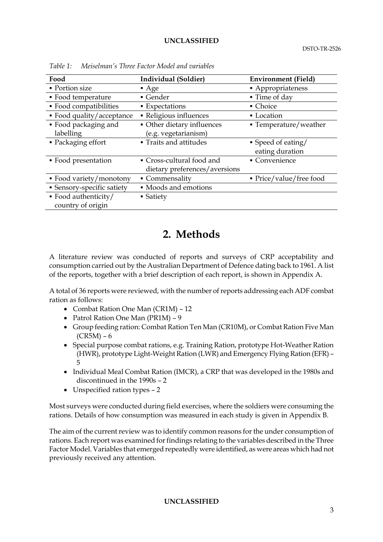| Food                       | Individual (Soldier)          | <b>Environment (Field)</b> |
|----------------------------|-------------------------------|----------------------------|
| • Portion size             | Age                           | • Appropriateness          |
| • Food temperature         | $\blacksquare$ Gender         | ■ Time of day              |
| • Food compatibilities     | ■ Expectations                | • Choice                   |
| • Food quality/acceptance  | • Religious influences        | • Location                 |
| • Food packaging and       | • Other dietary influences    | • Temperature/weather      |
| labelling                  | (e.g. vegetarianism)          |                            |
| • Packaging effort         | • Traits and attitudes        | • Speed of eating/         |
|                            |                               | eating duration            |
| • Food presentation        | • Cross-cultural food and     | • Convenience              |
|                            | dietary preferences/aversions |                            |
| • Food variety/monotony    | • Commensality                | • Price/value/free food    |
| • Sensory-specific satiety | • Moods and emotions          |                            |
| • Food authenticity/       | $\blacksquare$ Satiety        |                            |
| country of origin          |                               |                            |

*Table 1: Meiselman's Three Factor Model and variables* 

# **2. Methods**

<span id="page-9-0"></span>A literature review was conducted of reports and surveys of CRP acceptability and consumption carried out by the Australian Department of Defence dating back to 1961. A list of the reports, together with a brief description of each report, is shown in Appendix A.

A total of 36 reports were reviewed, with the number of reports addressing each ADF combat ration as follows:

- Combat Ration One Man (CR1M) 12
- Patrol Ration One Man (PR1M) 9
- Group feeding ration: Combat Ration Ten Man (CR10M), or Combat Ration Five Man (CR5M) – 6
- Special purpose combat rations, e.g. Training Ration, prototype Hot-Weather Ration (HWR), prototype Light-Weight Ration (LWR) and Emergency Flying Ration (EFR) – 5
- Individual Meal Combat Ration (IMCR), a CRP that was developed in the 1980s and discontinued in the 1990s – 2
- Unspecified ration types 2

Most surveys were conducted during field exercises, where the soldiers were consuming the rations. Details of how consumption was measured in each study is given in Appendix B.

The aim of the current review was to identify common reasons for the under consumption of rations. Each report was examined for findings relating to the variables described in the Three Factor Model. Variables that emerged repeatedly were identified, as were areas which had not previously received any attention.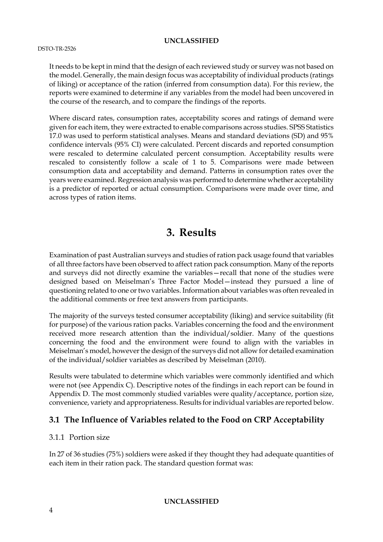#### DSTO-TR-2526

It needs to be kept in mind that the design of each reviewed study or survey was not based on the model. Generally, the main design focus was acceptability of individual products (ratings of liking) or acceptance of the ration (inferred from consumption data). For this review, the reports were examined to determine if any variables from the model had been uncovered in the course of the research, and to compare the findings of the reports.

Where discard rates, consumption rates, acceptability scores and ratings of demand were given for each item, they were extracted to enable comparisons across studies. SPSS Statistics 17.0 was used to perform statistical analyses. Means and standard deviations (SD) and 95% confidence intervals (95% CI) were calculated. Percent discards and reported consumption were rescaled to determine calculated percent consumption. Acceptability results were rescaled to consistently follow a scale of 1 to 5. Comparisons were made between consumption data and acceptability and demand. Patterns in consumption rates over the years were examined. Regression analysis was performed to determine whether acceptability is a predictor of reported or actual consumption. Comparisons were made over time, and across types of ration items.

# **3. Results**

<span id="page-10-0"></span>Examination of past Australian surveys and studies of ration pack usage found that variables of all three factors have been observed to affect ration pack consumption. Many of the reports and surveys did not directly examine the variables—recall that none of the studies were designed based on Meiselman's Three Factor Model—instead they pursued a line of questioning related to one or two variables. Information about variables was often revealed in the additional comments or free text answers from participants.

The majority of the surveys tested consumer acceptability (liking) and service suitability (fit for purpose) of the various ration packs. Variables concerning the food and the environment received more research attention than the individual/soldier. Many of the questions concerning the food and the environment were found to align with the variables in Meiselman's model, however the design of the surveys did not allow for detailed examination of the individual/soldier variables as described by Meiselman (2010).

Results were tabulated to determine which variables were commonly identified and which were not (see Appendix C). Descriptive notes of the findings in each report can be found in Appendix D. The most commonly studied variables were quality/acceptance, portion size, convenience, variety and appropriateness. Results for individual variables are reported below.

## <span id="page-10-1"></span>**3.1 The Influence of Variables related to the Food on CRP Acceptability**

## <span id="page-10-2"></span>3.1.1 Portion size

In 27 of 36 studies (75%) soldiers were asked if they thought they had adequate quantities of each item in their ration pack. The standard question format was: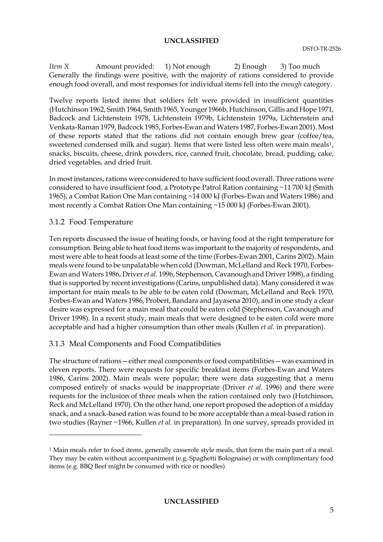*Item X* Amount provided: 1) Not enough 2) Enough 3) Too much Generally the findings were positive, with the majority of rations considered to provide enough food overall, and most responses for individual items fell into the *enough* category.

Twelve reports listed items that soldiers felt were provided in insufficient quantities [\(Hutchinson 1962,](#page-35-3) [Smith 1964,](#page-36-4) [Smith 1965,](#page-36-5) [Younger 1966b,](#page-37-0) [Hutchinson, Gillis and Hope 1971](#page-35-4), [Badcock and Lichtenstein 1978,](#page-34-5) [Lichtenstein 1979b](#page-35-5), [Lichtenstein 1979a](#page-35-6), [Lichtenstein and](#page-36-6)  [Venkata-Raman 1979,](#page-36-6) [Badcock 1985,](#page-34-6) [Forbes-Ewan and Waters 1987,](#page-35-7) [Forbes-Ewan 2001\)](#page-35-2). Most of these reports stated that the rations did not contain enough brew gear (coffee/tea, sweetened condensed milk and sugar). Items that were listed less often were main meals<sup>[1](#page-11-2)</sup>, snacks, biscuits, cheese, drink powders, rice, canned fruit, chocolate, bread, pudding, cake, dried vegetables, and dried fruit.

In most instances, rations were considered to have sufficient food overall. Three rations were considered to have insufficient food, a Prototype Patrol Ration containing ~11 700 kJ [\(Smith](#page-36-5)  [1965\)](#page-36-5), a Combat Ration One Man containing ~14 000 kJ ([Forbes-Ewan and Waters 1986](#page-35-8)) and most recently a Combat Ration One Man containing ~15 000 kJ [\(Forbes-Ewan 2001\)](#page-35-2).

## <span id="page-11-0"></span>3.1.2 Food Temperature

<u>.</u>

Ten reports discussed the issue of heating foods, or having food at the right temperature for consumption. Being able to heat food items was important to the majority of respondents, and most were able to heat foods at least some of the time ([Forbes-Ewan 2001,](#page-35-2) [Carins 2002\)](#page-34-2). Main meals were found to be unpalatable when cold ([Dowman, McLelland and Reck 1970,](#page-34-7) [Forbes-](#page-35-8)[Ewan and Waters 1986,](#page-35-8) [Driver](#page-34-8) *et al.* 1996, [Stephenson, Cavanough and Driver 1998\)](#page-37-1), a finding that is supported by recent investigations (Carins, unpublished data). Many considered it was important for main meals to be able to be eaten cold [\(Dowman, McLelland and Reck 1970](#page-34-7), [Forbes-Ewan and Waters 1986,](#page-35-8) [Probert, Bandara and Jayasena 2010\)](#page-36-7), and in one study a clear desire was expressed for a main meal that could be eaten cold ([Stephenson, Cavanough and](#page-37-1)  [Driver 1998\)](#page-37-1). In a recent study, main meals that were designed to be eaten cold were more acceptable and had a higher consumption than other meals (Kullen *et al.* [in preparation\)](#page-35-9).

## <span id="page-11-1"></span>3.1.3 Meal Components and Food Compatibilities

The structure of rations—either meal components or food compatibilities—was examined in eleven reports. There were requests for specific breakfast items [\(Forbes-Ewan and Waters](#page-35-8)  [1986,](#page-35-8) [Carins 2002\)](#page-34-2). Main meals were popular; there were data suggesting that a menu composed entirely of snacks would be inappropriate ([Driver](#page-34-8) *et al.* 1996) and there were requests for the inclusion of three meals when the ration contained only two ([Hutchinson,](#page-35-10)  [Reck and McLelland 1970](#page-35-10)). On the other hand, one report proposed the adoption of a midday snack, and a snack-based ration was found to be more acceptable than a meal-based ration in two studies [\(Rayner ~1966,](#page-36-8) Kullen *et al.* [in preparation](#page-35-9)). In one survey, spreads provided in

<span id="page-11-2"></span><sup>&</sup>lt;sup>1</sup> Main meals refer to food items, generally casserole style meals, that form the main part of a meal. They may be eaten without accompaniment (e.g. Spaghetti Bolognaise) or with complimentary food items (e.g. BBQ Beef might be consumed with rice or noodles)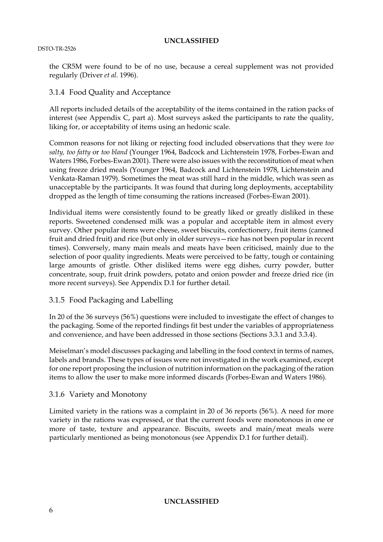the CR5M were found to be of no use, because a cereal supplement was not provided regularly ([Driver](#page-34-8) *et al.* 1996).

## <span id="page-12-0"></span>3.1.4 Food Quality and Acceptance

All reports included details of the acceptability of the items contained in the ration packs of interest (see Appendix C, part a). Most surveys asked the participants to rate the quality, liking for, or acceptability of items using an hedonic scale.

Common reasons for not liking or rejecting food included observations that they were *too salty, too fatty* or *too bland* ([Younger 1964,](#page-37-2) [Badcock and Lichtenstein 1978,](#page-34-5) [Forbes-Ewan and](#page-35-8)  [Waters 1986,](#page-35-8) [Forbes-Ewan 2001\)](#page-35-2). There were also issues with the reconstitution of meat when using freeze dried meals [\(Younger 1964,](#page-37-2) [Badcock and Lichtenstein 1978,](#page-34-5) [Lichtenstein and](#page-36-6)  [Venkata-Raman 1979\)](#page-36-6). Sometimes the meat was still hard in the middle, which was seen as unacceptable by the participants. It was found that during long deployments, acceptability dropped as the length of time consuming the rations increased [\(Forbes-Ewan 2001\)](#page-35-2).

Individual items were consistently found to be greatly liked or greatly disliked in these reports. Sweetened condensed milk was a popular and acceptable item in almost every survey. Other popular items were cheese, sweet biscuits, confectionery, fruit items (canned fruit and dried fruit) and rice (but only in older surveys—rice has not been popular in recent times). Conversely, many main meals and meats have been criticised, mainly due to the selection of poor quality ingredients. Meats were perceived to be fatty, tough or containing large amounts of gristle. Other disliked items were egg dishes, curry powder, butter concentrate, soup, fruit drink powders, potato and onion powder and freeze dried rice (in more recent surveys). See Appendix D.1 for further detail.

## <span id="page-12-1"></span>3.1.5 Food Packaging and Labelling

In 20 of the 36 surveys (56%) questions were included to investigate the effect of changes to the packaging. Some of the reported findings fit best under the variables of appropriateness and convenience, and have been addressed in those sections (Sections 3.3.1 and 3.3.4).

Meiselman's model discusses packaging and labelling in the food context in terms of names, labels and brands. These types of issues were not investigated in the work examined, except for one report proposing the inclusion of nutrition information on the packaging of the ration items to allow the user to make more informed discards [\(Forbes-Ewan and Waters 1986\)](#page-35-8).

## <span id="page-12-2"></span>3.1.6 Variety and Monotony

Limited variety in the rations was a complaint in 20 of 36 reports (56%). A need for more variety in the rations was expressed, or that the current foods were monotonous in one or more of taste, texture and appearance. Biscuits, sweets and main/meat meals were particularly mentioned as being monotonous (see Appendix D.1 for further detail).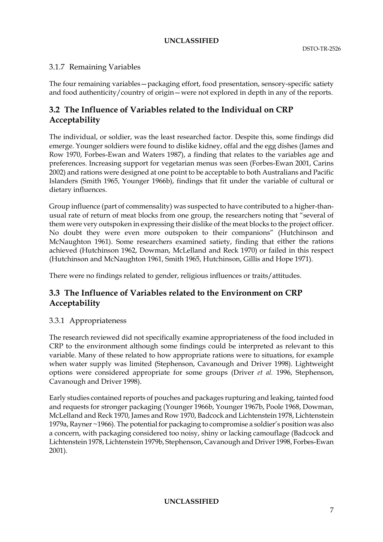## <span id="page-13-0"></span>3.1.7 Remaining Variables

The four remaining variables—packaging effort, food presentation, sensory-specific satiety and food authenticity/country of origin—were not explored in depth in any of the reports.

## <span id="page-13-1"></span>**3.2 The Influence of Variables related to the Individual on CRP Acceptability**

The individual, or soldier, was the least researched factor. Despite this, some findings did emerge. Younger soldiers were found to dislike kidney, offal and the egg dishes ([James and](#page-35-11)  [Row 1970,](#page-35-11) [Forbes-Ewan and Waters 1987\)](#page-35-7), a finding that relates to the variables age and preferences. Increasing support for vegetarian menus was seen [\(Forbes-Ewan 2001](#page-35-2), [Carins](#page-34-2)  [2002\)](#page-34-2) and rations were designed at one point to be acceptable to both Australians and Pacific Islanders ([Smith 1965](#page-36-5), [Younger 1966b](#page-37-0)), findings that fit under the variable of cultural or dietary influences.

Group influence (part of commensality) was suspected to have contributed to a higher-thanusual rate of return of meat blocks from one group, the researchers noting that "several of them were very outspoken in expressing their dislike of the meat blocks to the project officer. No doubt they were even more outspoken to their companions" ([Hutchinson and](#page-35-12)  [McNaughton 1961\)](#page-35-12). Some researchers examined satiety, finding that either the rations achieved [\(Hutchinson 1962,](#page-35-3) [Dowman, McLelland and Reck 1970\)](#page-34-7) or failed in this respect [\(Hutchinson and McNaughton 1961,](#page-35-12) [Smith 1965](#page-36-5), [Hutchinson, Gillis and Hope 1971\)](#page-35-4).

There were no findings related to gender, religious influences or traits/attitudes.

## <span id="page-13-2"></span>**3.3 The Influence of Variables related to the Environment on CRP Acceptability**

## <span id="page-13-3"></span>3.3.1 Appropriateness

The research reviewed did not specifically examine appropriateness of the food included in CRP to the environment although some findings could be interpreted as relevant to this variable. Many of these related to how appropriate rations were to situations, for example when water supply was limited ([Stephenson, Cavanough and Driver 1998\)](#page-37-1). Lightweight options were considered appropriate for some groups [\(Driver](#page-34-8) *et al.* 1996, [Stephenson,](#page-37-1)  [Cavanough and Driver 1998\)](#page-37-1).

Early studies contained reports of pouches and packages rupturing and leaking, tainted food and requests for stronger packaging ([Younger 1966b](#page-37-0), [Younger 1967b](#page-37-3), [Poole 1968](#page-36-9), [Dowman,](#page-34-7)  [McLelland and Reck 1970](#page-34-7), [James and Row 1970](#page-35-11), [Badcock and Lichtenstein 1978](#page-34-5), [Lichtenstein](#page-35-6)  [1979a,](#page-35-6) [Rayner ~1966](#page-36-8)). The potential for packaging to compromise a soldier's position was also a concern, with packaging considered too noisy, shiny or lacking camouflage ([Badcock and](#page-34-5)  [Lichtenstein 1978](#page-34-5), [Lichtenstein 1979b,](#page-35-5) [Stephenson, Cavanough and Driver 1998,](#page-37-1) [Forbes-Ewan](#page-35-2)  [2001\)](#page-35-2).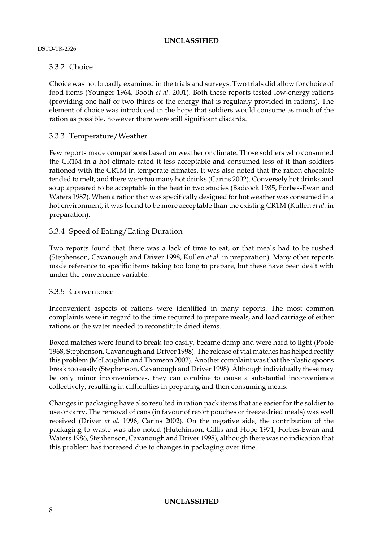## <span id="page-14-0"></span>3.3.2 Choice

Choice was not broadly examined in the trials and surveys. Two trials did allow for choice of food items [\(Younger 1964,](#page-37-2) [Booth](#page-34-9) *et al.* 2001). Both these reports tested low-energy rations (providing one half or two thirds of the energy that is regularly provided in rations). The element of choice was introduced in the hope that soldiers would consume as much of the ration as possible, however there were still significant discards.

## <span id="page-14-1"></span>3.3.3 Temperature/Weather

Few reports made comparisons based on weather or climate. Those soldiers who consumed the CR1M in a hot climate rated it less acceptable and consumed less of it than soldiers rationed with the CR1M in temperate climates. It was also noted that the ration chocolate tended to melt, and there were too many hot drinks [\(Carins 2002](#page-34-2)). Conversely hot drinks and soup appeared to be acceptable in the heat in two studies [\(Badcock 1985,](#page-34-6) [Forbes-Ewan and](#page-35-7)  [Waters 1987](#page-35-7)). When a ration that was specifically designed for hot weather was consumed in a hot environment, it was found to be more acceptable than the existing CR1M [\(Kullen](#page-35-9) *et al.* in [preparation\)](#page-35-9).

## <span id="page-14-2"></span>3.3.4 Speed of Eating/Eating Duration

Two reports found that there was a lack of time to eat, or that meals had to be rushed [\(Stephenson, Cavanough and Driver 1998,](#page-37-1) Kullen *et al.* [in preparation](#page-35-9)). Many other reports made reference to specific items taking too long to prepare, but these have been dealt with under the convenience variable.

## <span id="page-14-3"></span>3.3.5 Convenience

Inconvenient aspects of rations were identified in many reports. The most common complaints were in regard to the time required to prepare meals, and load carriage of either rations or the water needed to reconstitute dried items.

Boxed matches were found to break too easily, became damp and were hard to light ([Poole](#page-36-9)  [1968,](#page-36-9) [Stephenson, Cavanough and Driver 1998](#page-37-1)). The release of vial matches has helped rectify this problem ([McLaughlin and Thomson 2002](#page-36-10)). Another complaint was that the plastic spoons break too easily [\(Stephenson, Cavanough and Driver 1998\)](#page-37-1). Although individually these may be only minor inconveniences, they can combine to cause a substantial inconvenience collectively, resulting in difficulties in preparing and then consuming meals.

Changes in packaging have also resulted in ration pack items that are easier for the soldier to use or carry. The removal of cans (in favour of retort pouches or freeze dried meals) was well received [\(Driver](#page-34-8) *et al.* 1996, [Carins 2002](#page-34-2)). On the negative side, the contribution of the packaging to waste was also noted ([Hutchinson, Gillis and Hope 1971](#page-35-4), [Forbes-Ewan and](#page-35-8)  [Waters 1986,](#page-35-8) [Stephenson, Cavanough and Driver 1998\)](#page-37-1), although there was no indication that this problem has increased due to changes in packaging over time.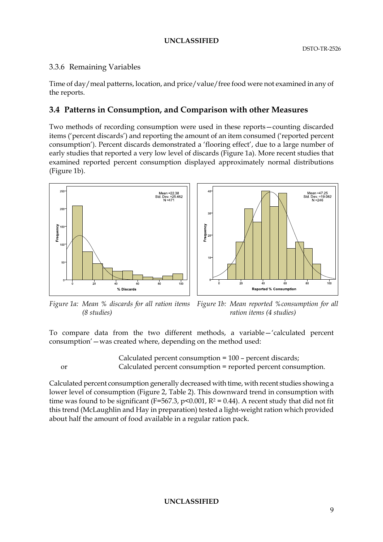## <span id="page-15-0"></span>3.3.6 Remaining Variables

Time of day/meal patterns, location, and price/value/free food were not examined in any of the reports.

## <span id="page-15-1"></span>**3.4 Patterns in Consumption, and Comparison with other Measures**

Two methods of recording consumption were used in these reports—counting discarded items ('percent discards') and reporting the amount of an item consumed ('reported percent consumption'). Percent discards demonstrated a 'flooring effect', due to a large number of early studies that reported a very low level of discards ([Figure 1a](#page-15-2)). More recent studies that examined reported percent consumption displayed approximately normal distributions [\(Figure 1](#page-15-2)b).





<span id="page-15-2"></span>*Figure 1a: Mean % discards for all ration items Figure 1b: Mean reported %consumption for all (8 studies) ration items (4 studies)* 

To compare data from the two different methods, a variable—'calculated percent consumption'—was created where, depending on the method used:

 Calculated percent consumption = 100 – percent discards; or Calculated percent consumption = reported percent consumption.

Calculated percent consumption generally decreased with time, with recent studies showing a lower level of consumption ([Figure 2,](#page-16-0) [Table 2\)](#page-16-1). This downward trend in consumption with time was found to be significant (F=567.3, p<0.001,  $R^2$  = 0.44). A recent study that did not fit this trend ([McLaughlin and Hay in preparation](#page-36-11)) tested a light-weight ration which provided about half the amount of food available in a regular ration pack.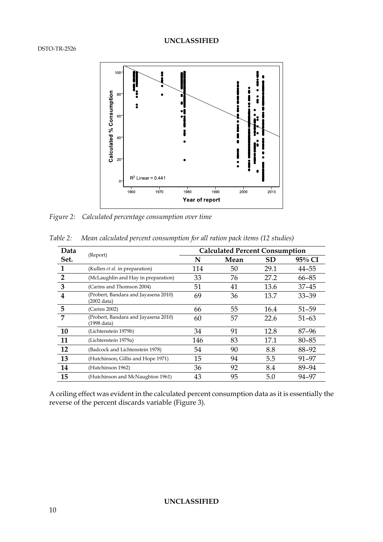

<span id="page-16-0"></span>*Figure 2: Calculated percentage consumption over time* 

| Data                    | (Report)                                            |     | <b>Calculated Percent Consumption</b> |      |           |
|-------------------------|-----------------------------------------------------|-----|---------------------------------------|------|-----------|
| Set.                    |                                                     | N   | Mean                                  | SD   | 95% CI    |
| 1                       | (Kullen <i>et al.</i> in preparation)               | 114 | 50                                    | 29.1 | 44–55     |
| $\overline{2}$          | (McLaughlin and Hay in preparation)                 | 33  | 76                                    | 27.2 | 66-85     |
| 3                       | (Carins and Thomson 2004)                           | 51  | 41                                    | 13.6 | $37 - 45$ |
| $\overline{\mathbf{4}}$ | (Probert, Bandara and Jayasena 2010)<br>(2002 data) | 69  | 36                                    | 13.7 | $33 - 39$ |
| 5                       | (Carins 2002)                                       | 66  | 55                                    | 16.4 | $51 - 59$ |
| 7                       | (Probert, Bandara and Jayasena 2010)<br>(1998 data) | 60  | 57                                    | 22.6 | $51 - 63$ |
| 10                      | (Lichtenstein 1979b)                                | 34  | 91                                    | 12.8 | 87–96     |
| 11                      | (Lichtenstein 1979a)                                | 146 | 83                                    | 17.1 | 80-85     |
| 12                      | (Badcock and Lichtenstein 1978)                     | 54  | 90                                    | 8.8  | 88-92     |
| 13                      | (Hutchinson, Gillis and Hope 1971)                  | 15  | 94                                    | 5.5  | 91-97     |
| 14                      | (Hutchinson 1962)                                   | 36  | 92                                    | 8.4  | 89-94     |
| 15                      | (Hutchinson and McNaughton 1961)                    | 43  | 95                                    | 5.0  | 94-97     |

<span id="page-16-1"></span>*Table 2: Mean calculated percent consumption for all ration pack items (12 studies)* 

A ceiling effect was evident in the calculated percent consumption data as it is essentially the reverse of the percent discards variable [\(Figure 3](#page-17-0)).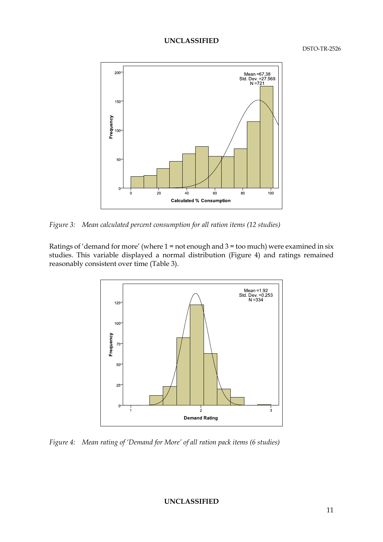

<span id="page-17-0"></span>*Figure 3: Mean calculated percent consumption for all ration items (12 studies)* 

Ratings of 'demand for more' (where  $1 =$  not enough and  $3 =$  too much) were examined in six studies. This variable displayed a normal distribution [\(Figure 4](#page-17-1)) and ratings remained reasonably consistent over time ([Table 3\)](#page-18-0).



<span id="page-17-1"></span>*Figure 4: Mean rating of 'Demand for More' of all ration pack items (6 studies)*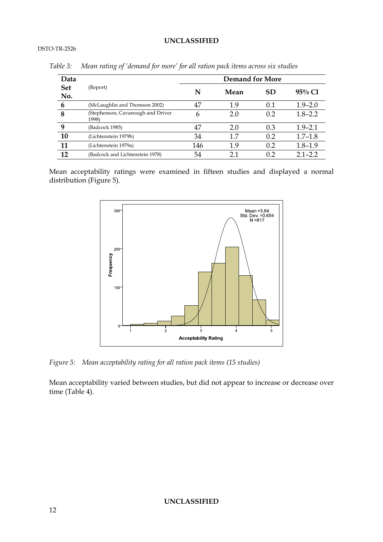| Data              |                                            |     | <b>Demand for More</b> |     |             |  |  |
|-------------------|--------------------------------------------|-----|------------------------|-----|-------------|--|--|
| <b>Set</b><br>No. | (Report)                                   | N   | Mean                   | SD  | $95\%$ CI   |  |  |
| 6                 | (McLaughlin and Thomson 2002)              | 47  | 1.9                    | 0.1 | $1.9 - 2.0$ |  |  |
| 8                 | (Stephenson, Cavanough and Driver<br>1998) | 6   | 2.0                    | 0.2 | $1.8 - 2.2$ |  |  |
| 9                 | (Badcock 1985)                             | 47  | 2.0                    | 0.3 | $1.9 - 2.1$ |  |  |
| 10                | (Lichtenstein 1979b)                       | 34  | 1.7                    | 0.2 | $1.7 - 1.8$ |  |  |
| 11                | (Lichtenstein 1979a)                       | 146 | 1.9                    | 0.2 | $1.8 - 1.9$ |  |  |
| 12                | (Badcock and Lichtenstein 1978)            | 54  | 21                     | 0.2 | $2.1 - 2.2$ |  |  |

<span id="page-18-0"></span>*Table 3: Mean rating of 'demand for more' for all ration pack items across six studies* 

Mean acceptability ratings were examined in fifteen studies and displayed a normal distribution ([Figure 5](#page-18-1)).



<span id="page-18-1"></span>*Figure 5: Mean acceptability rating for all ration pack items (15 studies)* 

Mean acceptability varied between studies, but did not appear to increase or decrease over time ([Table 4\)](#page-19-0).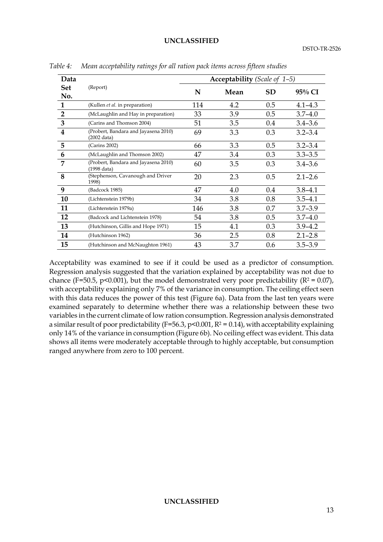| Data              |                                                               | <b>Acceptability</b> (Scale of 1-5) |      |           |             |
|-------------------|---------------------------------------------------------------|-------------------------------------|------|-----------|-------------|
| <b>Set</b><br>No. | (Report)                                                      | N                                   | Mean | <b>SD</b> | $95\%$ CI   |
| 1                 | (Kullen <i>et al.</i> in preparation)                         | 114                                 | 4.2  | 0.5       | $4.1 - 4.3$ |
| $\overline{2}$    | (McLaughlin and Hay in preparation)                           | 33                                  | 3.9  | 0.5       | $3.7 - 4.0$ |
| 3                 | (Carins and Thomson 2004)                                     | 51                                  | 3.5  | 0.4       | $3.4 - 3.6$ |
| $\boldsymbol{4}$  | (Probert, Bandara and Jayasena 2010)<br>$(2002 \text{ data})$ | 69                                  | 3.3  | 0.3       | $3.2 - 3.4$ |
| 5                 | (Carins 2002)                                                 | 66                                  | 3.3  | 0.5       | $3.2 - 3.4$ |
| 6                 | (McLaughlin and Thomson 2002)                                 | 47                                  | 3.4  | 0.3       | $3.3 - 3.5$ |
| 7                 | (Probert, Bandara and Jayasena 2010)<br>(1998 data)           | 60                                  | 3.5  | 0.3       | $3.4 - 3.6$ |
| 8                 | (Stephenson, Cavanough and Driver<br>1998)                    | 20                                  | 2.3  | 0.5       | $2.1 - 2.6$ |
| 9                 | (Badcock 1985)                                                | 47                                  | 4.0  | 0.4       | $3.8 - 4.1$ |
| 10                | (Lichtenstein 1979b)                                          | 34                                  | 3.8  | 0.8       | $3.5 - 4.1$ |
| 11                | (Lichtenstein 1979a)                                          | 146                                 | 3.8  | 0.7       | $3.7 - 3.9$ |
| 12                | (Badcock and Lichtenstein 1978)                               | 54                                  | 3.8  | 0.5       | $3.7 - 4.0$ |
| 13                | (Hutchinson, Gillis and Hope 1971)                            | 15                                  | 4.1  | 0.3       | $3.9 - 4.2$ |
| 14                | (Hutchinson 1962)                                             | 36                                  | 2.5  | 0.8       | $2.1 - 2.8$ |
| 15                | (Hutchinson and McNaughton 1961)                              | 43                                  | 3.7  | 0.6       | $3.5 - 3.9$ |

<span id="page-19-0"></span>*Table 4: Mean acceptability ratings for all ration pack items across fifteen studies* 

Acceptability was examined to see if it could be used as a predictor of consumption. Regression analysis suggested that the variation explained by acceptability was not due to chance (F=50.5, p<0.001), but the model demonstrated very poor predictability ( $R^2$  = 0.07), with acceptability explaining only 7% of the variance in consumption. The ceiling effect seen with this data reduces the power of this test ([Figure 6](#page-20-0)a). Data from the last ten years were examined separately to determine whether there was a relationship between these two variables in the current climate of low ration consumption. Regression analysis demonstrated a similar result of poor predictability (F=56.3, p<0.001,  $R^2$  = 0.14), with acceptability explaining only 14% of the variance in consumption [\(Figure 6](#page-20-0)b). No ceiling effect was evident. This data shows all items were moderately acceptable through to highly acceptable, but consumption ranged anywhere from zero to 100 percent.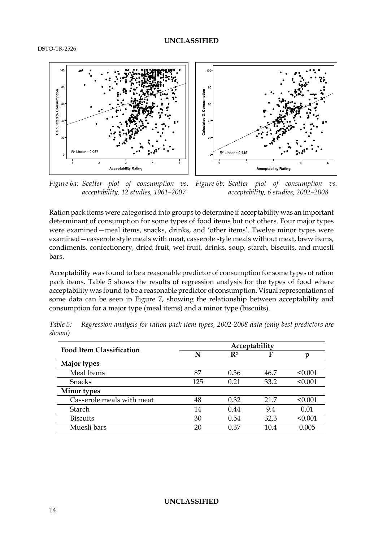



<span id="page-20-0"></span>*Figure 6a: Scatter plot of consumption vs. acceptability, 12 studies, 1961–2007* 

*Figure 6b: Scatter plot of consumption vs. acceptability, 6 studies, 2002–2008* 

Ration pack items were categorised into groups to determine if acceptability was an important determinant of consumption for some types of food items but not others. Four major types were examined—meal items, snacks, drinks, and 'other items'. Twelve minor types were examined—casserole style meals with meat, casserole style meals without meat, brew items, condiments, confectionery, dried fruit, wet fruit, drinks, soup, starch, biscuits, and muesli bars.

Acceptability was found to be a reasonable predictor of consumption for some types of ration pack items. [Table 5](#page-20-1) shows the results of regression analysis for the types of food where acceptability was found to be a reasonable predictor of consumption. Visual representations of some data can be seen in [Figure 7,](#page-21-3) showing the relationship between acceptability and consumption for a major type (meal items) and a minor type (biscuits).

| <b>Food Item Classification</b> | Acceptability |                |      |         |
|---------------------------------|---------------|----------------|------|---------|
|                                 | N             | $\mathbf{R}^2$ | F    | n       |
| Major types                     |               |                |      |         |
| Meal Items                      | 87            | 0.36           | 46.7 | < 0.001 |
| <b>Snacks</b>                   | 125           | 0.21           | 33.2 | < 0.001 |
| <b>Minor</b> types              |               |                |      |         |
| Casserole meals with meat       | 48            | 0.32           | 21.7 | < 0.001 |
| Starch                          | 14            | 0.44           | 9.4  | 0.01    |
| <b>Biscuits</b>                 | 30            | 0.54           | 32.3 | < 0.001 |
| Muesli bars                     | 20            | 0.37           | 10 4 | 0.005   |

<span id="page-20-1"></span>*Table 5: Regression analysis for ration pack item types, 2002-2008 data (only best predictors are shown)*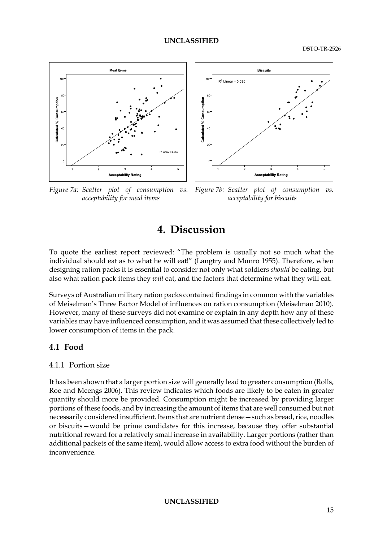

<span id="page-21-3"></span>*Figure 7a: Scatter plot of consumption vs. acceptability for meal items* 



*Figure 7b: Scatter plot of consumption vs. acceptability for biscuits* 

## **4. Discussion**

<span id="page-21-0"></span>To quote the earliest report reviewed: "The problem is usually not so much what the individual should eat as to what he will eat!" ([Langtry and Munro 1955\)](#page-35-13). Therefore, when designing ration packs it is essential to consider not only what soldiers *should* be eating, but also what ration pack items they *will* eat, and the factors that determine what they will eat.

Surveys of Australian military ration packs contained findings in common with the variables of Meiselman's Three Factor Model of influences on ration consumption [\(Meiselman 2010\)](#page-36-3). However, many of these surveys did not examine or explain in any depth how any of these variables may have influenced consumption, and it was assumed that these collectively led to lower consumption of items in the pack.

## <span id="page-21-1"></span>**4.1 Food**

#### <span id="page-21-2"></span>4.1.1 Portion size

It has been shown that a larger portion size will generally lead to greater consumption ([Rolls,](#page-36-12)  [Roe and Meengs 2006](#page-36-12)). This review indicates which foods are likely to be eaten in greater quantity should more be provided. Consumption might be increased by providing larger portions of these foods, and by increasing the amount of items that are well consumed but not necessarily considered insufficient. Items that are nutrient dense—such as bread, rice, noodles or biscuits—would be prime candidates for this increase, because they offer substantial nutritional reward for a relatively small increase in availability. Larger portions (rather than additional packets of the same item), would allow access to extra food without the burden of inconvenience.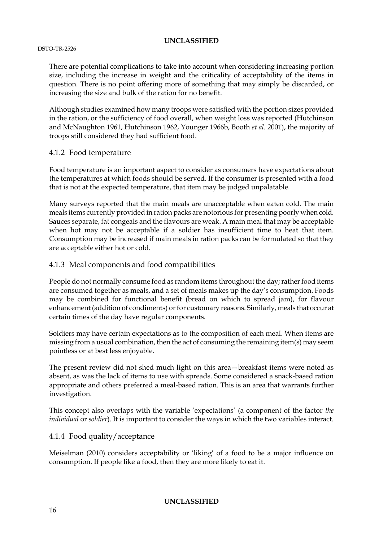There are potential complications to take into account when considering increasing portion size, including the increase in weight and the criticality of acceptability of the items in question. There is no point offering more of something that may simply be discarded, or increasing the size and bulk of the ration for no benefit.

Although studies examined how many troops were satisfied with the portion sizes provided in the ration, or the sufficiency of food overall, when weight loss was reported ([Hutchinson](#page-35-12)  [and McNaughton 1961,](#page-35-12) [Hutchinson 1962,](#page-35-3) [Younger 1966b](#page-37-0), [Booth](#page-34-9) *et al.* 2001), the majority of troops still considered they had sufficient food.

## <span id="page-22-0"></span>4.1.2 Food temperature

Food temperature is an important aspect to consider as consumers have expectations about the temperatures at which foods should be served. If the consumer is presented with a food that is not at the expected temperature, that item may be judged unpalatable.

Many surveys reported that the main meals are unacceptable when eaten cold. The main meals items currently provided in ration packs are notorious for presenting poorly when cold. Sauces separate, fat congeals and the flavours are weak. A main meal that may be acceptable when hot may not be acceptable if a soldier has insufficient time to heat that item. Consumption may be increased if main meals in ration packs can be formulated so that they are acceptable either hot or cold.

## <span id="page-22-1"></span>4.1.3 Meal components and food compatibilities

People do not normally consume food as random items throughout the day; rather food items are consumed together as meals, and a set of meals makes up the day's consumption. Foods may be combined for functional benefit (bread on which to spread jam), for flavour enhancement (addition of condiments) or for customary reasons. Similarly, meals that occur at certain times of the day have regular components.

Soldiers may have certain expectations as to the composition of each meal. When items are missing from a usual combination, then the act of consuming the remaining item(s) may seem pointless or at best less enjoyable.

The present review did not shed much light on this area—breakfast items were noted as absent, as was the lack of items to use with spreads. Some considered a snack-based ration appropriate and others preferred a meal-based ration. This is an area that warrants further investigation.

This concept also overlaps with the variable 'expectations' (a component of the factor *the individual* or *soldier*). It is important to consider the ways in which the two variables interact.

## <span id="page-22-2"></span>4.1.4 Food quality/acceptance

Meiselman ([2010\)](#page-36-3) considers acceptability or 'liking' of a food to be a major influence on consumption. If people like a food, then they are more likely to eat it.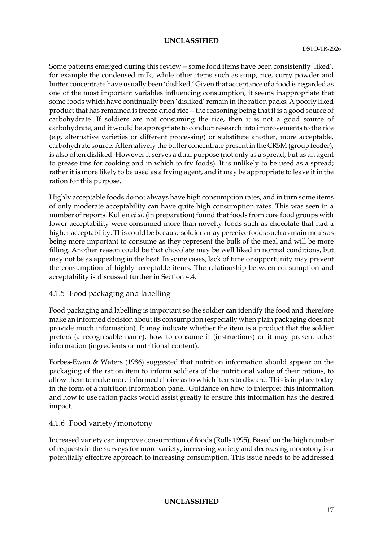Some patterns emerged during this review—some food items have been consistently 'liked', for example the condensed milk, while other items such as soup, rice, curry powder and butter concentrate have usually been 'disliked.' Given that acceptance of a food is regarded as one of the most important variables influencing consumption, it seems inappropriate that some foods which have continually been 'disliked' remain in the ration packs. A poorly liked product that has remained is freeze dried rice—the reasoning being that it is a good source of carbohydrate. If soldiers are not consuming the rice, then it is not a good source of carbohydrate, and it would be appropriate to conduct research into improvements to the rice (e.g. alternative varieties or different processing) or substitute another, more acceptable, carbohydrate source. Alternatively the butter concentrate present in the CR5M (group feeder), is also often disliked. However it serves a dual purpose (not only as a spread, but as an agent to grease tins for cooking and in which to fry foods). It is unlikely to be used as a spread; rather it is more likely to be used as a frying agent, and it may be appropriate to leave it in the ration for this purpose.

Highly acceptable foods do not always have high consumption rates, and in turn some items of only moderate acceptability can have quite high consumption rates. This was seen in a number of reports. Kullen *et al.* [\(in preparation](#page-35-9)) found that foods from core food groups with lower acceptability were consumed more than novelty foods such as chocolate that had a higher acceptability. This could be because soldiers may perceive foods such as main meals as being more important to consume as they represent the bulk of the meal and will be more filling. Another reason could be that chocolate may be well liked in normal conditions, but may not be as appealing in the heat. In some cases, lack of time or opportunity may prevent the consumption of highly acceptable items. The relationship between consumption and acceptability is discussed further in Section 4.4.

## <span id="page-23-0"></span>4.1.5 Food packaging and labelling

Food packaging and labelling is important so the soldier can identify the food and therefore make an informed decision about its consumption (especially when plain packaging does not provide much information). It may indicate whether the item is a product that the soldier prefers (a recognisable name), how to consume it (instructions) or it may present other information (ingredients or nutritional content).

Forbes-Ewan & Waters [\(1986](#page-35-8)) suggested that nutrition information should appear on the packaging of the ration item to inform soldiers of the nutritional value of their rations, to allow them to make more informed choice as to which items to discard. This is in place today in the form of a nutrition information panel. Guidance on how to interpret this information and how to use ration packs would assist greatly to ensure this information has the desired impact.

## <span id="page-23-1"></span>4.1.6 Food variety/monotony

Increased variety can improve consumption of foods ([Rolls 1995](#page-36-13)). Based on the high number of requests in the surveys for more variety, increasing variety and decreasing monotony is a potentially effective approach to increasing consumption. This issue needs to be addressed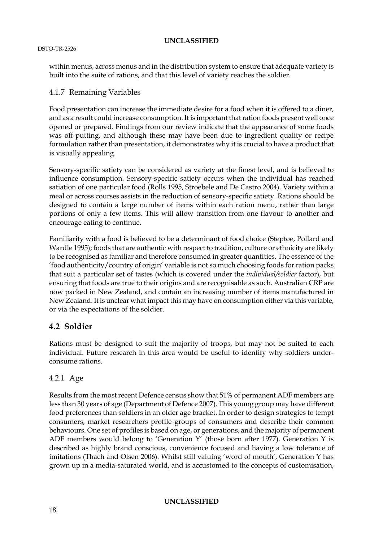within menus, across menus and in the distribution system to ensure that adequate variety is built into the suite of rations, and that this level of variety reaches the soldier.

## <span id="page-24-0"></span>4.1.7 Remaining Variables

Food presentation can increase the immediate desire for a food when it is offered to a diner, and as a result could increase consumption. It is important that ration foods present well once opened or prepared. Findings from our review indicate that the appearance of some foods was off-putting, and although these may have been due to ingredient quality or recipe formulation rather than presentation, it demonstrates why it is crucial to have a product that is visually appealing.

Sensory-specific satiety can be considered as variety at the finest level, and is believed to influence consumption. Sensory-specific satiety occurs when the individual has reached satiation of one particular food [\(Rolls 1995,](#page-36-13) [Stroebele and De Castro 2004\)](#page-37-4). Variety within a meal or across courses assists in the reduction of sensory-specific satiety. Rations should be designed to contain a large number of items within each ration menu, rather than large portions of only a few items. This will allow transition from one flavour to another and encourage eating to continue.

Familiarity with a food is believed to be a determinant of food choice ([Steptoe, Pollard and](#page-37-5)  [Wardle 1995\)](#page-37-5); foods that are authentic with respect to tradition, culture or ethnicity are likely to be recognised as familiar and therefore consumed in greater quantities. The essence of the 'food authenticity/country of origin' variable is not so much choosing foods for ration packs that suit a particular set of tastes (which is covered under the *individual/soldier* factor), but ensuring that foods are true to their origins and are recognisable as such. Australian CRP are now packed in New Zealand, and contain an increasing number of items manufactured in New Zealand. It is unclear what impact this may have on consumption either via this variable, or via the expectations of the soldier.

## <span id="page-24-1"></span>**4.2 Soldier**

Rations must be designed to suit the majority of troops, but may not be suited to each individual. Future research in this area would be useful to identify why soldiers underconsume rations.

## <span id="page-24-2"></span>4.2.1 Age

Results from the most recent Defence census show that 51% of permanent ADF members are less than 30 years of age ([Department of Defence 2007\)](#page-34-11). This young group may have different food preferences than soldiers in an older age bracket. In order to design strategies to tempt consumers, market researchers profile groups of consumers and describe their common behaviours. One set of profiles is based on age, or generations, and the majority of permanent ADF members would belong to 'Generation Y' (those born after 1977). Generation Y is described as highly brand conscious, convenience focused and having a low tolerance of imitations [\(Thach and Olsen 2006\)](#page-37-6). Whilst still valuing 'word of mouth', Generation Y has grown up in a media-saturated world, and is accustomed to the concepts of customisation,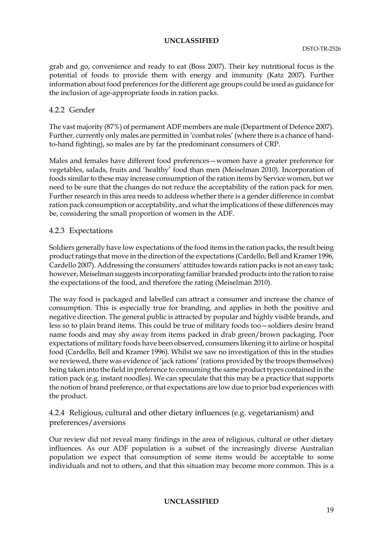grab and go, convenience and ready to eat [\(Boss 2007](#page-34-12)). Their key nutritional focus is the potential of foods to provide them with energy and immunity ([Katz 2007\)](#page-35-14). Further information about food preferences for the different age groups could be used as guidance for the inclusion of age-appropriate foods in ration packs.

## <span id="page-25-0"></span>4.2.2 Gender

The vast majority (87%) of permanent ADF members are male ([Department of Defence 2007\)](#page-34-11). Further, currently only males are permitted in 'combat roles' (where there is a chance of handto-hand fighting), so males are by far the predominant consumers of CRP.

Males and females have different food preferences—women have a greater preference for vegetables, salads, fruits and 'healthy' food than men [\(Meiselman 2010\)](#page-36-3). Incorporation of foods similar to these may increase consumption of the ration items by Service women, but we need to be sure that the changes do not reduce the acceptability of the ration pack for men. Further research in this area needs to address whether there is a gender difference in combat ration pack consumption or acceptability, and what the implications of these differences may be, considering the small proportion of women in the ADF.

## <span id="page-25-1"></span>4.2.3 Expectations

Soldiers generally have low expectations of the food items in the ration packs, the result being product ratings that move in the direction of the expectations [\(Cardello, Bell and Kramer 1996](#page-34-13), [Cardello 2007\)](#page-34-14). Addressing the consumers' attitudes towards ration packs is not an easy task; however, Meiselman suggests incorporating familiar branded products into the ration to raise the expectations of the food, and therefore the rating [\(Meiselman 2010\)](#page-36-3).

The way food is packaged and labelled can attract a consumer and increase the chance of consumption. This is especially true for branding, and applies in both the positive and negative direction. The general public is attracted by popular and highly visible brands, and less so to plain brand items. This could be true of military foods too—soldiers desire brand name foods and may shy away from items packed in drab green/brown packaging. Poor expectations of military foods have been observed, consumers likening it to airline or hospital food [\(Cardello, Bell and Kramer 1996\)](#page-34-13). Whilst we saw no investigation of this in the studies we reviewed, there was evidence of 'jack rations' (rations provided by the troops themselves) being taken into the field in preference to consuming the same product types contained in the ration pack (e.g. instant noodles). We can speculate that this may be a practice that supports the notion of brand preference, or that expectations are low due to prior bad experiences with the product.

## <span id="page-25-2"></span>4.2.4 Religious, cultural and other dietary influences (e.g. vegetarianism) and preferences/aversions

Our review did not reveal many findings in the area of religious, cultural or other dietary influences. As our ADF population is a subset of the increasingly diverse Australian population we expect that consumption of some items would be acceptable to some individuals and not to others, and that this situation may become more common. This is a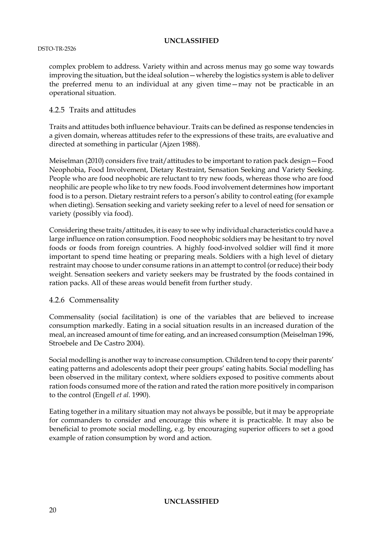complex problem to address. Variety within and across menus may go some way towards improving the situation, but the ideal solution—whereby the logistics system is able to deliver the preferred menu to an individual at any given time—may not be practicable in an operational situation.

## <span id="page-26-0"></span>4.2.5 Traits and attitudes

Traits and attitudes both influence behaviour. Traits can be defined as response tendencies in a given domain, whereas attitudes refer to the expressions of these traits, are evaluative and directed at something in particular ([Ajzen 1988\)](#page-38-0).

Meiselman [\(2010](#page-36-3)) considers five trait/attitudes to be important to ration pack design—Food Neophobia, Food Involvement, Dietary Restraint, Sensation Seeking and Variety Seeking. People who are food neophobic are reluctant to try new foods, whereas those who are food neophilic are people who like to try new foods. Food involvement determines how important food is to a person. Dietary restraint refers to a person's ability to control eating (for example when dieting). Sensation seeking and variety seeking refer to a level of need for sensation or variety (possibly via food).

Considering these traits/attitudes, it is easy to see why individual characteristics could have a large influence on ration consumption. Food neophobic soldiers may be hesitant to try novel foods or foods from foreign countries. A highly food-involved soldier will find it more important to spend time heating or preparing meals. Soldiers with a high level of dietary restraint may choose to under consume rations in an attempt to control (or reduce) their body weight. Sensation seekers and variety seekers may be frustrated by the foods contained in ration packs. All of these areas would benefit from further study.

## <span id="page-26-1"></span>4.2.6 Commensality

Commensality (social facilitation) is one of the variables that are believed to increase consumption markedly. Eating in a social situation results in an increased duration of the meal, an increased amount of time for eating, and an increased consumption [\(Meiselman 1996](#page-36-1), [Stroebele and De Castro 2004\)](#page-37-4).

Social modelling is another way to increase consumption. Children tend to copy their parents' eating patterns and adolescents adopt their peer groups' eating habits. Social modelling has been observed in the military context, where soldiers exposed to positive comments about ration foods consumed more of the ration and rated the ration more positively in comparison to the control ([Engell](#page-35-15) *et al.* 1990).

Eating together in a military situation may not always be possible, but it may be appropriate for commanders to consider and encourage this where it is practicable. It may also be beneficial to promote social modelling, e.g. by encouraging superior officers to set a good example of ration consumption by word and action.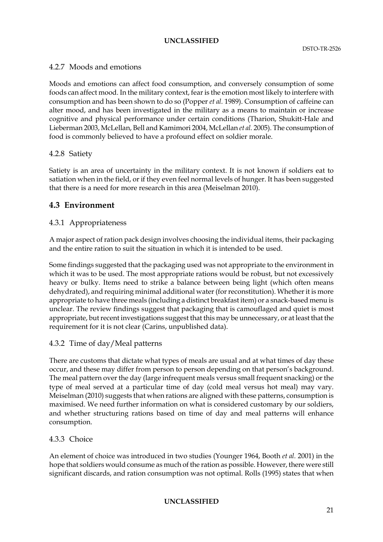## <span id="page-27-0"></span>4.2.7 Moods and emotions

Moods and emotions can affect food consumption, and conversely consumption of some foods can affect mood. In the military context, fear is the emotion most likely to interfere with consumption and has been shown to do so ([Popper](#page-36-14) *et al.* 1989). Consumption of caffeine can alter mood, and has been investigated in the military as a means to maintain or increase cognitive and physical performance under certain conditions ([Tharion, Shukitt-Hale and](#page-37-7)  [Lieberman 2003](#page-37-7), [McLellan, Bell and Kamimori 2004](#page-36-15), [McLellan](#page-36-16) *et al.* 2005). The consumption of food is commonly believed to have a profound effect on soldier morale.

## <span id="page-27-1"></span>4.2.8 Satiety

Satiety is an area of uncertainty in the military context. It is not known if soldiers eat to satiation when in the field, or if they even feel normal levels of hunger. It has been suggested that there is a need for more research in this area ([Meiselman 2010\)](#page-36-3).

## <span id="page-27-2"></span>**4.3 Environment**

## <span id="page-27-3"></span>4.3.1 Appropriateness

A major aspect of ration pack design involves choosing the individual items, their packaging and the entire ration to suit the situation in which it is intended to be used.

Some findings suggested that the packaging used was not appropriate to the environment in which it was to be used. The most appropriate rations would be robust, but not excessively heavy or bulky. Items need to strike a balance between being light (which often means dehydrated), and requiring minimal additional water (for reconstitution). Whether it is more appropriate to have three meals (including a distinct breakfast item) or a snack-based menu is unclear. The review findings suggest that packaging that is camouflaged and quiet is most appropriate, but recent investigations suggest that this may be unnecessary, or at least that the requirement for it is not clear (Carins, unpublished data).

## <span id="page-27-4"></span>4.3.2 Time of day/Meal patterns

There are customs that dictate what types of meals are usual and at what times of day these occur, and these may differ from person to person depending on that person's background. The meal pattern over the day (large infrequent meals versus small frequent snacking) or the type of meal served at a particular time of day (cold meal versus hot meal) may vary. Meiselman ([2010\)](#page-36-3) suggests that when rations are aligned with these patterns, consumption is maximised. We need further information on what is considered customary by our soldiers, and whether structuring rations based on time of day and meal patterns will enhance consumption.

## <span id="page-27-5"></span>4.3.3 Choice

An element of choice was introduced in two studies [\(Younger 1964,](#page-37-2) [Booth](#page-34-9) *et al.* 2001) in the hope that soldiers would consume as much of the ration as possible. However, there were still significant discards, and ration consumption was not optimal. Rolls [\(1995](#page-36-13)) states that when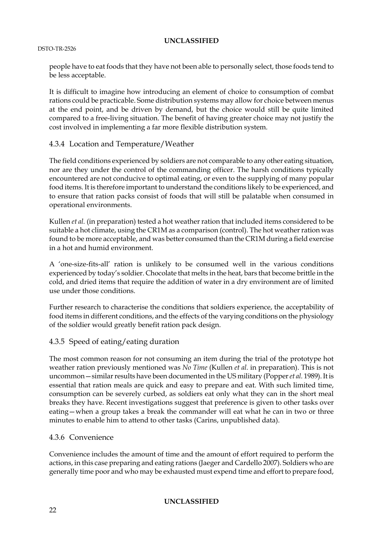people have to eat foods that they have not been able to personally select, those foods tend to be less acceptable.

It is difficult to imagine how introducing an element of choice to consumption of combat rations could be practicable. Some distribution systems may allow for choice between menus at the end point, and be driven by demand, but the choice would still be quite limited compared to a free-living situation. The benefit of having greater choice may not justify the cost involved in implementing a far more flexible distribution system.

## <span id="page-28-0"></span>4.3.4 Location and Temperature/Weather

The field conditions experienced by soldiers are not comparable to any other eating situation, nor are they under the control of the commanding officer. The harsh conditions typically encountered are not conducive to optimal eating, or even to the supplying of many popular food items. It is therefore important to understand the conditions likely to be experienced, and to ensure that ration packs consist of foods that will still be palatable when consumed in operational environments.

Kullen *et al.* (in preparation) tested a hot weather ration that included items considered to be suitable a hot climate, using the CR1M as a comparison (control). The hot weather ration was found to be more acceptable, and was better consumed than the CR1M during a field exercise in a hot and humid environment.

A 'one-size-fits-all' ration is unlikely to be consumed well in the various conditions experienced by today's soldier. Chocolate that melts in the heat, bars that become brittle in the cold, and dried items that require the addition of water in a dry environment are of limited use under those conditions.

Further research to characterise the conditions that soldiers experience, the acceptability of food items in different conditions, and the effects of the varying conditions on the physiology of the soldier would greatly benefit ration pack design.

## <span id="page-28-1"></span>4.3.5 Speed of eating/eating duration

The most common reason for not consuming an item during the trial of the prototype hot weather ration previously mentioned was *No Time* (Kullen *et al.* [in preparation\)](#page-35-9). This is not uncommon—similar results have been documented in the US military [\(Popper](#page-36-14) *et al.* 1989). It is essential that ration meals are quick and easy to prepare and eat. With such limited time, consumption can be severely curbed, as soldiers eat only what they can in the short meal breaks they have. Recent investigations suggest that preference is given to other tasks over eating—when a group takes a break the commander will eat what he can in two or three minutes to enable him to attend to other tasks (Carins, unpublished data).

## <span id="page-28-2"></span>4.3.6 Convenience

Convenience includes the amount of time and the amount of effort required to perform the actions, in this case preparing and eating rations [\(Jaeger and Cardello 2007](#page-35-16)). Soldiers who are generally time poor and who may be exhausted must expend time and effort to prepare food,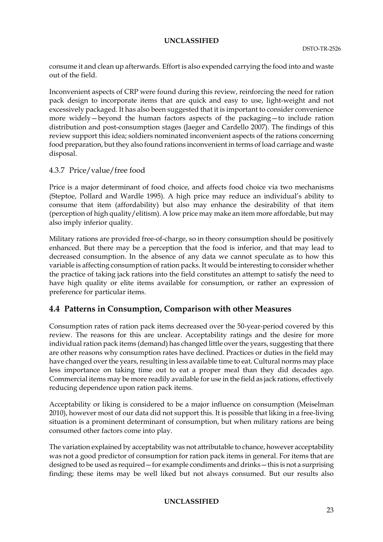consume it and clean up afterwards. Effort is also expended carrying the food into and waste out of the field.

Inconvenient aspects of CRP were found during this review, reinforcing the need for ration pack design to incorporate items that are quick and easy to use, light-weight and not excessively packaged. It has also been suggested that it is important to consider convenience more widely—beyond the human factors aspects of the packaging—to include ration distribution and post-consumption stages ([Jaeger and Cardello 2007](#page-35-16)). The findings of this review support this idea; soldiers nominated inconvenient aspects of the rations concerning food preparation, but they also found rations inconvenient in terms of load carriage and waste disposal.

## <span id="page-29-0"></span>4.3.7 Price/value/free food

Price is a major determinant of food choice, and affects food choice via two mechanisms [\(Steptoe, Pollard and Wardle 1995](#page-37-5)). A high price may reduce an individual's ability to consume that item (affordability) but also may enhance the desirability of that item (perception of high quality/elitism). A low price may make an item more affordable, but may also imply inferior quality.

Military rations are provided free-of-charge, so in theory consumption should be positively enhanced. But there may be a perception that the food is inferior, and that may lead to decreased consumption. In the absence of any data we cannot speculate as to how this variable is affecting consumption of ration packs. It would be interesting to consider whether the practice of taking jack rations into the field constitutes an attempt to satisfy the need to have high quality or elite items available for consumption, or rather an expression of preference for particular items.

## <span id="page-29-1"></span>**4.4 Patterns in Consumption, Comparison with other Measures**

Consumption rates of ration pack items decreased over the 50-year-period covered by this review. The reasons for this are unclear. Acceptability ratings and the desire for more individual ration pack items (demand) has changed little over the years, suggesting that there are other reasons why consumption rates have declined. Practices or duties in the field may have changed over the years, resulting in less available time to eat. Cultural norms may place less importance on taking time out to eat a proper meal than they did decades ago. Commercial items may be more readily available for use in the field as jack rations, effectively reducing dependence upon ration pack items.

Acceptability or liking is considered to be a major influence on consumption [\(Meiselman](#page-36-3)  [2010\)](#page-36-3), however most of our data did not support this. It is possible that liking in a free-living situation is a prominent determinant of consumption, but when military rations are being consumed other factors come into play.

The variation explained by acceptability was not attributable to chance, however acceptability was not a good predictor of consumption for ration pack items in general. For items that are designed to be used as required—for example condiments and drinks—this is not a surprising finding; these items may be well liked but not always consumed. But our results also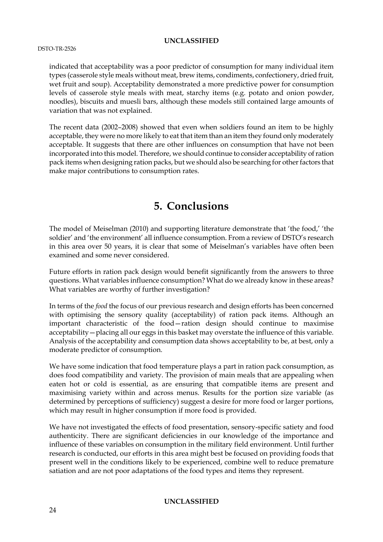indicated that acceptability was a poor predictor of consumption for many individual item types (casserole style meals without meat, brew items, condiments, confectionery, dried fruit, wet fruit and soup). Acceptability demonstrated a more predictive power for consumption levels of casserole style meals with meat, starchy items (e.g. potato and onion powder, noodles), biscuits and muesli bars, although these models still contained large amounts of variation that was not explained.

The recent data (2002–2008) showed that even when soldiers found an item to be highly acceptable, they were no more likely to eat that item than an item they found only moderately acceptable. It suggests that there are other influences on consumption that have not been incorporated into this model. Therefore, we should continue to consider acceptability of ration pack items when designing ration packs, but we should also be searching for other factors that make major contributions to consumption rates.

# **5. Conclusions**

<span id="page-30-0"></span>The model of Meiselman [\(2010](#page-36-3)) and supporting literature demonstrate that 'the food,' 'the soldier' and 'the environment' all influence consumption. From a review of DSTO's research in this area over 50 years, it is clear that some of Meiselman's variables have often been examined and some never considered.

Future efforts in ration pack design would benefit significantly from the answers to three questions. What variables influence consumption? What do we already know in these areas? What variables are worthy of further investigation?

In terms of the *food* the focus of our previous research and design efforts has been concerned with optimising the sensory quality (acceptability) of ration pack items. Although an important characteristic of the food—ration design should continue to maximise acceptability—placing all our eggs in this basket may overstate the influence of this variable. Analysis of the acceptability and consumption data shows acceptability to be, at best, only a moderate predictor of consumption.

We have some indication that food temperature plays a part in ration pack consumption, as does food compatibility and variety. The provision of main meals that are appealing when eaten hot or cold is essential, as are ensuring that compatible items are present and maximising variety within and across menus. Results for the portion size variable (as determined by perceptions of sufficiency) suggest a desire for more food or larger portions, which may result in higher consumption if more food is provided.

We have not investigated the effects of food presentation, sensory-specific satiety and food authenticity. There are significant deficiencies in our knowledge of the importance and influence of these variables on consumption in the military field environment. Until further research is conducted, our efforts in this area might best be focused on providing foods that present well in the conditions likely to be experienced, combine well to reduce premature satiation and are not poor adaptations of the food types and items they represent.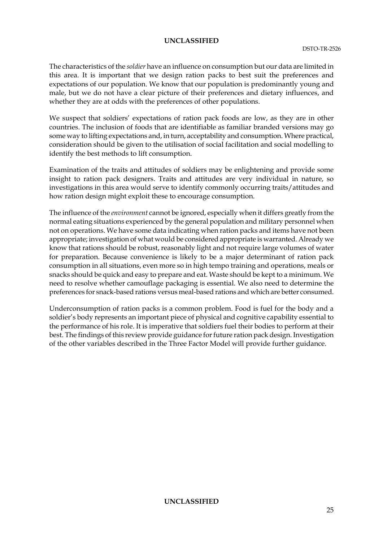The characteristics of the *soldier* have an influence on consumption but our data are limited in this area. It is important that we design ration packs to best suit the preferences and expectations of our population. We know that our population is predominantly young and male, but we do not have a clear picture of their preferences and dietary influences, and whether they are at odds with the preferences of other populations.

We suspect that soldiers' expectations of ration pack foods are low, as they are in other countries. The inclusion of foods that are identifiable as familiar branded versions may go some way to lifting expectations and, in turn, acceptability and consumption. Where practical, consideration should be given to the utilisation of social facilitation and social modelling to identify the best methods to lift consumption.

Examination of the traits and attitudes of soldiers may be enlightening and provide some insight to ration pack designers. Traits and attitudes are very individual in nature, so investigations in this area would serve to identify commonly occurring traits/attitudes and how ration design might exploit these to encourage consumption.

The influence of the *environment* cannot be ignored, especially when it differs greatly from the normal eating situations experienced by the general population and military personnel when not on operations. We have some data indicating when ration packs and items have not been appropriate; investigation of what would be considered appropriate is warranted. Already we know that rations should be robust, reasonably light and not require large volumes of water for preparation. Because convenience is likely to be a major determinant of ration pack consumption in all situations, even more so in high tempo training and operations, meals or snacks should be quick and easy to prepare and eat. Waste should be kept to a minimum. We need to resolve whether camouflage packaging is essential. We also need to determine the preferences for snack-based rations versus meal-based rations and which are better consumed.

Underconsumption of ration packs is a common problem. Food is fuel for the body and a soldier's body represents an important piece of physical and cognitive capability essential to the performance of his role. It is imperative that soldiers fuel their bodies to perform at their best. The findings of this review provide guidance for future ration pack design. Investigation of the other variables described in the Three Factor Model will provide further guidance.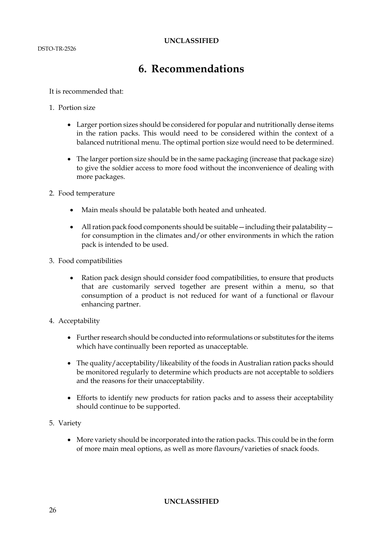<span id="page-32-0"></span>DSTO-TR-2526

# **6. Recommendations**

It is recommended that:

- 1. Portion size
	- Larger portion sizes should be considered for popular and nutritionally dense items in the ration packs. This would need to be considered within the context of a balanced nutritional menu. The optimal portion size would need to be determined.
	- The larger portion size should be in the same packaging (increase that package size) to give the soldier access to more food without the inconvenience of dealing with more packages.
- 2. Food temperature
	- Main meals should be palatable both heated and unheated.
	- All ration pack food components should be suitable including their palatability for consumption in the climates and/or other environments in which the ration pack is intended to be used.
- 3. Food compatibilities
	- Ration pack design should consider food compatibilities, to ensure that products that are customarily served together are present within a menu, so that consumption of a product is not reduced for want of a functional or flavour enhancing partner.
- 4. Acceptability
	- Further research should be conducted into reformulations or substitutes for the items which have continually been reported as unacceptable.
	- The quality/acceptability/likeability of the foods in Australian ration packs should be monitored regularly to determine which products are not acceptable to soldiers and the reasons for their unacceptability.
	- Efforts to identify new products for ration packs and to assess their acceptability should continue to be supported.
- 5. Variety
	- More variety should be incorporated into the ration packs. This could be in the form of more main meal options, as well as more flavours/varieties of snack foods.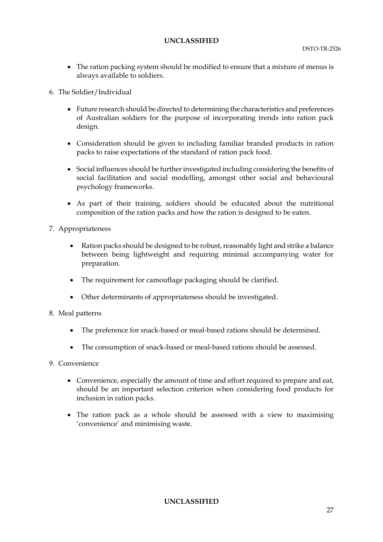- The ration packing system should be modified to ensure that a mixture of menus is always available to soldiers.
- 6. The Soldier/Individual
	- Future research should be directed to determining the characteristics and preferences of Australian soldiers for the purpose of incorporating trends into ration pack design.
	- Consideration should be given to including familiar branded products in ration packs to raise expectations of the standard of ration pack food.
	- Social influences should be further investigated including considering the benefits of social facilitation and social modelling, amongst other social and behavioural psychology frameworks.
	- As part of their training, soldiers should be educated about the nutritional composition of the ration packs and how the ration is designed to be eaten.

7. Appropriateness

- Ration packs should be designed to be robust, reasonably light and strike a balance between being lightweight and requiring minimal accompanying water for preparation.
- The requirement for camouflage packaging should be clarified.
- Other determinants of appropriateness should be investigated.
- 8. Meal patterns
	- The preference for snack-based or meal-based rations should be determined.
	- The consumption of snack-based or meal-based rations should be assessed.
- 9. Convenience
	- Convenience, especially the amount of time and effort required to prepare and eat, should be an important selection criterion when considering food products for inclusion in ration packs.
	- The ration pack as a whole should be assessed with a view to maximising 'convenience' and minimising waste.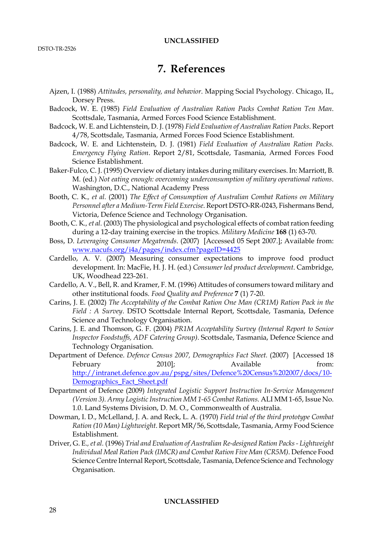# <span id="page-34-22"></span><span id="page-34-21"></span><span id="page-34-20"></span><span id="page-34-19"></span><span id="page-34-18"></span><span id="page-34-17"></span><span id="page-34-16"></span><span id="page-34-15"></span>**7. References**

- <span id="page-34-0"></span>Ajzen, I. (1988) *Attitudes, personality, and behavior*. Mapping Social Psychology. Chicago, IL, Dorsey Press.
- <span id="page-34-6"></span>Badcock, W. E. (1985) *Field Evaluation of Australian Ration Packs Combat Ration Ten Man*. Scottsdale, Tasmania, Armed Forces Food Science Establishment.
- <span id="page-34-5"></span>Badcock, W. E. and Lichtenstein, D. J. (1978) *Field Evaluation of Australian Ration Packs*. Report 4/78, Scottsdale, Tasmania, Armed Forces Food Science Establishment.
- Badcock, W. E. and Lichtenstein, D. J. (1981) *Field Evaluation of Australian Ration Packs. Emergency Flying Ration*. Report 2/81, Scottsdale, Tasmania, Armed Forces Food Science Establishment.
- <span id="page-34-4"></span>Baker-Fulco, C. J. (1995) Overview of dietary intakes during military exercises. In: Marriott, B. M. (ed.) *Not eating enough: overcoming underconsumption of military operational rations*. Washington, D.C., National Academy Press
- <span id="page-34-9"></span>Booth, C. K.*, et al.* (2001) *The Effect of Consumption of Australian Combat Rations on Military Personnel after a Medium-Term Field Exercise*. Report DSTO-RR-0243, Fishermans Bend, Victoria, Defence Science and Technology Organisation.
- <span id="page-34-3"></span>Booth, C. K.*, et al.* (2003) The physiological and psychological effects of combat ration feeding during a 12-day training exercise in the tropics*. Military Medicine* **168** (1) 63-70.
- <span id="page-34-12"></span>Boss, D. *Leveraging Consumer Megatrends*. (2007) [Accessed 05 Sept 2007.]; Available from: [www.nacufs.org/i4a/pages/index.cfm?pageID=4425](http://www.nacufs.org/i4a/pages/index.cfm?pageID=4425)
- <span id="page-34-14"></span>Cardello, A. V. (2007) Measuring consumer expectations to improve food product development. In: MacFie, H. J. H. (ed.) *Consumer led product development*. Cambridge, UK, Woodhead 223-261.
- <span id="page-34-13"></span>Cardello, A. V., Bell, R. and Kramer, F. M. (1996) Attitudes of consumers toward military and other institutional foods*. Food Quality and Preference* **7** (1) 7-20.
- <span id="page-34-2"></span>Carins, J. E. (2002) *The Acceptability of the Combat Ration One Man (CR1M) Ration Pack in the Field : A Survey*. DSTO Scottsdale Internal Report, Scottsdale, Tasmania, Defence Science and Technology Organisation.
- <span id="page-34-10"></span>Carins, J. E. and Thomson, G. F. (2004) *PR1M Acceptability Survey (Internal Report to Senior Inspector Foodstuffs, ADF Catering Group)*. Scottsdale, Tasmania, Defence Science and Technology Organisation.
- <span id="page-34-11"></span>Department of Defence. *Defence Census 2007, Demographics Fact Sheet.* (2007) [Accessed 18 February 2010]; Available from: [http://intranet.defence.gov.au/pspg/sites/Defence%20Census%202007/docs/10-](http://intranet.defence.gov.au/pspg/sites/Defence%20Census%202007/docs/10-Demographics_Fact_Sheet.pdf) [Demographics\\_Fact\\_Sheet.pdf](http://intranet.defence.gov.au/pspg/sites/Defence%20Census%202007/docs/10-Demographics_Fact_Sheet.pdf)
- <span id="page-34-1"></span>Department of Defence (2009) *Integrated Logistic Support Instruction In-Service Management (Version 3). Army Logistic Instruction MM 1-65 Combat Rations.* ALI MM 1-65, Issue No. 1.0. Land Systems Division, D. M. O., Commonwealth of Australia.
- <span id="page-34-7"></span>Dowman, I. D., McLelland, J. A. and Reck, L. A. (1970) *Field trial of the third prototype Combat Ration (10 Man) Lightweight*. Report MR/56, Scottsdale, Tasmania, Army Food Science Establishment.
- <span id="page-34-8"></span>Driver, G. E.*, et al.* (1996) *Trial and Evaluation of Australian Re-designed Ration Packs - Lightweight Individual Meal Ration Pack (IMCR) and Combat Ration Five Man (CR5M)*. Defence Food Science Centre Internal Report, Scottsdale, Tasmania, Defence Science and Technology Organisation.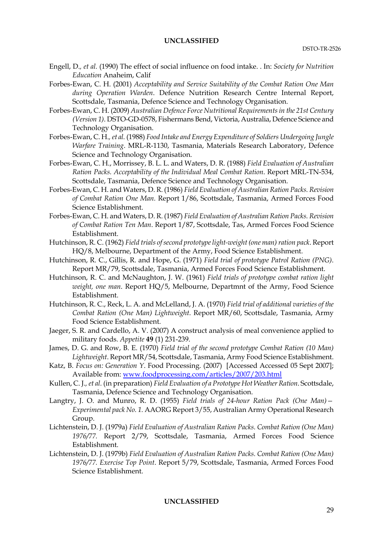- <span id="page-35-29"></span><span id="page-35-28"></span><span id="page-35-27"></span><span id="page-35-26"></span><span id="page-35-25"></span><span id="page-35-24"></span><span id="page-35-23"></span><span id="page-35-22"></span><span id="page-35-21"></span><span id="page-35-20"></span><span id="page-35-19"></span><span id="page-35-18"></span><span id="page-35-17"></span><span id="page-35-15"></span>Engell, D.*, et al.* (1990) The effect of social influence on food intake. . In: *Society for Nutrition Education* Anaheim, Calif
- <span id="page-35-2"></span>Forbes-Ewan, C. H. (2001) *Acceptability and Service Suitability of the Combat Ration One Man during Operation Warden*. Defence Nutrition Research Centre Internal Report, Scottsdale, Tasmania, Defence Science and Technology Organisation.
- <span id="page-35-0"></span>Forbes-Ewan, C. H. (2009) *Australian Defence Force Nutritional Requirements in the 21st Century (Version 1)*. DSTO-GD-0578, Fishermans Bend, Victoria, Australia, Defence Science and Technology Organisation.
- <span id="page-35-1"></span>Forbes-Ewan, C. H.*, et al.* (1988) *Food Intake and Energy Expenditure of Soldiers Undergoing Jungle Warfare Training*. MRL-R-1130, Tasmania, Materials Research Laboratory, Defence Science and Technology Organisation.
- Forbes-Ewan, C. H., Morrissey, B. L. L. and Waters, D. R. (1988) *Field Evaluation of Australian Ration Packs. Acceptability of the Individual Meal Combat Ration*. Report MRL-TN-534, Scottsdale, Tasmania, Defence Science and Technology Organisation.
- <span id="page-35-8"></span>Forbes-Ewan, C. H. and Waters, D. R. (1986) *Field Evaluation of Australian Ration Packs. Revision of Combat Ration One Man.* Report 1/86, Scottsdale, Tasmania, Armed Forces Food Science Establishment.
- <span id="page-35-7"></span>Forbes-Ewan, C. H. and Waters, D. R. (1987) *Field Evaluation of Australian Ration Packs. Revision of Combat Ration Ten Man*. Report 1/87, Scottsdale, Tas, Armed Forces Food Science Establishment.
- <span id="page-35-3"></span>Hutchinson, R. C. (1962) *Field trials of second prototype light-weight (one man) ration pack*. Report HQ/8, Melbourne, Department of the Army, Food Science Establishment.
- <span id="page-35-4"></span>Hutchinson, R. C., Gillis, R. and Hope, G. (1971) *Field trial of prototype Patrol Ration (PNG)*. Report MR/79, Scottsdale, Tasmania, Armed Forces Food Science Establishment.
- <span id="page-35-12"></span>Hutchinson, R. C. and McNaughton, J. W. (1961) *Field trials of prototype combat ration light weight, one man*. Report HQ/5, Melbourne, Departmnt of the Army, Food Science Establishment.
- <span id="page-35-10"></span>Hutchinson, R. C., Reck, L. A. and McLelland, J. A. (1970) *Field trial of additional varieties of the Combat Ration (One Man) Lightweight*. Report MR/60, Scottsdale, Tasmania, Army Food Science Establishment.
- <span id="page-35-16"></span>Jaeger, S. R. and Cardello, A. V. (2007) A construct analysis of meal convenience applied to military foods*. Appetite* **49** (1) 231-239.
- <span id="page-35-11"></span>James, D. G. and Row, B. E. (1970) *Field trial of the second prototype Combat Ration (10 Man) Lightweight*. Report MR/54, Scottsdale, Tasmania, Army Food Science Establishment.
- <span id="page-35-14"></span>Katz, B. *Focus on: Generation Y*. Food Processing. (2007) [Accessed Accessed 05 Sept 2007]; Available from: [www.foodprocessing.com/articles/2007/203.html](http://www.foodprocessing.com/articles/2007/203.html)
- <span id="page-35-9"></span>Kullen, C. J.*, et al.* (in preparation) *Field Evaluation of a Prototype Hot Weather Ration*. Scottsdale, Tasmania, Defence Science and Technology Organisation.
- <span id="page-35-13"></span>Langtry, J. O. and Munro, R. D. (1955) *Field trials of 24-hour Ration Pack (One Man)— Experimental pack No. 1.* AAORG Report 3/55, Australian Army Operational Research Group.
- <span id="page-35-6"></span>Lichtenstein, D. J. (1979a) *Field Evaluation of Australian Ration Packs. Combat Ration (One Man) 1976/77.* Report 2/79, Scottsdale, Tasmania, Armed Forces Food Science Establishment.
- <span id="page-35-5"></span>Lichtenstein, D. J. (1979b) *Field Evaluation of Australian Ration Packs. Combat Ration (One Man) 1976/77. Exercise Top Point*. Report 5/79, Scottsdale, Tasmania, Armed Forces Food Science Establishment.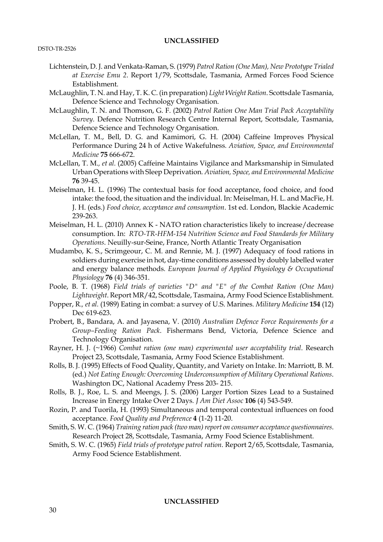- <span id="page-36-24"></span><span id="page-36-23"></span><span id="page-36-22"></span><span id="page-36-21"></span><span id="page-36-20"></span><span id="page-36-19"></span><span id="page-36-18"></span><span id="page-36-17"></span><span id="page-36-6"></span>Lichtenstein, D. J. and Venkata-Raman, S. (1979) *Patrol Ration (One Man), New Prototype Trialed at Exercise Emu 2*. Report 1/79, Scottsdale, Tasmania, Armed Forces Food Science Establishment.
- <span id="page-36-11"></span>McLaughlin, T. N. and Hay, T. K. C. (in preparation) *Light Weight Ration*. Scottsdale Tasmania, Defence Science and Technology Organisation.
- <span id="page-36-10"></span>McLaughlin, T. N. and Thomson, G. F. (2002) *Patrol Ration One Man Trial Pack Acceptability Survey*. Defence Nutrition Research Centre Internal Report, Scottsdale, Tasmania, Defence Science and Technology Organisation.
- <span id="page-36-15"></span>McLellan, T. M., Bell, D. G. and Kamimori, G. H. (2004) Caffeine Improves Physical Performance During 24 h of Active Wakefulness*. Aviation, Space, and Environmental Medicine* **75** 666-672.
- <span id="page-36-16"></span>McLellan, T. M.*, et al.* (2005) Caffeine Maintains Vigilance and Marksmanship in Simulated Urban Operations with Sleep Deprivation*. Aviation, Space, and Environmental Medicine* **76** 39-45.
- <span id="page-36-1"></span>Meiselman, H. L. (1996) The contextual basis for food acceptance, food choice, and food intake: the food, the situation and the individual. In: Meiselman, H. L. and MacFie, H. J. H. (eds.) *Food choice, acceptance and consumption*. 1st ed. London, Blackie Academic 239-263.
- <span id="page-36-3"></span>Meiselman, H. L. (2010) Annex K - NATO ration characteristics likely to increase/decrease consumption. In: *RTO-TR-HFM-154 Nutrition Science and Food Standards for Military Operations*. Neuilly-sur-Seine, France, North Atlantic Treaty Organisation
- <span id="page-36-0"></span>Mudambo, K. S., Scrimgeour, C. M. and Rennie, M. J. (1997) Adequacy of food rations in soldiers during exercise in hot, day-time conditions assessed by doubly labelled water and energy balance methods*. European Journal of Applied Physiology & Occupational Physiology* **76** (4) 346-351.
- <span id="page-36-9"></span>Poole, B. T. (1968) *Field trials of varieties "D" and "E" of the Combat Ration (One Man) Lightweight*. Report MR/42, Scottsdale, Tasmaina, Army Food Science Establishment.
- <span id="page-36-14"></span>Popper, R.*, et al.* (1989) Eating in combat: a survey of U.S. Marines*. Military Medicine* **154** (12) Dec 619-623.
- <span id="page-36-7"></span>Probert, B., Bandara, A. and Jayasena, V. (2010) *Australian Defence Force Requirements for a Group–Feeding Ration Pack*. Fishermans Bend, Victoria, Defence Science and Technology Organisation.
- <span id="page-36-8"></span>Rayner, H. J. (~1966) *Combat ration (one man) experimental user acceptability trial*. Research Project 23, Scottsdale, Tasmania, Army Food Science Establishment.
- <span id="page-36-13"></span>Rolls, B. J. (1995) Effects of Food Quality, Quantity, and Variety on Intake. In: Marriott, B. M. (ed.) *Not Eating Enough: Overcoming Underconsumption of Military Operational Rations*. Washington DC, National Academy Press 203- 215.
- <span id="page-36-12"></span>Rolls, B. J., Roe, L. S. and Meengs, J. S. (2006) Larger Portion Sizes Lead to a Sustained Increase in Energy Intake Over 2 Days*. J Am Diet Assoc* **106** (4) 543-549.
- <span id="page-36-2"></span>Rozin, P. and Tuorila, H. (1993) Simultaneous and temporal contextual influences on food acceptance*. Food Quality and Preference* **4** (1-2) 11-20.
- <span id="page-36-4"></span>Smith, S. W. C. (1964) *Training ration pack (two man) report on consumer acceptance questionnaires*. Research Project 28, Scottsdale, Tasmania, Army Food Science Establishment.
- <span id="page-36-5"></span>Smith, S. W. C. (1965) *Field trials of prototype patrol ration*. Report 2/65, Scottsdale, Tasmania, Army Food Science Establishment.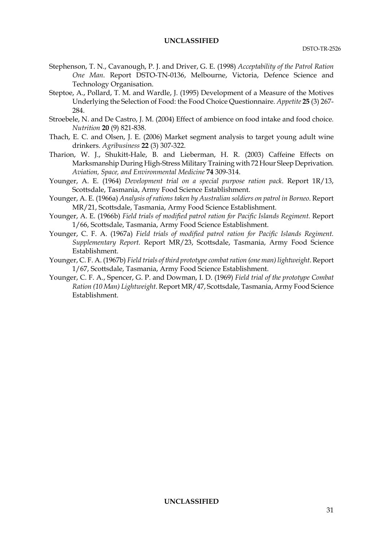- <span id="page-37-14"></span><span id="page-37-13"></span><span id="page-37-12"></span><span id="page-37-11"></span><span id="page-37-10"></span><span id="page-37-9"></span><span id="page-37-8"></span><span id="page-37-1"></span>Stephenson, T. N., Cavanough, P. J. and Driver, G. E. (1998) *Acceptability of the Patrol Ration One Man*. Report DSTO-TN-0136, Melbourne, Victoria, Defence Science and Technology Organisation.
- <span id="page-37-5"></span>Steptoe, A., Pollard, T. M. and Wardle, J. (1995) Development of a Measure of the Motives Underlying the Selection of Food: the Food Choice Questionnaire*. Appetite* **25** (3) 267- 284.
- <span id="page-37-4"></span>Stroebele, N. and De Castro, J. M. (2004) Effect of ambience on food intake and food choice*. Nutrition* **20** (9) 821-838.
- <span id="page-37-6"></span>Thach, E. C. and Olsen, J. E. (2006) Market segment analysis to target young adult wine drinkers*. Agribusiness* **22** (3) 307-322.
- <span id="page-37-7"></span>Tharion, W. J., Shukitt-Hale, B. and Lieberman, H. R. (2003) Caffeine Effects on Marksmanship During High-Stress Military Training with 72 Hour Sleep Deprivation*. Aviation, Space, and Environmental Medicine* **74** 309-314.
- <span id="page-37-2"></span>Younger, A. E. (1964) *Development trial on a special purpose ration pack*. Report 1R/13, Scottsdale, Tasmania, Army Food Science Establishment.
- Younger, A. E. (1966a) *Analysis of rations taken by Australian soldiers on patrol in Borneo*. Report MR/21, Scottsdale, Tasmania, Army Food Science Establishment.
- <span id="page-37-0"></span>Younger, A. E. (1966b) *Field trials of modified patrol ration for Pacific Islands Regiment.* Report 1/66, Scottsdale, Tasmania, Army Food Science Establishment.
- Younger, C. F. A. (1967a) *Field trials of modified patrol ration for Pacific Islands Regiment. Supplementary Report.* Report MR/23, Scottsdale, Tasmania, Army Food Science Establishment.
- <span id="page-37-3"></span>Younger, C. F. A. (1967b) *Field trials of third prototype combat ration (one man) lightweight*. Report 1/67, Scottsdale, Tasmania, Army Food Science Establishment.
- Younger, C. F. A., Spencer, G. P. and Dowman, I. D. (1969) *Field trial of the prototype Combat Ration (10 Man) Lightweight*. Report MR/47, Scottsdale, Tasmania, Army Food Science Establishment.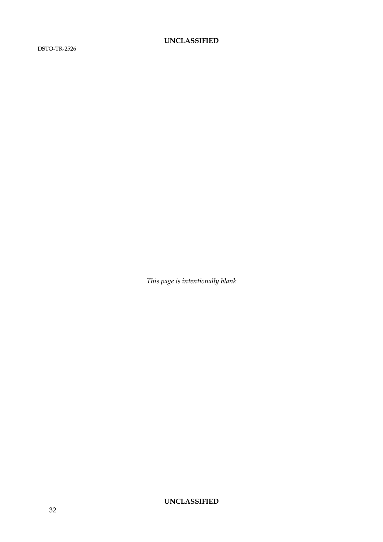<span id="page-38-0"></span>DSTO-TR-2526

*This page is intentionally blank*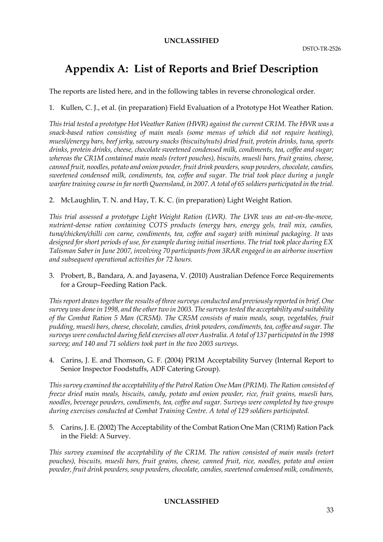# **Appendix A: List of Reports and Brief Description**

<span id="page-39-0"></span>The reports are listed here, and in the following tables in reverse chronological order.

1. Kullen, C. J., et al. (in preparation) Field Evaluation of a Prototype Hot Weather Ration.

*This trial tested a prototype Hot Weather Ration (HWR) against the current CR1M. The HWR was a snack-based ration consisting of main meals (some menus of which did not require heating), muesli/energy bars, beef jerky, savoury snacks (biscuits/nuts) dried fruit, protein drinks, tuna, sports drinks, protein drinks, cheese, chocolate sweetened condensed milk, condiments, tea, coffee and sugar; whereas the CR1M contained main meals (retort pouches), biscuits, muesli bars, fruit grains, cheese, canned fruit, noodles, potato and onion powder, fruit drink powders, soup powders, chocolate, candies, sweetened condensed milk, condiments, tea, coffee and sugar. The trial took place during a jungle warfare training course in far north Queensland, in 2007. A total of 65 soldiers participated in the trial.* 

2. McLaughlin, T. N. and Hay, T. K. C. (in preparation) Light Weight Ration.

*This trial assessed a prototype Light Weight Ration (LWR). The LWR was an eat-on-the-move, nutrient-dense ration containing COTS products (energy bars, energy gels, trail mix, candies, tuna/chicken/chilli con carne, condiments, tea, coffee and sugar) with minimal packaging. It was designed for short periods of use, for example during initial insertions. The trial took place during EX Talisman Saber in June 2007, involving 70 participants from 3RAR engaged in an airborne insertion and subsequent operational activities for 72 hours.* 

3. Probert, B., Bandara, A. and Jayasena, V. (2010) Australian Defence Force Requirements for a Group–Feeding Ration Pack.

*This report draws together the results of three surveys conducted and previously reported in brief. One survey was done in 1998, and the other two in 2003. The surveys tested the acceptability and suitability of the Combat Ration 5 Man (CR5M). The CR5M consists of main meals, soup, vegetables, fruit pudding, muesli bars, cheese, chocolate, candies, drink powders, condiments, tea, coffee and sugar. The surveys were conducted during field exercises all over Australia. A total of 137 participated in the 1998 survey; and 140 and 71 soldiers took part in the two 2003 surveys.* 

4. Carins, J. E. and Thomson, G. F. (2004) PR1M Acceptability Survey (Internal Report to Senior Inspector Foodstuffs, ADF Catering Group).

*This survey examined the acceptability of the Patrol Ration One Man (PR1M). The Ration consisted of freeze dried main meals, biscuits, candy, potato and onion powder, rice, fruit grains, muesli bars, noodles, beverage powders, condiments, tea, coffee and sugar. Surveys were completed by two groups during exercises conducted at Combat Training Centre. A total of 129 soldiers participated.* 

5. Carins, J. E. (2002) The Acceptability of the Combat Ration One Man (CR1M) Ration Pack in the Field: A Survey.

*This survey examined the acceptability of the CR1M. The ration consisted of main meals (retort pouches), biscuits, muesli bars, fruit grains, cheese, canned fruit, rice, noodles, potato and onion powder, fruit drink powders, soup powders, chocolate, candies, sweetened condensed milk, condiments,*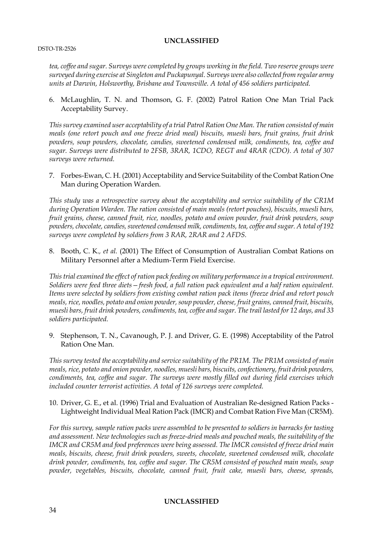*tea, coffee and sugar. Surveys were completed by groups working in the field. Two reserve groups were surveyed during exercise at Singleton and Puckapunyal. Surveys were also collected from regular army units at Darwin, Holsworthy, Brisbane and Townsville. A total of 456 soldiers participated.* 

6. McLaughlin, T. N. and Thomson, G. F. (2002) Patrol Ration One Man Trial Pack Acceptability Survey.

*This survey examined user acceptability of a trial Patrol Ration One Man. The ration consisted of main meals (one retort pouch and one freeze dried meal) biscuits, muesli bars, fruit grains, fruit drink powders, soup powders, chocolate, candies, sweetened condensed milk, condiments, tea, coffee and sugar. Surveys were distributed to 2FSB, 3RAR, 1CDO, REGT and 4RAR (CDO). A total of 307 surveys were returned.* 

7. Forbes-Ewan, C. H. (2001) Acceptability and Service Suitability of the Combat Ration One Man during Operation Warden.

*This study was a retrospective survey about the acceptability and service suitability of the CR1M during Operation Warden. The ration consisted of main meals (retort pouches), biscuits, muesli bars, fruit grains, cheese, canned fruit, rice, noodles, potato and onion powder, fruit drink powders, soup powders, chocolate, candies, sweetened condensed milk, condiments, tea, coffee and sugar. A total of 192 surveys were completed by soldiers from 3 RAR, 2RAR and 2 AFDS.* 

8. Booth, C. K.*, et al.* (2001) The Effect of Consumption of Australian Combat Rations on Military Personnel after a Medium-Term Field Exercise.

*This trial examined the effect of ration pack feeding on military performance in a tropical environment. Soldiers were feed three diets—fresh food, a full ration pack equivalent and a half ration equivalent. Items were selected by soldiers from existing combat ration pack items (freeze dried and retort pouch meals, rice, noodles, potato and onion powder, soup powder, cheese, fruit grains, canned fruit, biscuits, muesli bars, fruit drink powders, condiments, tea, coffee and sugar. The trail lasted for 12 days, and 33 soldiers participated.* 

9. Stephenson, T. N., Cavanough, P. J. and Driver, G. E. (1998) Acceptability of the Patrol Ration One Man.

*This survey tested the acceptability and service suitability of the PR1M. The PR1M consisted of main meals, rice, potato and onion powder, noodles, muesli bars, biscuits, confectionery, fruit drink powders, condiments, tea, coffee and sugar. The surveys were mostly filled out during field exercises which included counter terrorist activities. A total of 126 surveys were completed.* 

## 10. Driver, G. E., et al. (1996) Trial and Evaluation of Australian Re-designed Ration Packs - Lightweight Individual Meal Ration Pack (IMCR) and Combat Ration Five Man (CR5M).

*For this survey, sample ration packs were assembled to be presented to soldiers in barracks for tasting and assessment. New technologies such as freeze-dried meals and pouched meals, the suitability of the IMCR and CR5M and food preferences were being assessed. The IMCR consisted of freeze dried main meals, biscuits, cheese, fruit drink powders, sweets, chocolate, sweetened condensed milk, chocolate drink powder, condiments, tea, coffee and sugar. The CR5M consisted of pouched main meals, soup powder, vegetables, biscuits, chocolate, canned fruit, fruit cake, muesli bars, cheese, spreads,*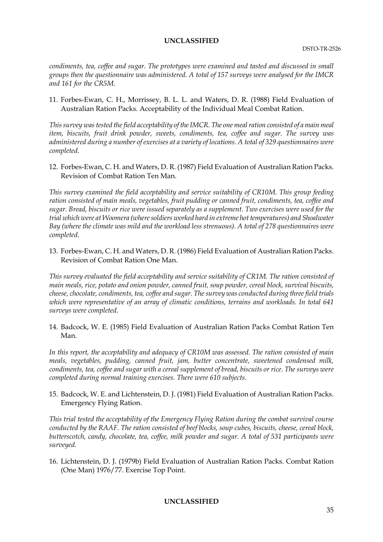*condiments, tea, coffee and sugar. The prototypes were examined and tasted and discussed in small groups then the questionnaire was administered. A total of 157 surveys were analysed for the IMCR and 161 for the CR5M.* 

11. Forbes-Ewan, C. H., Morrissey, B. L. L. and Waters, D. R. (1988) Field Evaluation of Australian Ration Packs. Acceptability of the Individual Meal Combat Ration.

*This survey was tested the field acceptability of the IMCR. The one meal ration consisted of a main meal item, biscuits, fruit drink powder, sweets, condiments, tea, coffee and sugar. The survey was administered during a number of exercises at a variety of locations. A total of 329 questionnaires were completed.* 

12. Forbes-Ewan, C. H. and Waters, D. R. (1987) Field Evaluation of Australian Ration Packs. Revision of Combat Ration Ten Man.

*This survey examined the field acceptability and service suitability of CR10M. This group feeding ration consisted of main meals, vegetables, fruit pudding or canned fruit, condiments, tea, coffee and sugar. Bread, biscuits or rice were issued separately as a supplement. Two exercises were used for the trial which were at Woomera (where soldiers worked hard in extreme hot temperatures) and Shoalwater Bay (where the climate was mild and the workload less strenuous). A total of 278 questionnaires were completed.* 

13. Forbes-Ewan, C. H. and Waters, D. R. (1986) Field Evaluation of Australian Ration Packs. Revision of Combat Ration One Man.

*This survey evaluated the field acceptability and service suitability of CR1M. The ration consisted of main meals, rice, potato and onion powder, canned fruit, soup powder, cereal block, survival biscuits, cheese, chocolate, condiments, tea, coffee and sugar. The survey was conducted during three field trials which were representative of an array of climatic conditions, terrains and workloads. In total 641 surveys were completed.* 

14. Badcock, W. E. (1985) Field Evaluation of Australian Ration Packs Combat Ration Ten Man.

*In this report, the acceptability and adequacy of CR10M was assessed. The ration consisted of main meals, vegetables, pudding, canned fruit, jam, butter concentrate, sweetened condensed milk, condiments, tea, coffee and sugar with a cereal supplement of bread, biscuits or rice. The surveys were completed during normal training exercises. There were 610 subjects.* 

15. Badcock, W. E. and Lichtenstein, D. J. (1981) Field Evaluation of Australian Ration Packs. Emergency Flying Ration.

*This trial tested the acceptability of the Emergency Flying Ration during the combat survival course conducted by the RAAF. The ration consisted of beef blocks, soup cubes, biscuits, cheese, cereal block, butterscotch, candy, chocolate, tea, coffee, milk powder and sugar. A total of 531 participants were surveyed.* 

16. Lichtenstein, D. J. (1979b) Field Evaluation of Australian Ration Packs. Combat Ration (One Man) 1976/77. Exercise Top Point.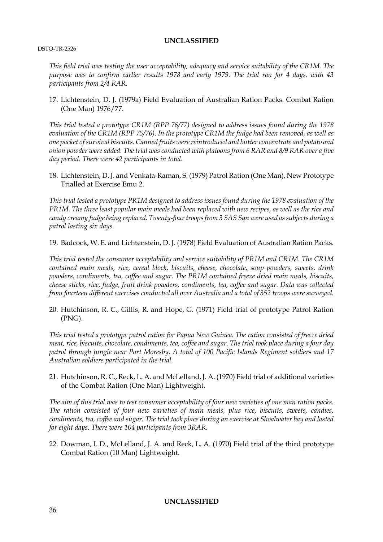#### DSTO-TR-2526

*This field trial was testing the user acceptability, adequacy and service suitability of the CR1M. The purpose was to confirm earlier results 1978 and early 1979. The trial ran for 4 days, with 43 participants from 2/4 RAR.* 

17. Lichtenstein, D. J. (1979a) Field Evaluation of Australian Ration Packs. Combat Ration (One Man) 1976/77.

*This trial tested a prototype CR1M (RPP 76/77) designed to address issues found during the 1978 evaluation of the CR1M (RPP 75/76). In the prototype CR1M the fudge had been removed, as well as one packet of survival biscuits. Canned fruits were reintroduced and butter concentrate and potato and onion powder were added. The trial was conducted with platoons from 6 RAR and 8/9 RAR over a five day period. There were 42 participants in total.* 

18. Lichtenstein, D. J. and Venkata-Raman, S. (1979) Patrol Ration (One Man), New Prototype Trialled at Exercise Emu 2.

*This trial tested a prototype PR1M designed to address issues found during the 1978 evaluation of the PR1M. The three least popular main meals had been replaced with new recipes, as well as the rice and candy creamy fudge being replaced. Twenty-four troops from 3 SAS Sqn were used as subjects during a patrol lasting six days.* 

19. Badcock, W. E. and Lichtenstein, D. J. (1978) Field Evaluation of Australian Ration Packs.

*This trial tested the consumer acceptability and service suitability of PR1M and CR1M. The CR1M contained main meals, rice, cereal block, biscuits, cheese, chocolate, soup powders, sweets, drink powders, condiments, tea, coffee and sugar. The PR1M contained freeze dried main meals, biscuits, cheese sticks, rice, fudge, fruit drink powders, condiments, tea, coffee and sugar. Data was collected from fourteen different exercises conducted all over Australia and a total of 352 troops were surveyed.* 

20. Hutchinson, R. C., Gillis, R. and Hope, G. (1971) Field trial of prototype Patrol Ration (PNG).

*This trial tested a prototype patrol ration for Papua New Guinea. The ration consisted of freeze dried meat, rice, biscuits, chocolate, condiments, tea, coffee and sugar. The trial took place during a four day patrol through jungle near Port Moresby. A total of 100 Pacific Islands Regiment soldiers and 17 Australian soldiers participated in the trial.* 

21. Hutchinson, R. C., Reck, L. A. and McLelland, J. A. (1970) Field trial of additional varieties of the Combat Ration (One Man) Lightweight.

*The aim of this trial was to test consumer acceptability of four new varieties of one man ration packs. The ration consisted of four new varieties of main meals, plus rice, biscuits, sweets, candies, condiments, tea, coffee and sugar. The trial took place during an exercise at Shoalwater bay and lasted for eight days. There were 104 participants from 3RAR.* 

22. Dowman, I. D., McLelland, J. A. and Reck, L. A. (1970) Field trial of the third prototype Combat Ration (10 Man) Lightweight.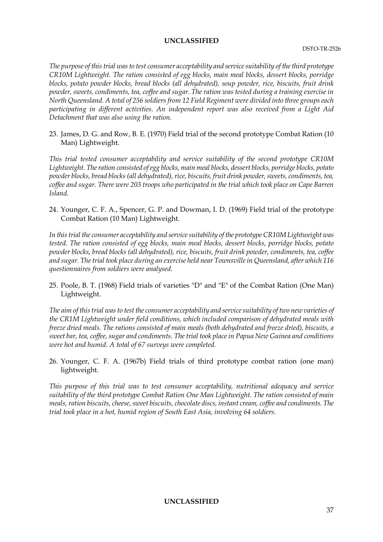*The purpose of this trial was to test consumer acceptability and service suitability of the third prototype CR10M Lightweight. The ration consisted of egg blocks, main meal blocks, dessert blocks, porridge blocks, potato powder blocks, bread blocks (all dehydrated), soup powder, rice, biscuits, fruit drink powder, sweets, condiments, tea, coffee and sugar. The ration was tested during a training exercise in North Queensland. A total of 256 soldiers from 12 Field Regiment were divided into three groups each participating in different activities. An independent report was also received from a Light Aid Detachment that was also using the ration.* 

23. James, D. G. and Row, B. E. (1970) Field trial of the second prototype Combat Ration (10 Man) Lightweight.

*This trial tested consumer acceptability and service suitability of the second prototype CR10M Lightweight. The ration consisted of egg blocks, main meal blocks, dessert blocks, porridge blocks, potato powder blocks, bread blocks (all dehydrated), rice, biscuits, fruit drink powder, sweets, condiments, tea, coffee and sugar. There were 203 troops who participated in the trial which took place on Cape Barren Island.* 

24. Younger, C. F. A., Spencer, G. P. and Dowman, I. D. (1969) Field trial of the prototype Combat Ration (10 Man) Lightweight.

*In this trial the consumer acceptability and service suitability of the prototype CR10M Lightweight was tested. The ration consisted of egg blocks, main meal blocks, dessert blocks, porridge blocks, potato powder blocks, bread blocks (all dehydrated), rice, biscuits, fruit drink powder, condiments, tea, coffee and sugar. The trial took place during an exercise held near Townsville in Queensland, after which 116 questionnaires from soldiers were analysed.* 

25. Poole, B. T. (1968) Field trials of varieties "D" and "E" of the Combat Ration (One Man) Lightweight.

*The aim of this trial was to test the consumer acceptability and service suitability of two new varieties of the CR1M Lightweight under field conditions, which included comparison of dehydrated meals with freeze dried meals. The rations consisted of main meals (both dehydrated and freeze dried), biscuits, a sweet bar, tea, coffee, sugar and condiments. The trial took place in Papua New Guinea and conditions were hot and humid. A total of 67 surveys were completed.* 

26. Younger, C. F. A. (1967b) Field trials of third prototype combat ration (one man) lightweight.

*This purpose of this trial was to test consumer acceptability, nutritional adequacy and service suitability of the third prototype Combat Ration One Man Lightweight. The ration consisted of main meals, ration biscuits, cheese, sweet biscuits, chocolate discs, instant cream, coffee and condiments. The trial took place in a hot, humid region of South East Asia, involving 64 soldiers.*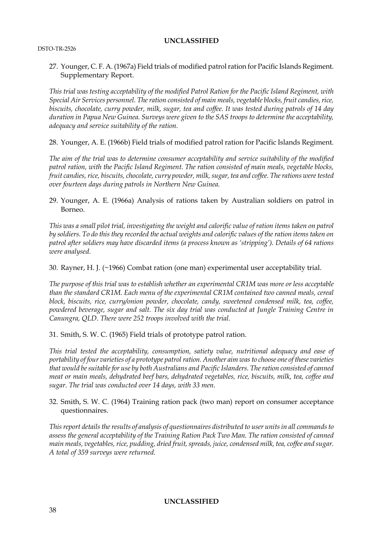DSTO-TR-2526

27. Younger, C. F. A. (1967a) Field trials of modified patrol ration for Pacific Islands Regiment. Supplementary Report.

*This trial was testing acceptability of the modified Patrol Ration for the Pacific Island Regiment, with Special Air Services personnel. The ration consisted of main meals, vegetable blocks, fruit candies, rice, biscuits, chocolate, curry powder, milk, sugar, tea and coffee. It was tested during patrols of 14 day duration in Papua New Guinea. Surveys were given to the SAS troops to determine the acceptability, adequacy and service suitability of the ration.* 

28. Younger, A. E. (1966b) Field trials of modified patrol ration for Pacific Islands Regiment.

*The aim of the trial was to determine consumer acceptability and service suitability of the modified patrol ration, with the Pacific Island Regiment. The ration consisted of main meals, vegetable blocks, fruit candies, rice, biscuits, chocolate, curry powder, milk, sugar, tea and coffee. The rations were tested over fourteen days during patrols in Northern New Guinea.* 

### 29. Younger, A. E. (1966a) Analysis of rations taken by Australian soldiers on patrol in Borneo.

*This was a small pilot trial, investigating the weight and calorific value of ration items taken on patrol by soldiers. To do this they recorded the actual weights and calorific values of the ration items taken on patrol after soldiers may have discarded items (a process known as 'stripping'). Details of 64 rations were analysed.* 

30. Rayner, H. J. (~1966) Combat ration (one man) experimental user acceptability trial.

*The purpose of this trial was to establish whether an experimental CR1M was more or less acceptable than the standard CR1M. Each menu of the experimental CR1M contained two canned meals, cereal block, biscuits, rice, curry/onion powder, chocolate, candy, sweetened condensed milk, tea, coffee, powdered beverage, sugar and salt. The six day trial was conducted at Jungle Training Centre in Canungra, QLD. There were 252 troops involved with the trial.* 

31. Smith, S. W. C. (1965) Field trials of prototype patrol ration.

*This trial tested the acceptability, consumption, satiety value, nutritional adequacy and ease of portability of four varieties of a prototype patrol ration. Another aim was to choose one of these varieties that would be suitable for use by both Australians and Pacific Islanders. The ration consisted of canned meat or main meals, dehydrated beef bars, dehydrated vegetables, rice, biscuits, milk, tea, coffee and sugar. The trial was conducted over 14 days, with 33 men.* 

32. Smith, S. W. C. (1964) Training ration pack (two man) report on consumer acceptance questionnaires.

*This report details the results of analysis of questionnaires distributed to user units in all commands to assess the general acceptability of the Training Ration Pack Two Man. The ration consisted of canned main meals, vegetables, rice, pudding, dried fruit, spreads, juice, condensed milk, tea, coffee and sugar. A total of 359 surveys were returned.*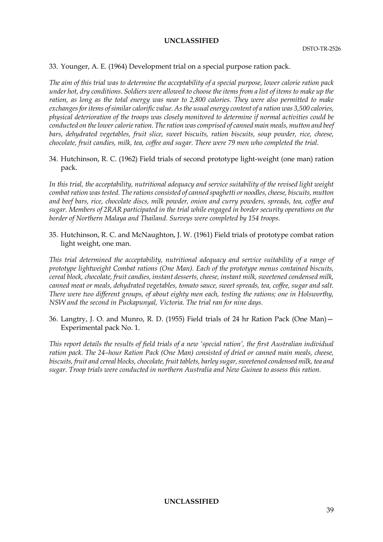## 33. Younger, A. E. (1964) Development trial on a special purpose ration pack.

*The aim of this trial was to determine the acceptability of a special purpose, lower calorie ration pack under hot, dry conditions. Soldiers were allowed to choose the items from a list of items to make up the ration, as long as the total energy was near to 2,800 calories. They were also permitted to make exchanges for items of similar calorific value. As the usual energy content of a ration was 3,500 calories, physical deterioration of the troops was closely monitored to determine if normal activities could be conducted on the lower calorie ration. The ration was comprised of canned main meals, mutton and beef bars, dehydrated vegetables, fruit slice, sweet biscuits, ration biscuits, soup powder, rice, cheese, chocolate, fruit candies, milk, tea, coffee and sugar. There were 79 men who completed the trial.* 

34. Hutchinson, R. C. (1962) Field trials of second prototype light-weight (one man) ration pack.

*In this trial, the acceptability, nutritional adequacy and service suitability of the revised light weight combat ration was tested. The rations consisted of canned spaghetti or noodles, cheese, biscuits, mutton and beef bars, rice, chocolate discs, milk powder, onion and curry powders, spreads, tea, coffee and sugar. Members of 2RAR participated in the trial while engaged in border security operations on the border of Northern Malaya and Thailand. Surveys were completed by 154 troops.* 

35. Hutchinson, R. C. and McNaughton, J. W. (1961) Field trials of prototype combat ration light weight, one man.

*This trial determined the acceptability, nutritional adequacy and service suitability of a range of prototype lightweight Combat rations (One Man). Each of the prototype menus contained biscuits, cereal block, chocolate, fruit candies, instant desserts, cheese, instant milk, sweetened condensed milk, canned meat or meals, dehydrated vegetables, tomato sauce, sweet spreads, tea, coffee, sugar and salt. There were two different groups, of about eighty men each, testing the rations; one in Holsworthy, NSW and the second in Puckapunyal, Victoria. The trial ran for nine days.* 

36. Langtry, J. O. and Munro, R. D. (1955) Field trials of 24 hr Ration Pack (One Man)— Experimental pack No. 1.

*This report details the results of field trials of a new 'special ration', the first Australian individual ration pack. The 24–hour Ration Pack (One Man) consisted of dried or canned main meals, cheese, biscuits, fruit and cereal blocks, chocolate, fruit tablets, barley sugar, sweetened condensed milk, tea and sugar. Troop trials were conducted in northern Australia and New Guinea to assess this ration.*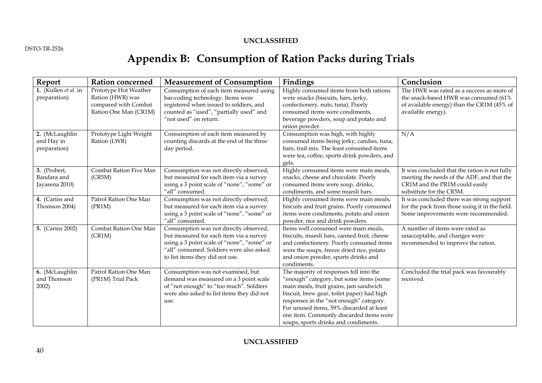# **Appendix B: Consumption of Ration Packs during Trials**

<span id="page-46-0"></span>

| Report                                        | <b>Ration concerned</b>                                                                    | <b>Measurement of Consumption</b>                                                                                                                                                                              | Findings                                                                                                                                                                                                                                                                                                                                             | Conclusion                                                                                                                                                |
|-----------------------------------------------|--------------------------------------------------------------------------------------------|----------------------------------------------------------------------------------------------------------------------------------------------------------------------------------------------------------------|------------------------------------------------------------------------------------------------------------------------------------------------------------------------------------------------------------------------------------------------------------------------------------------------------------------------------------------------------|-----------------------------------------------------------------------------------------------------------------------------------------------------------|
| 1. (Kullen et al. in<br>preparation)          | Prototype Hot Weather<br>Ration (HWR) was<br>compared with Combat<br>Ration One Man (CR1M) | Consumption of each item measured using<br>bar-coding technology. Items were<br>registered when issued to soldiers, and<br>counted as "used", "partially used" and<br>"not used" on return.                    | Highly consumed items from both rations<br>were snacks (biscuits, bars, jerky,<br>confectionery, nuts, tuna). Poorly<br>consumed items were condiments,<br>beverage powders, soup and potato and<br>onion powder.                                                                                                                                    | The HWR was rated as a success as more of<br>the snack-based HWR was consumed (61%<br>of available energy) than the CR1M (45% of<br>available energy).    |
| 2. (McLaughlin<br>and Hay in<br>preparation)  | Prototype Light Weight<br>Ration (LWR)                                                     | Consumption of each item measured by<br>counting discards at the end of the three<br>day period.                                                                                                               | Consumption was high, with highly<br>consumed items being jerky, candies, tuna,<br>bars, trail mix. The least consumed items<br>were tea, coffee, sports drink powders, and<br>gels.                                                                                                                                                                 | N/A                                                                                                                                                       |
| 3. (Probert,<br>Bandara and<br>Jayasena 2010) | Combat Ration Five Man<br>(CR5M)                                                           | Consumption was not directly observed,<br>but measured for each item via a survey<br>using a 3 point scale of "none", "some" or<br>"all" consumed.                                                             | Highly consumed items were main meals,<br>snacks, cheese and chocolate. Poorly<br>consumed items were soup, drinks,<br>condiments, and some muesli bars.                                                                                                                                                                                             | It was concluded that the ration is not fully<br>meeting the needs of the ADF, and that the<br>CR1M and the PR1M could easily<br>substitute for the CR5M. |
| 4. (Carins and<br>Thomson 2004)               | Patrol Ration One Man<br>(PR1M)                                                            | Consumption was not directly observed,<br>but measured for each item via a survey<br>using a 3 point scale of "none", "some" or<br>"all" consumed.                                                             | Highly consumed items were main meals,<br>biscuits and fruit grains. Poorly consumed<br>items were condiments, potato and onion<br>powder, rice and drink powders.                                                                                                                                                                                   | It was concluded there was strong support<br>for the pack from those using it in the field.<br>Some improvements were recommended.                        |
| <b>5.</b> (Carins 2002)                       | Combat Ration One Man<br>(CR1M)                                                            | Consumption was not directly observed,<br>but measured for each item via a survey<br>using a 3 point scale of "none", "some" or<br>"all" consumed. Soldiers were also asked<br>to list items they did not use. | Items well consumed were main meals,<br>biscuits, muesli bars, canned fruit, cheese<br>and confectionery. Poorly consumed items<br>were the soups, freeze dried rice, potato<br>and onion powder, sports drinks and<br>condiments.                                                                                                                   | A number of items were rated as<br>unacceptable, and changes were<br>recommended to improve the ration.                                                   |
| 6. (McLaughlin<br>and Thomson<br>2002)        | Patrol Ration One Man<br>(PR1M) Trial Pack                                                 | Consumption was not examined, but<br>demand was measured on a 3 point scale<br>of "not enough" to "too much". Soldiers<br>were also asked to list items they did not<br>use.                                   | The majority of responses fell into the<br>"enough" category, but some items (some<br>main meals, fruit grains, jam sandwich<br>biscuit, brew gear, toilet paper) had high<br>responses in the "not enough" category.<br>For unused items, 59% discarded at least<br>one item. Commonly discarded items were<br>soups, sports drinks and condiments. | Concluded the trial pack was favourably<br>received.                                                                                                      |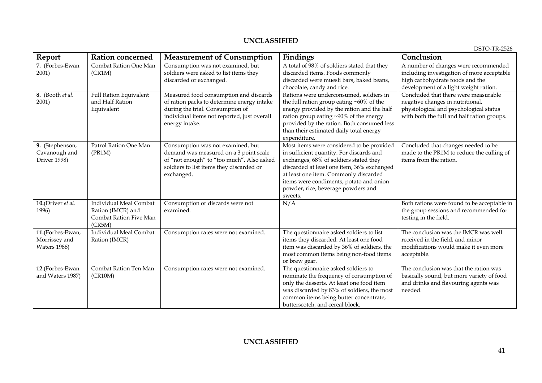DSTO-TR-2526

| Report                                                   | <b>Ration concerned</b>                                                                | <b>Measurement of Consumption</b>                                                                                                                                                         | Findings                                                                                                                                                                                                                                                                                                           | Conclusion                                                                                                                                                       |
|----------------------------------------------------------|----------------------------------------------------------------------------------------|-------------------------------------------------------------------------------------------------------------------------------------------------------------------------------------------|--------------------------------------------------------------------------------------------------------------------------------------------------------------------------------------------------------------------------------------------------------------------------------------------------------------------|------------------------------------------------------------------------------------------------------------------------------------------------------------------|
| 7. (Forbes-Ewan<br>2001)                                 | Combat Ration One Man<br>(CR1M)                                                        | Consumption was not examined, but<br>soldiers were asked to list items they<br>discarded or exchanged.                                                                                    | A total of 98% of soldiers stated that they<br>discarded items. Foods commonly<br>discarded were muesli bars, baked beans,<br>chocolate, candy and rice.                                                                                                                                                           | A number of changes were recommended<br>including investigation of more acceptable<br>high carbohydrate foods and the<br>development of a light weight ration.   |
| 8. (Booth et al.<br>2001)                                | <b>Full Ration Equivalent</b><br>and Half Ration<br>Equivalent                         | Measured food consumption and discards<br>of ration packs to determine energy intake<br>during the trial. Consumption of<br>individual items not reported, just overall<br>energy intake. | Rations were underconsumed, soldiers in<br>the full ration group eating $~60\%$ of the<br>energy provided by the ration and the half<br>ration group eating ~90% of the energy<br>provided by the ration. Both consumed less<br>than their estimated daily total energy<br>expenditure.                            | Concluded that there were measurable<br>negative changes in nutritional,<br>physiological and psychological status<br>with both the full and half ration groups. |
| 9. (Stephenson,<br>Cavanough and<br>Driver 1998)         | Patrol Ration One Man<br>(PR1M)                                                        | Consumption was not examined, but<br>demand was measured on a 3 point scale<br>of "not enough" to "too much". Also asked<br>soldiers to list items they discarded or<br>exchanged.        | Most items were considered to be provided<br>in sufficient quantity. For discards and<br>exchanges, 68% of soldiers stated they<br>discarded at least one item, 36% exchanged<br>at least one item. Commonly discarded<br>items were condiments, potato and onion<br>powder, rice, beverage powders and<br>sweets. | Concluded that changes needed to be<br>made to the PR1M to reduce the culling of<br>items from the ration.                                                       |
| 10.(Driver et al.<br>1996)                               | <b>Individual Meal Combat</b><br>Ration (IMCR) and<br>Combat Ration Five Man<br>(CR5M) | Consumption or discards were not<br>examined.                                                                                                                                             | N/A                                                                                                                                                                                                                                                                                                                | Both rations were found to be acceptable in<br>the group sessions and recommended for<br>testing in the field.                                                   |
| 11.(Forbes-Ewan,<br>Morrissey and<br><b>Waters 1988)</b> | <b>Individual Meal Combat</b><br>Ration (IMCR)                                         | Consumption rates were not examined.                                                                                                                                                      | The questionnaire asked soldiers to list<br>items they discarded. At least one food<br>item was discarded by 36% of soldiers, the<br>most common items being non-food items<br>or brew gear.                                                                                                                       | The conclusion was the IMCR was well<br>received in the field, and minor<br>modifications would make it even more<br>acceptable.                                 |
| 12.(Forbes-Ewan<br>and Waters 1987)                      | Combat Ration Ten Man<br>(CR10M)                                                       | Consumption rates were not examined.                                                                                                                                                      | The questionnaire asked soldiers to<br>nominate the frequency of consumption of<br>only the desserts. At least one food item<br>was discarded by 83% of soldiers, the most<br>common items being butter concentrate,<br>butterscotch, and cereal block.                                                            | The conclusion was that the ration was<br>basically sound, but more variety of food<br>and drinks and flavouring agents was<br>needed.                           |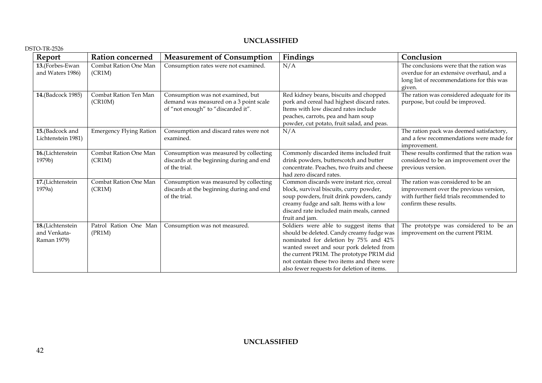#### DSTO-TR-2526

| Report                                          | <b>Ration concerned</b>          | <b>Measurement of Consumption</b>                                                                                 | Findings                                                                                                                                                                                                                                                                                                          | Conclusion                                                                                                                                         |
|-------------------------------------------------|----------------------------------|-------------------------------------------------------------------------------------------------------------------|-------------------------------------------------------------------------------------------------------------------------------------------------------------------------------------------------------------------------------------------------------------------------------------------------------------------|----------------------------------------------------------------------------------------------------------------------------------------------------|
| 13.(Forbes-Ewan<br>and Waters 1986)             | Combat Ration One Man<br>(CR1M)  | Consumption rates were not examined.                                                                              | N/A                                                                                                                                                                                                                                                                                                               | The conclusions were that the ration was<br>overdue for an extensive overhaul, and a<br>long list of recommendations for this was<br>given.        |
| 14.(Badcock 1985)                               | Combat Ration Ten Man<br>(CR10M) | Consumption was not examined, but<br>demand was measured on a 3 point scale<br>of "not enough" to "discarded it". | Red kidney beans, biscuits and chopped<br>pork and cereal had highest discard rates.<br>Items with low discard rates include<br>peaches, carrots, pea and ham soup<br>powder, cut potato, fruit salad, and peas.                                                                                                  | The ration was considered adequate for its<br>purpose, but could be improved.                                                                      |
| 15.(Badcock and<br>Lichtenstein 1981)           | <b>Emergency Flying Ration</b>   | Consumption and discard rates were not<br>examined.                                                               | N/A                                                                                                                                                                                                                                                                                                               | The ration pack was deemed satisfactory,<br>and a few recommendations were made for<br>improvement.                                                |
| 16.(Lichtenstein<br>1979b)                      | Combat Ration One Man<br>(CR1M)  | Consumption was measured by collecting<br>discards at the beginning during and end<br>of the trial.               | Commonly discarded items included fruit<br>drink powders, butterscotch and butter<br>concentrate. Peaches, two fruits and cheese<br>had zero discard rates.                                                                                                                                                       | These results confirmed that the ration was<br>considered to be an improvement over the<br>previous version.                                       |
| 17.(Lichtenstein<br>1979a)                      | Combat Ration One Man<br>(CR1M)  | Consumption was measured by collecting<br>discards at the beginning during and end<br>of the trial.               | Common discards were instant rice, cereal<br>block, survival biscuits, curry powder,<br>soup powders, fruit drink powders, candy<br>creamy fudge and salt. Items with a low<br>discard rate included main meals, canned<br>fruit and jam.                                                                         | The ration was considered to be an<br>improvement over the previous version,<br>with further field trials recommended to<br>confirm these results. |
| 18.(Lichtenstein<br>and Venkata-<br>Raman 1979) | Patrol Ration One Man<br>(PR1M)  | Consumption was not measured.                                                                                     | Soldiers were able to suggest items that<br>should be deleted. Candy creamy fudge was<br>nominated for deletion by 75% and 42%<br>wanted sweet and sour pork deleted from<br>the current PR1M. The prototype PR1M did<br>not contain these two items and there were<br>also fewer requests for deletion of items. | The prototype was considered to be an<br>improvement on the current PR1M.                                                                          |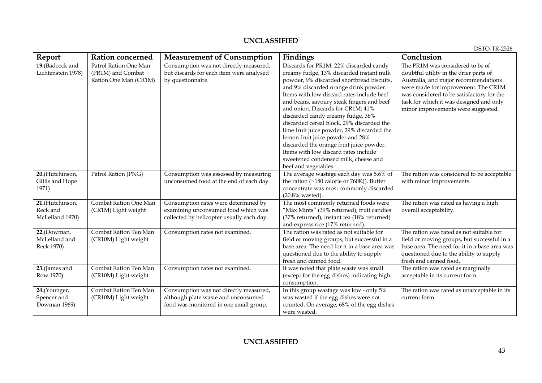| The PR1M was considered to be of<br>Consumption was not directly measured,<br>Discards for PR1M: 22% discarded candy<br>19.(Badcock and<br>Patrol Ration One Man<br>but discards for each item were analysed<br>(PR1M) and Combat<br>creamy fudge, 13% discarded instant milk<br>Lichtenstein 1978)<br>doubtful utility in the drier parts of<br>Ration One Man (CR1M)<br>by questionnaire.<br>powder, 9% discarded shortbread biscuits,<br>Australia, and major recommendations<br>and 9% discarded orange drink powder.<br>were made for improvement. The CR1M<br>Items with low discard rates include beef<br>was considered to be satisfactory for the<br>and beans, savoury steak fingers and beef<br>task for which it was designed and only<br>and onion. Discards for CR1M: 41%<br>minor improvements were suggested.<br>discarded candy creamy fudge, 36%<br>discarded cereal block, 29% discarded the<br>lime fruit juice powder, 29% discarded the<br>lemon fruit juice powder and 28%<br>discarded the orange fruit juice powder.<br>Items with low discard rates include<br>sweetened condensed milk, cheese and<br>beef and vegetables.<br>The average wastage each day was 5.6% of<br>20.(Hutchinson,<br>Patrol Ration (PNG)<br>Consumption was assessed by measuring<br>The ration was considered to be acceptable<br>unconsumed food at the end of each day.<br>the ration (~180 calorie or 760KJ). Butter<br>with minor improvements.<br>Gillis and Hope<br>concentrate was most commonly discarded<br>1971)<br>$(20.8%$ wasted).<br>Combat Ration One Man<br>Consumption rates were determined by<br>The most commonly returned foods were<br>The ration was rated as having a high<br>21.(Hutchinson,<br>examining unconsumed food which was<br>Reck and<br>(CR1M) Light weight<br>"Max Mints" (39% returned), fruit candies<br>overall acceptability.<br>collected by helicopter usually each day.<br>(37% returned), instant tea (18% returned)<br>McLelland 1970)<br>and express rice (17% returned).<br>Combat Ration Ten Man<br>The ration was rated as not suitable for<br>The ration was rated as not suitable for<br>Consumption rates not examined.<br>22.(Dowman,<br>McLelland and<br>field or moving groups, but successful in a<br>(CR10M) Light weight<br>field or moving groups, but successful in a<br>base area. The need for it in a base area was<br>base area. The need for it in a base area was<br>Reck 1970)<br>questioned due to the ability to supply<br>questioned due to the ability to supply<br>fresh and canned food.<br>fresh and canned food.<br>Combat Ration Ten Man<br>The ration was rated as marginally<br>Consumption rates not examined.<br>It was noted that plate waste was small<br>23.(James and | Report | <b>Ration concerned</b> | <b>Measurement of Consumption</b> | Findings | Conclusion |
|----------------------------------------------------------------------------------------------------------------------------------------------------------------------------------------------------------------------------------------------------------------------------------------------------------------------------------------------------------------------------------------------------------------------------------------------------------------------------------------------------------------------------------------------------------------------------------------------------------------------------------------------------------------------------------------------------------------------------------------------------------------------------------------------------------------------------------------------------------------------------------------------------------------------------------------------------------------------------------------------------------------------------------------------------------------------------------------------------------------------------------------------------------------------------------------------------------------------------------------------------------------------------------------------------------------------------------------------------------------------------------------------------------------------------------------------------------------------------------------------------------------------------------------------------------------------------------------------------------------------------------------------------------------------------------------------------------------------------------------------------------------------------------------------------------------------------------------------------------------------------------------------------------------------------------------------------------------------------------------------------------------------------------------------------------------------------------------------------------------------------------------------------------------------------------------------------------------------------------------------------------------------------------------------------------------------------------------------------------------------------------------------------------------------------------------------------------------------------------------------------------------------------------------------------------------------------------------------------------------------------------------------------------------------------------------------------------------------------------------------------------------|--------|-------------------------|-----------------------------------|----------|------------|
|                                                                                                                                                                                                                                                                                                                                                                                                                                                                                                                                                                                                                                                                                                                                                                                                                                                                                                                                                                                                                                                                                                                                                                                                                                                                                                                                                                                                                                                                                                                                                                                                                                                                                                                                                                                                                                                                                                                                                                                                                                                                                                                                                                                                                                                                                                                                                                                                                                                                                                                                                                                                                                                                                                                                                                |        |                         |                                   |          |            |
|                                                                                                                                                                                                                                                                                                                                                                                                                                                                                                                                                                                                                                                                                                                                                                                                                                                                                                                                                                                                                                                                                                                                                                                                                                                                                                                                                                                                                                                                                                                                                                                                                                                                                                                                                                                                                                                                                                                                                                                                                                                                                                                                                                                                                                                                                                                                                                                                                                                                                                                                                                                                                                                                                                                                                                |        |                         |                                   |          |            |
|                                                                                                                                                                                                                                                                                                                                                                                                                                                                                                                                                                                                                                                                                                                                                                                                                                                                                                                                                                                                                                                                                                                                                                                                                                                                                                                                                                                                                                                                                                                                                                                                                                                                                                                                                                                                                                                                                                                                                                                                                                                                                                                                                                                                                                                                                                                                                                                                                                                                                                                                                                                                                                                                                                                                                                |        |                         |                                   |          |            |
|                                                                                                                                                                                                                                                                                                                                                                                                                                                                                                                                                                                                                                                                                                                                                                                                                                                                                                                                                                                                                                                                                                                                                                                                                                                                                                                                                                                                                                                                                                                                                                                                                                                                                                                                                                                                                                                                                                                                                                                                                                                                                                                                                                                                                                                                                                                                                                                                                                                                                                                                                                                                                                                                                                                                                                |        |                         |                                   |          |            |
|                                                                                                                                                                                                                                                                                                                                                                                                                                                                                                                                                                                                                                                                                                                                                                                                                                                                                                                                                                                                                                                                                                                                                                                                                                                                                                                                                                                                                                                                                                                                                                                                                                                                                                                                                                                                                                                                                                                                                                                                                                                                                                                                                                                                                                                                                                                                                                                                                                                                                                                                                                                                                                                                                                                                                                |        |                         |                                   |          |            |
|                                                                                                                                                                                                                                                                                                                                                                                                                                                                                                                                                                                                                                                                                                                                                                                                                                                                                                                                                                                                                                                                                                                                                                                                                                                                                                                                                                                                                                                                                                                                                                                                                                                                                                                                                                                                                                                                                                                                                                                                                                                                                                                                                                                                                                                                                                                                                                                                                                                                                                                                                                                                                                                                                                                                                                |        |                         |                                   |          |            |
|                                                                                                                                                                                                                                                                                                                                                                                                                                                                                                                                                                                                                                                                                                                                                                                                                                                                                                                                                                                                                                                                                                                                                                                                                                                                                                                                                                                                                                                                                                                                                                                                                                                                                                                                                                                                                                                                                                                                                                                                                                                                                                                                                                                                                                                                                                                                                                                                                                                                                                                                                                                                                                                                                                                                                                |        |                         |                                   |          |            |
|                                                                                                                                                                                                                                                                                                                                                                                                                                                                                                                                                                                                                                                                                                                                                                                                                                                                                                                                                                                                                                                                                                                                                                                                                                                                                                                                                                                                                                                                                                                                                                                                                                                                                                                                                                                                                                                                                                                                                                                                                                                                                                                                                                                                                                                                                                                                                                                                                                                                                                                                                                                                                                                                                                                                                                |        |                         |                                   |          |            |
|                                                                                                                                                                                                                                                                                                                                                                                                                                                                                                                                                                                                                                                                                                                                                                                                                                                                                                                                                                                                                                                                                                                                                                                                                                                                                                                                                                                                                                                                                                                                                                                                                                                                                                                                                                                                                                                                                                                                                                                                                                                                                                                                                                                                                                                                                                                                                                                                                                                                                                                                                                                                                                                                                                                                                                |        |                         |                                   |          |            |
|                                                                                                                                                                                                                                                                                                                                                                                                                                                                                                                                                                                                                                                                                                                                                                                                                                                                                                                                                                                                                                                                                                                                                                                                                                                                                                                                                                                                                                                                                                                                                                                                                                                                                                                                                                                                                                                                                                                                                                                                                                                                                                                                                                                                                                                                                                                                                                                                                                                                                                                                                                                                                                                                                                                                                                |        |                         |                                   |          |            |
|                                                                                                                                                                                                                                                                                                                                                                                                                                                                                                                                                                                                                                                                                                                                                                                                                                                                                                                                                                                                                                                                                                                                                                                                                                                                                                                                                                                                                                                                                                                                                                                                                                                                                                                                                                                                                                                                                                                                                                                                                                                                                                                                                                                                                                                                                                                                                                                                                                                                                                                                                                                                                                                                                                                                                                |        |                         |                                   |          |            |
|                                                                                                                                                                                                                                                                                                                                                                                                                                                                                                                                                                                                                                                                                                                                                                                                                                                                                                                                                                                                                                                                                                                                                                                                                                                                                                                                                                                                                                                                                                                                                                                                                                                                                                                                                                                                                                                                                                                                                                                                                                                                                                                                                                                                                                                                                                                                                                                                                                                                                                                                                                                                                                                                                                                                                                |        |                         |                                   |          |            |
|                                                                                                                                                                                                                                                                                                                                                                                                                                                                                                                                                                                                                                                                                                                                                                                                                                                                                                                                                                                                                                                                                                                                                                                                                                                                                                                                                                                                                                                                                                                                                                                                                                                                                                                                                                                                                                                                                                                                                                                                                                                                                                                                                                                                                                                                                                                                                                                                                                                                                                                                                                                                                                                                                                                                                                |        |                         |                                   |          |            |
|                                                                                                                                                                                                                                                                                                                                                                                                                                                                                                                                                                                                                                                                                                                                                                                                                                                                                                                                                                                                                                                                                                                                                                                                                                                                                                                                                                                                                                                                                                                                                                                                                                                                                                                                                                                                                                                                                                                                                                                                                                                                                                                                                                                                                                                                                                                                                                                                                                                                                                                                                                                                                                                                                                                                                                |        |                         |                                   |          |            |
|                                                                                                                                                                                                                                                                                                                                                                                                                                                                                                                                                                                                                                                                                                                                                                                                                                                                                                                                                                                                                                                                                                                                                                                                                                                                                                                                                                                                                                                                                                                                                                                                                                                                                                                                                                                                                                                                                                                                                                                                                                                                                                                                                                                                                                                                                                                                                                                                                                                                                                                                                                                                                                                                                                                                                                |        |                         |                                   |          |            |
|                                                                                                                                                                                                                                                                                                                                                                                                                                                                                                                                                                                                                                                                                                                                                                                                                                                                                                                                                                                                                                                                                                                                                                                                                                                                                                                                                                                                                                                                                                                                                                                                                                                                                                                                                                                                                                                                                                                                                                                                                                                                                                                                                                                                                                                                                                                                                                                                                                                                                                                                                                                                                                                                                                                                                                |        |                         |                                   |          |            |
|                                                                                                                                                                                                                                                                                                                                                                                                                                                                                                                                                                                                                                                                                                                                                                                                                                                                                                                                                                                                                                                                                                                                                                                                                                                                                                                                                                                                                                                                                                                                                                                                                                                                                                                                                                                                                                                                                                                                                                                                                                                                                                                                                                                                                                                                                                                                                                                                                                                                                                                                                                                                                                                                                                                                                                |        |                         |                                   |          |            |
|                                                                                                                                                                                                                                                                                                                                                                                                                                                                                                                                                                                                                                                                                                                                                                                                                                                                                                                                                                                                                                                                                                                                                                                                                                                                                                                                                                                                                                                                                                                                                                                                                                                                                                                                                                                                                                                                                                                                                                                                                                                                                                                                                                                                                                                                                                                                                                                                                                                                                                                                                                                                                                                                                                                                                                |        |                         |                                   |          |            |
|                                                                                                                                                                                                                                                                                                                                                                                                                                                                                                                                                                                                                                                                                                                                                                                                                                                                                                                                                                                                                                                                                                                                                                                                                                                                                                                                                                                                                                                                                                                                                                                                                                                                                                                                                                                                                                                                                                                                                                                                                                                                                                                                                                                                                                                                                                                                                                                                                                                                                                                                                                                                                                                                                                                                                                |        |                         |                                   |          |            |
|                                                                                                                                                                                                                                                                                                                                                                                                                                                                                                                                                                                                                                                                                                                                                                                                                                                                                                                                                                                                                                                                                                                                                                                                                                                                                                                                                                                                                                                                                                                                                                                                                                                                                                                                                                                                                                                                                                                                                                                                                                                                                                                                                                                                                                                                                                                                                                                                                                                                                                                                                                                                                                                                                                                                                                |        |                         |                                   |          |            |
|                                                                                                                                                                                                                                                                                                                                                                                                                                                                                                                                                                                                                                                                                                                                                                                                                                                                                                                                                                                                                                                                                                                                                                                                                                                                                                                                                                                                                                                                                                                                                                                                                                                                                                                                                                                                                                                                                                                                                                                                                                                                                                                                                                                                                                                                                                                                                                                                                                                                                                                                                                                                                                                                                                                                                                |        |                         |                                   |          |            |
|                                                                                                                                                                                                                                                                                                                                                                                                                                                                                                                                                                                                                                                                                                                                                                                                                                                                                                                                                                                                                                                                                                                                                                                                                                                                                                                                                                                                                                                                                                                                                                                                                                                                                                                                                                                                                                                                                                                                                                                                                                                                                                                                                                                                                                                                                                                                                                                                                                                                                                                                                                                                                                                                                                                                                                |        |                         |                                   |          |            |
|                                                                                                                                                                                                                                                                                                                                                                                                                                                                                                                                                                                                                                                                                                                                                                                                                                                                                                                                                                                                                                                                                                                                                                                                                                                                                                                                                                                                                                                                                                                                                                                                                                                                                                                                                                                                                                                                                                                                                                                                                                                                                                                                                                                                                                                                                                                                                                                                                                                                                                                                                                                                                                                                                                                                                                |        |                         |                                   |          |            |
|                                                                                                                                                                                                                                                                                                                                                                                                                                                                                                                                                                                                                                                                                                                                                                                                                                                                                                                                                                                                                                                                                                                                                                                                                                                                                                                                                                                                                                                                                                                                                                                                                                                                                                                                                                                                                                                                                                                                                                                                                                                                                                                                                                                                                                                                                                                                                                                                                                                                                                                                                                                                                                                                                                                                                                |        |                         |                                   |          |            |
|                                                                                                                                                                                                                                                                                                                                                                                                                                                                                                                                                                                                                                                                                                                                                                                                                                                                                                                                                                                                                                                                                                                                                                                                                                                                                                                                                                                                                                                                                                                                                                                                                                                                                                                                                                                                                                                                                                                                                                                                                                                                                                                                                                                                                                                                                                                                                                                                                                                                                                                                                                                                                                                                                                                                                                |        |                         |                                   |          |            |
|                                                                                                                                                                                                                                                                                                                                                                                                                                                                                                                                                                                                                                                                                                                                                                                                                                                                                                                                                                                                                                                                                                                                                                                                                                                                                                                                                                                                                                                                                                                                                                                                                                                                                                                                                                                                                                                                                                                                                                                                                                                                                                                                                                                                                                                                                                                                                                                                                                                                                                                                                                                                                                                                                                                                                                |        |                         |                                   |          |            |
|                                                                                                                                                                                                                                                                                                                                                                                                                                                                                                                                                                                                                                                                                                                                                                                                                                                                                                                                                                                                                                                                                                                                                                                                                                                                                                                                                                                                                                                                                                                                                                                                                                                                                                                                                                                                                                                                                                                                                                                                                                                                                                                                                                                                                                                                                                                                                                                                                                                                                                                                                                                                                                                                                                                                                                |        |                         |                                   |          |            |
|                                                                                                                                                                                                                                                                                                                                                                                                                                                                                                                                                                                                                                                                                                                                                                                                                                                                                                                                                                                                                                                                                                                                                                                                                                                                                                                                                                                                                                                                                                                                                                                                                                                                                                                                                                                                                                                                                                                                                                                                                                                                                                                                                                                                                                                                                                                                                                                                                                                                                                                                                                                                                                                                                                                                                                |        |                         |                                   |          |            |
| Row 1970)<br>(except for the egg dishes) indicating high<br>acceptable in its current form.<br>(CR10M) Light weight                                                                                                                                                                                                                                                                                                                                                                                                                                                                                                                                                                                                                                                                                                                                                                                                                                                                                                                                                                                                                                                                                                                                                                                                                                                                                                                                                                                                                                                                                                                                                                                                                                                                                                                                                                                                                                                                                                                                                                                                                                                                                                                                                                                                                                                                                                                                                                                                                                                                                                                                                                                                                                            |        |                         |                                   |          |            |
| consumption.<br>Combat Ration Ten Man                                                                                                                                                                                                                                                                                                                                                                                                                                                                                                                                                                                                                                                                                                                                                                                                                                                                                                                                                                                                                                                                                                                                                                                                                                                                                                                                                                                                                                                                                                                                                                                                                                                                                                                                                                                                                                                                                                                                                                                                                                                                                                                                                                                                                                                                                                                                                                                                                                                                                                                                                                                                                                                                                                                          |        |                         |                                   |          |            |
| In this group wastage was low - only 5%<br>Consumption was not directly measured,<br>24.(Younger,<br>The ration was rated as unacceptable in its<br>although plate waste and unconsumed<br>was wasted if the egg dishes were not<br>(CR10M) Light weight<br>current form.<br>Spencer and                                                                                                                                                                                                                                                                                                                                                                                                                                                                                                                                                                                                                                                                                                                                                                                                                                                                                                                                                                                                                                                                                                                                                                                                                                                                                                                                                                                                                                                                                                                                                                                                                                                                                                                                                                                                                                                                                                                                                                                                                                                                                                                                                                                                                                                                                                                                                                                                                                                                       |        |                         |                                   |          |            |
| food was monitored in one small group.<br>counted. On average, 68% of the egg dishes<br>Dowman 1969)                                                                                                                                                                                                                                                                                                                                                                                                                                                                                                                                                                                                                                                                                                                                                                                                                                                                                                                                                                                                                                                                                                                                                                                                                                                                                                                                                                                                                                                                                                                                                                                                                                                                                                                                                                                                                                                                                                                                                                                                                                                                                                                                                                                                                                                                                                                                                                                                                                                                                                                                                                                                                                                           |        |                         |                                   |          |            |
| were wasted.                                                                                                                                                                                                                                                                                                                                                                                                                                                                                                                                                                                                                                                                                                                                                                                                                                                                                                                                                                                                                                                                                                                                                                                                                                                                                                                                                                                                                                                                                                                                                                                                                                                                                                                                                                                                                                                                                                                                                                                                                                                                                                                                                                                                                                                                                                                                                                                                                                                                                                                                                                                                                                                                                                                                                   |        |                         |                                   |          |            |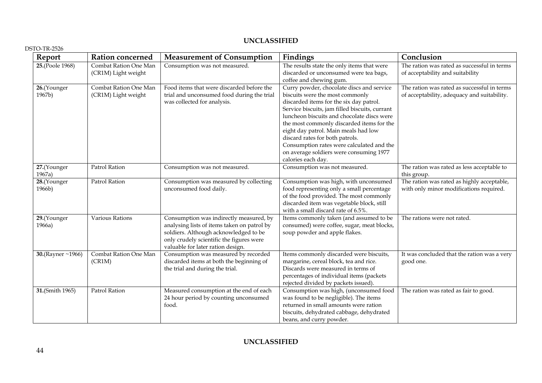| Report                | <b>Ration concerned</b>                      | <b>Measurement of Consumption</b>                                                                                                                                                                                | Findings                                                                                                                                                                                                                                                                                                                                                                                                                                                      | Conclusion                                                                                 |
|-----------------------|----------------------------------------------|------------------------------------------------------------------------------------------------------------------------------------------------------------------------------------------------------------------|---------------------------------------------------------------------------------------------------------------------------------------------------------------------------------------------------------------------------------------------------------------------------------------------------------------------------------------------------------------------------------------------------------------------------------------------------------------|--------------------------------------------------------------------------------------------|
| 25.(Poole 1968)       | Combat Ration One Man<br>(CR1M) Light weight | Consumption was not measured.                                                                                                                                                                                    | The results state the only items that were<br>discarded or unconsumed were tea bags,<br>coffee and chewing gum.                                                                                                                                                                                                                                                                                                                                               | The ration was rated as successful in terms<br>of acceptability and suitability            |
| 26.(Younger<br>1967b) | Combat Ration One Man<br>(CR1M) Light weight | Food items that were discarded before the<br>trial and unconsumed food during the trial<br>was collected for analysis.                                                                                           | Curry powder, chocolate discs and service<br>biscuits were the most commonly<br>discarded items for the six day patrol.<br>Service biscuits, jam filled biscuits, currant<br>luncheon biscuits and chocolate discs were<br>the most commonly discarded items for the<br>eight day patrol. Main meals had low<br>discard rates for both patrols.<br>Consumption rates were calculated and the<br>on average soldiers were consuming 1977<br>calories each day. | The ration was rated as successful in terms<br>of acceptability, adequacy and suitability. |
| 27.(Younger<br>1967a) | Patrol Ration                                | Consumption was not measured.                                                                                                                                                                                    | Consumption was not measured.                                                                                                                                                                                                                                                                                                                                                                                                                                 | The ration was rated as less acceptable to<br>this group.                                  |
| 28.(Younger<br>1966b) | Patrol Ration                                | Consumption was measured by collecting<br>unconsumed food daily.                                                                                                                                                 | Consumption was high, with unconsumed<br>food representing only a small percentage<br>of the food provided. The most commonly<br>discarded item was vegetable block, still<br>with a small discard rate of 6.5%.                                                                                                                                                                                                                                              | The ration was rated as highly acceptable,<br>with only minor modifications required.      |
| 29.(Younger<br>1966a) | Various Rations                              | Consumption was indirectly measured, by<br>analysing lists of items taken on patrol by<br>soldiers. Although acknowledged to be<br>only crudely scientific the figures were<br>valuable for later ration design. | Items commonly taken (and assumed to be<br>consumed) were coffee, sugar, meat blocks,<br>soup powder and apple flakes.                                                                                                                                                                                                                                                                                                                                        | The rations were not rated.                                                                |
| 30.(Rayner ~1966)     | Combat Ration One Man<br>(CR1M)              | Consumption was measured by recorded<br>discarded items at both the beginning of<br>the trial and during the trial.                                                                                              | Items commonly discarded were biscuits,<br>margarine, cereal block, tea and rice.<br>Discards were measured in terms of<br>percentages of individual items (packets<br>rejected divided by packets issued).                                                                                                                                                                                                                                                   | It was concluded that the ration was a very<br>good one.                                   |
| 31.(Smith 1965)       | Patrol Ration                                | Measured consumption at the end of each<br>24 hour period by counting unconsumed<br>food.                                                                                                                        | Consumption was high, (unconsumed food<br>was found to be negligible). The items<br>returned in small amounts were ration<br>biscuits, dehydrated cabbage, dehydrated<br>beans, and curry powder.                                                                                                                                                                                                                                                             | The ration was rated as fair to good.                                                      |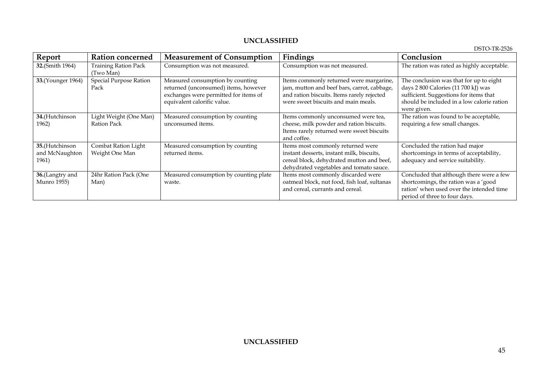| Report                                    | <b>Ration concerned</b>                      | <b>Measurement of Consumption</b>                                                                                                                | Findings                                                                                                                                                                    | Conclusion                                                                                                                                                                            |
|-------------------------------------------|----------------------------------------------|--------------------------------------------------------------------------------------------------------------------------------------------------|-----------------------------------------------------------------------------------------------------------------------------------------------------------------------------|---------------------------------------------------------------------------------------------------------------------------------------------------------------------------------------|
| 32. (Smith 1964)                          | <b>Training Ration Pack</b><br>(Two Man)     | Consumption was not measured.                                                                                                                    | Consumption was not measured.                                                                                                                                               | The ration was rated as highly acceptable.                                                                                                                                            |
| 33. (Younger 1964)                        | <b>Special Purpose Ration</b><br>Pack        | Measured consumption by counting<br>returned (unconsumed) items, however<br>exchanges were permitted for items of<br>equivalent calorific value. | Items commonly returned were margarine,<br>jam, mutton and beef bars, carrot, cabbage,<br>and ration biscuits. Items rarely rejected<br>were sweet biscuits and main meals. | The conclusion was that for up to eight<br>days 2 800 Calories (11 700 kJ) was<br>sufficient. Suggestions for items that<br>should be included in a low calorie ration<br>were given. |
| 34.(Hutchinson<br>1962)                   | Light Weight (One Man)<br><b>Ration Pack</b> | Measured consumption by counting<br>unconsumed items.                                                                                            | Items commonly unconsumed were tea,<br>cheese, milk powder and ration biscuits.<br>Items rarely returned were sweet biscuits<br>and coffee.                                 | The ration was found to be acceptable,<br>requiring a few small changes.                                                                                                              |
| 35.(Hutchinson<br>and McNaughton<br>1961) | Combat Ration Light<br>Weight One Man        | Measured consumption by counting<br>returned items.                                                                                              | Items most commonly returned were<br>instant desserts, instant milk, biscuits,<br>cereal block, dehydrated mutton and beef,<br>dehydrated vegetables and tomato sauce.      | Concluded the ration had major<br>shortcomings in terms of acceptability,<br>adequacy and service suitability.                                                                        |
| 36.(Langtry and<br><b>Munro 1955)</b>     | 24hr Ration Pack (One<br>Man)                | Measured consumption by counting plate<br>waste.                                                                                                 | Items most commonly discarded were<br>oatmeal block, nut food, fish loaf, sultanas<br>and cereal, currants and cereal.                                                      | Concluded that although there were a few<br>shortcomings, the ration was a 'good<br>ration' when used over the intended time<br>period of three to four days.                         |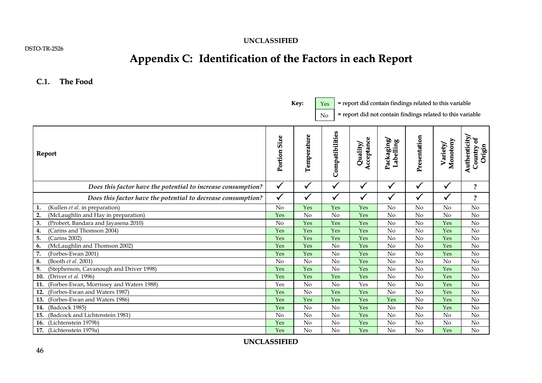## **UNCLASSIFIED FIED**

#### DSTO-TR-2526

# **Appendix C: Identification of the Factors in each Report**

**Contract Contract** 

**C.1. The Food** 

<span id="page-52-1"></span><span id="page-52-0"></span>

| Key:<br>= report did contain findings related to this variable<br>Yes<br>= report did not contain findings related to this variable<br>No |                |              |                 |                        |                         |                |                      |                                                  |
|-------------------------------------------------------------------------------------------------------------------------------------------|----------------|--------------|-----------------|------------------------|-------------------------|----------------|----------------------|--------------------------------------------------|
| <b>Report</b>                                                                                                                             |                | Temperature  | Compatibilities | Acceptance<br>Quality/ | Packaging/<br>Labelling | Presentation   | Monotony<br>Variety/ | Authenticity/<br>Country of<br>Origin<br>Country |
| Does this factor have the potential to increase consumption?                                                                              | $\checkmark$   | $\checkmark$ | $\checkmark$    | $\checkmark$           | $\checkmark$            | $\checkmark$   | $\checkmark$         | $\ddot{\cdot}$                                   |
| Does this factor have the potential to decrease consumption?                                                                              | $\checkmark$   | $\checkmark$ | $\checkmark$    | $\checkmark$           | $\checkmark$            | ✓              | $\checkmark$         | $\ddot{\cdot}$                                   |
| (Kullen et al. in preparation)<br>1.                                                                                                      | No             | Yes          | Yes             | Yes                    | No                      | No             | No                   | No                                               |
| (McLaughlin and Hay in preparation)<br>2.                                                                                                 | Yes            | No           | No              | Yes                    | No                      | N <sub>o</sub> | N <sub>o</sub>       | No                                               |
| 3.<br>(Probert, Bandara and Jayasena 2010)                                                                                                | No             | Yes          | Yes             | Yes                    | No                      | No             | Yes                  | No                                               |
| (Carins and Thomson 2004)<br>4.                                                                                                           | Yes            | Yes          | Yes             | Yes                    | No                      | No             | Yes                  | No                                               |
| 5.<br>(Carins 2002)                                                                                                                       | Yes            | Yes          | Yes             | Yes                    | No                      | No             | Yes                  | No                                               |
| (McLaughlin and Thomson 2002)<br>6.                                                                                                       | Yes            | Yes          | No              | Yes                    | No                      | No             | Yes                  | $\rm No$                                         |
| (Forbes-Ewan 2001)<br>7.                                                                                                                  | Yes            | Yes          | No              | Yes                    | No                      | No             | Yes                  | No                                               |
| (Booth et al. 2001)<br>8.                                                                                                                 | No             | No           | No              | Yes                    | No                      | No             | No                   | No                                               |
| (Stephenson, Cavanough and Driver 1998)<br>9.                                                                                             | Yes            | Yes          | No              | Yes                    | No                      | No             | Yes                  | $\rm No$                                         |
| (Driver et al. 1996)<br>10.                                                                                                               | Yes            | Yes          | Yes             | Yes                    | No                      | No             | Yes                  | No                                               |
| (Forbes-Ewan, Morrissey and Waters 1988)<br>11.                                                                                           | Yes            | No           | No              | Yes                    | No                      | No             | Yes                  | $\rm No$                                         |
| (Forbes-Ewan and Waters 1987)<br>12.                                                                                                      | Yes            | No           | Yes             | Yes                    | No                      | No             | Yes                  | No                                               |
| (Forbes-Ewan and Waters 1986)<br>13.                                                                                                      | Yes            | Yes          | Yes             | Yes                    | Yes                     | No             | Yes                  | No                                               |
| (Badcock 1985)<br>14.                                                                                                                     | Yes            | No           | No              | Yes                    | No                      | $\rm No$       | Yes                  | $\rm No$                                         |
| (Badcock and Lichtenstein 1981)<br>15.                                                                                                    | N <sub>o</sub> | No           | No              | Yes                    | No                      | N <sub>o</sub> | No                   | No                                               |
| (Lichtenstein 1979b)<br>16.                                                                                                               | Yes            | No           | No              | Yes                    | N <sub>o</sub>          | No             | No                   | N <sub>o</sub>                                   |
| (Lichtenstein 1979a)<br>17.                                                                                                               | Yes            | No           | No              | Yes                    | No                      | No             | Yes                  | No                                               |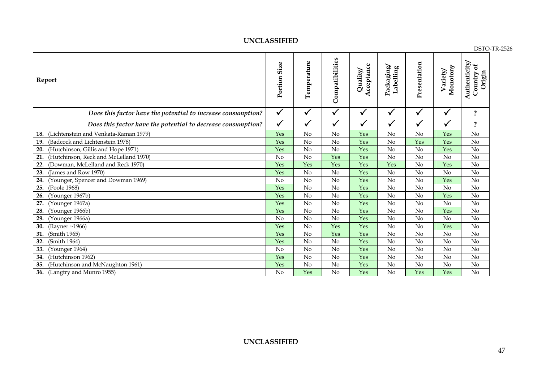Compatibilities **Compatibilities Authenticity/ Temperature Portion Size**  Temperature **Presentation**  Presentation **Authenticity** Portion Size **Quality/ Acceptance**  Packaging/<br>Labelling **Packaging/ Variety/ Monotony Country of**  Country of **Origin Report**  *Does this factor have the potential to increase consumption?* **?** *Does this factor have the potential to decrease consumption?* **?**  ([Lichtenstein and Venkata-Raman 1979\)](#page-36-20) Yes No No Yes No No Yes No **18.19.**([Badcock and Lichtenstein 1978](#page-34-21)) (Badcock and Lichtenstein 1978) (Badcock and Lichtenstein 1978) (Badcock and Lichtenstein 1978) ([Hutchinson, Gillis and Hope 1971](#page-35-24)) Yes No No Yes No No Yes No **20.21.** ([Hutchinson, Reck and McLelland 1970](#page-35-25)) No No Yes Yes No No No No **22.** ([Dowman, McLelland and Reck 1970](#page-34-22)) **Solution Service Service Yes Yes Yes Yes Yes No Yes No Yes No Yes No Yes 23.** ([James and Row 1970\)](#page-35-26) No  $\begin{array}{c|c|c|c|c|c|c|c|c} \hline \end{array}$  Yes No No Yes No No No No No No No No No No No **24.** ([Younger, Spencer and Dowman 1969](#page-37-9)) No No No No No No No Yes No No Yes No Yes No No Yes No **25.** (Poole 1968) ([Poole 1968](#page-36-21)) Yes No No Yes No No No No **26.** (Younger 1967b) ([Younger 1967b](#page-37-10)) No Yes No No Yes No No No Yes No Yes No Yes No Yes No Yes No No Yes No No Yes No No Yes No No Yes No No Yes No No Yes No No Yes No No Yes No No Yes No No Yes No No Yes No No Yes No No Yes No No Yes No No Ye **27.** (Younger 1967a) ([Younger 1967a](#page-37-11)) Yes No No Yes No No No No **28.** (Younger 1966b) ([Younger 1966b](#page-37-12)) No Yes No No Yes No No No Yes No Yes No Yes No Yes No Yes No Yes No No Yes No No Yes No No Yes **29.** (Younger 1966a) ([Younger 1966a](#page-37-13)) No No No Yes No No No No **30.**([Rayner ~1966](#page-36-22)) No Yes No Yes No Yes No No Yes No Yes No Yes No Yes No Yes No Yes No Yes No Yes No Yes No No Yes **31.** ([Smith 1965](#page-36-23)) Yes No Yes Yes No No No No **32.**([Smith 1964](#page-36-24)) Solution of the Second Second Second Second Second Second Second Second Second Second Second Second Second Second Second Second Second Second Second Second Second Second Second Second Second Second Second Seco **33.** ([Younger 1964](#page-37-14)) No No No Yes No No No No ([Hutchinson 1962\)](#page-35-27) Yes No No Yes No No No No **34.35.** ([Hutchinson and McNaughton 1961\)](#page-35-28) Yes No No Yes No No No No **36.** ([Langtry and Munro 1955](#page-35-29)) No Yes No Yes No Yes No Yes No Yes Yes No Yes No Yes No Yes No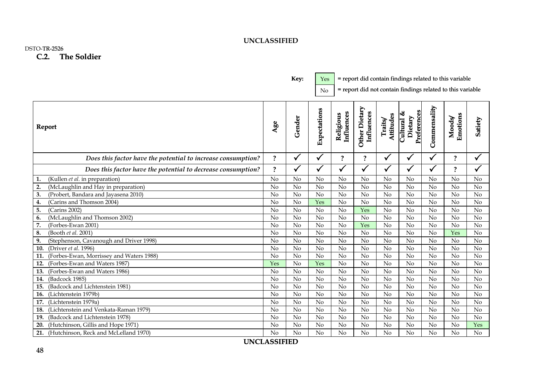#### DSTO-TR-2526

**C.2. The Soldier** 

|                                                                  |                         | Key:           | <b>Yes</b>   | = report did contain findings related to this variable |                             |                            |                                                 |              |                         |                |
|------------------------------------------------------------------|-------------------------|----------------|--------------|--------------------------------------------------------|-----------------------------|----------------------------|-------------------------------------------------|--------------|-------------------------|----------------|
| = report did not contain findings related to this variable<br>No |                         |                |              |                                                        |                             |                            |                                                 |              |                         |                |
| <b>Report</b>                                                    |                         | Gender         | Expectations | Influences<br>Religious                                | Other Dietary<br>Influences | Attitudes<br><b>Traits</b> | Preferences<br><b>Cultural &amp;</b><br>Dietary | Commensality | Emotions<br>Moods/      | Satiety        |
| Does this factor have the potential to increase consumption?     | $\ddot{\mathbf{?}}$     | ✓              | $\checkmark$ | $\overline{?}$                                         | $\ddot{\cdot}$              | ✓                          | ✓                                               | $\checkmark$ | $\ddot{\mathbf{?}}$     | ✓              |
| Does this factor have the potential to decrease consumption?     | $\overline{\mathbf{?}}$ | ✓              |              | ✓                                                      | $\checkmark$                | ✓                          | ✓                                               | ✓            | $\overline{\mathbf{?}}$ | ✓              |
| (Kullen et al. in preparation)<br>1.                             | No                      | No             | No           | No                                                     | No                          | No                         | No                                              | No           | No                      | No             |
| (McLaughlin and Hay in preparation)<br>2.                        | No                      | No             | No           | No                                                     | No                          | No                         | No                                              | No           | No                      | No             |
| 3.<br>(Probert, Bandara and Jayasena 2010)                       | N <sub>o</sub>          | No             | No           | No                                                     | N <sub>o</sub>              | No                         | $\overline{N}$                                  | No           | No                      | No             |
| (Carins and Thomson 2004)<br>4.                                  | No                      | No             | Yes          | No                                                     | No                          | No                         | No                                              | No           | No                      | No             |
| 5.<br>(Carins 2002)                                              | No                      | No             | No           | No                                                     | Yes                         | No                         | No                                              | No           | No                      | No             |
| 6.<br>(McLaughlin and Thomson 2002)                              | No                      | N <sub>o</sub> | No           | No                                                     | N <sub>o</sub>              | No                         | No                                              | No           | No                      | N <sub>o</sub> |
| 7.<br>(Forbes-Ewan 2001)                                         | No                      | N <sub>o</sub> | No           | No                                                     | Yes                         | No                         | No                                              | No           | No                      | N <sub>o</sub> |
| 8.<br>(Booth et al. 2001)                                        | N <sub>o</sub>          | No             | No           | No                                                     | No                          | No                         | No                                              | No           | Yes                     | No             |
| 9.<br>(Stephenson, Cavanough and Driver 1998)                    | No                      | No             | No           | No                                                     | No                          | No                         | No                                              | No           | No                      | No             |
| (Driver et al. 1996)<br>10.                                      | No                      | N <sub>o</sub> | No           | No                                                     | N <sub>o</sub>              | No                         | No                                              | No           | No                      | No             |
| (Forbes-Ewan, Morrissey and Waters 1988)<br>11.                  | No                      | No             | No           | No                                                     | No                          | No                         | No                                              | No           | No                      | No             |
| (Forbes-Ewan and Waters 1987)<br>12.                             | Yes                     | No             | Yes          | No                                                     | No                          | No                         | No                                              | No           | No                      | No             |
| (Forbes-Ewan and Waters 1986)<br>13.                             | No                      | No             | No           | No                                                     | No                          | No                         | No                                              | No           | No                      | No             |
| (Badcock 1985)<br>14.                                            | N <sub>o</sub>          | No             | No           | No                                                     | No                          | No                         | No                                              | No           | No                      | No             |
| (Badcock and Lichtenstein 1981)<br>15.                           | N <sub>o</sub>          | No             | No           | $\overline{N}$                                         | No                          | No                         | $\overline{N}$                                  | No           | No                      | No             |
| (Lichtenstein 1979b)<br>16.                                      | No                      | N <sub>o</sub> | No           | No                                                     | No                          | No                         | No                                              | No           | No                      | N <sub>o</sub> |
| (Lichtenstein 1979a)<br>17.                                      | No                      | No             | No           | No                                                     | No                          | No                         | No                                              | No           | No                      | No             |
| (Lichtenstein and Venkata-Raman 1979)<br>18.                     | No                      | N <sub>o</sub> | No           | No                                                     | No                          | No                         | No                                              | No           | N <sub>o</sub>          | N <sub>o</sub> |
| (Badcock and Lichtenstein 1978)<br>19.                           | No                      | N <sub>o</sub> | No           | No                                                     | $\overline{No}$             | No                         | No                                              | No           | No                      | N <sub>o</sub> |
| (Hutchinson, Gillis and Hope 1971)<br>20.                        | No                      | No             | No           | $\rm No$                                               | No                          | No                         | $\rm No$                                        | No           | No                      | Yes            |
| (Hutchinson, Reck and McLelland 1970)<br>21.                     | No                      | No             | No           | No                                                     | No                          | No                         | No                                              | No           | No                      | No             |

<span id="page-54-0"></span>**UNCLASS FIED I**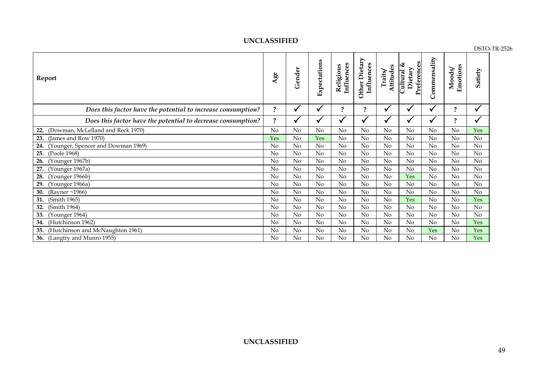Other Dietary<br>Influences **Commensality Other Dietary**  Commensality **Expectations**  Expectations **Religious Preferences Influences Influences Cultural &**  Preferences Cultural & **Moods/ Attitudes Emotions Traits/ Dietary Gender Satiety Age Report**  *Does this factor have the potential to increase consumption?* **? ? ? ?**  *Does this factor have the potential to decrease consumption?*  $\begin{array}{c|c|c|c|c} \n\end{array}$   $\begin{array}{c|c|c|c} \n\end{array}$   $\begin{array}{c|c|c} \n\end{array}$   $\begin{array}{c|c|c} \n\end{array}$   $\begin{array}{c|c|c} \n\end{array}$   $\begin{array}{c|c|c} \n\end{array}$   $\begin{array}{c|c|c} \n\end{array}$   $\begin{array$  ([Dowman, McLelland and Reck 1970](#page-34-22)) No No No No No No No No No Yes **22.** ([James and Row 1970\)](#page-35-26) Yes No Yes No No No No No No No **23.** ([Younger, Spencer and Dowman 1969](#page-37-9)) No No No No No No No No No No **24.25.** ([Poole 1968](#page-36-21)) No No No No No No No No No No **26.** ([Younger 1967b](#page-37-10)) No No No No No No No No No No **27.** ([Younger 1967a](#page-37-11)) No No No No No No No No No No **28.** ([Younger 1966b](#page-37-12)) No No No No No No Yes No No No **29.** (Younger 1966a) ([Younger 1966a](#page-37-13)) No No No No No No No No No No **30.** ([Rayner ~1966](#page-36-22)) No No No No No No No No No No **31.**([Smith 1965](#page-36-23)) No No No No No No No No No Yes No No Yes No No Yes No Yes No Yes No Yes No Yes No Yes No Yes No Yes **32.** ([Smith 1964](#page-36-24)) No No No No No No No No No No **33.** (Younger 1964) ([Younger 1964](#page-37-14)) No No No No No No No No No No **34.** ([Hutchinson 1962\)](#page-35-27) No No No No No No No No No Yes ([Hutchinson and McNaughton 1961\)](#page-35-28) No No No No No No No No No Yes No Yes **35.36.** ([Langtry and Munro 1955](#page-35-29)) No No No No No No No No No Yes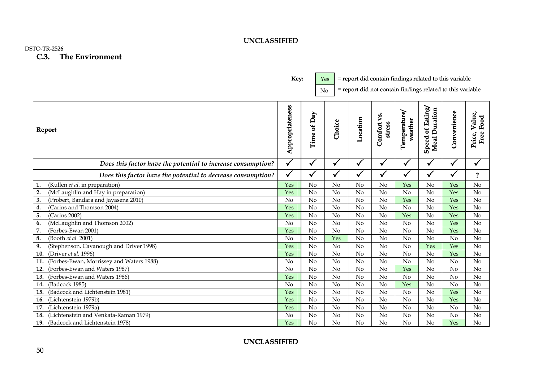#### DSTO-TR-2526

**C.3. The Environment** 

<span id="page-56-0"></span>

| = report did contain findings related to this variable<br>Key:<br>Yes<br>= report did not contain findings related to this variable<br>No. |                |                 |                |                 |                       |                               |                                            |                |                               |
|--------------------------------------------------------------------------------------------------------------------------------------------|----------------|-----------------|----------------|-----------------|-----------------------|-------------------------------|--------------------------------------------|----------------|-------------------------------|
| <b>Report</b>                                                                                                                              |                | ζe<br>Time of D | Choice         | Location        | Comfort vs.<br>stress | <b>Temperature</b><br>weather | of Eating<br><b>Meal Duration</b><br>Speed | Convenience    | Value,<br>Free Food<br>Price, |
| Does this factor have the potential to increase consumption?                                                                               | $\checkmark$   | ✓               | ✓              | $\checkmark$    | $\checkmark$          | $\checkmark$                  | ✓                                          | ✓              | $\checkmark$                  |
| Does this factor have the potential to decrease consumption?                                                                               | $\checkmark$   | $\checkmark$    | V              | $\checkmark$    | $\checkmark$          |                               | M                                          |                | $\ddot{\mathbf{?}}$           |
| (Kullen et al. in preparation)<br>1.                                                                                                       | Yes            | No              | No             | No              | No                    | Yes                           | N <sub>o</sub>                             | Yes            | No                            |
| 2.<br>(McLaughlin and Hay in preparation)                                                                                                  | Yes            | No              | No             | $\overline{No}$ | No                    | No                            | No                                         | Yes            | No                            |
| (Probert, Bandara and Jayasena 2010)<br>3.                                                                                                 | No             | No              | No             | No              | N <sub>o</sub>        | Yes                           | No                                         | Yes            | No                            |
| (Carins and Thomson 2004)<br>4.                                                                                                            | Yes            | N <sub>o</sub>  | No             | No              | No                    | No                            | N <sub>o</sub>                             | Yes            | No                            |
| 5.<br>(Carins 2002)                                                                                                                        | Yes            | No              | N <sub>o</sub> | N <sub>o</sub>  | No                    | Yes                           | No                                         | Yes            | No                            |
| (McLaughlin and Thomson 2002)<br>6.                                                                                                        | N <sub>o</sub> | N <sub>o</sub>  | N <sub>o</sub> | No              | No                    | No                            | No                                         | Yes            | No                            |
| 7.<br>(Forbes-Ewan 2001)                                                                                                                   | Yes            | No              | N <sub>o</sub> | No              | N <sub>o</sub>        | No                            | No                                         | Yes            | No                            |
| 8.<br>(Booth et al. 2001)                                                                                                                  | No             | N <sub>o</sub>  | Yes            | No              | No                    | No                            | N <sub>o</sub>                             | N <sub>o</sub> | No                            |
| (Stephenson, Cavanough and Driver 1998)<br>9.                                                                                              | Yes            | No              | No             | No              | No                    | No                            | Yes                                        | Yes            | No                            |
| (Driver et al. 1996)<br>10.                                                                                                                | Yes            | No              | N <sub>o</sub> | N <sub>o</sub>  | No                    | No                            | N <sub>o</sub>                             | Yes            | N <sub>o</sub>                |
| (Forbes-Ewan, Morrissey and Waters 1988)<br>11.                                                                                            | No             | No              | No             | N <sub>o</sub>  | N <sub>o</sub>        | No                            | No                                         | No             | No                            |
| (Forbes-Ewan and Waters 1987)<br>12.                                                                                                       | No             | No              | N <sub>o</sub> | No              | No                    | Yes                           | N <sub>o</sub>                             | No             | No                            |
| (Forbes-Ewan and Waters 1986)<br>13.                                                                                                       | Yes            | No              | N <sub>o</sub> | N <sub>o</sub>  | No                    | No                            | N <sub>o</sub>                             | N <sub>o</sub> | No                            |
| (Badcock 1985)<br>14.                                                                                                                      | N <sub>o</sub> | No              | N <sub>o</sub> | No              | No                    | Yes                           | N <sub>o</sub>                             | N <sub>o</sub> | N <sub>o</sub>                |
| (Badcock and Lichtenstein 1981)<br>15.                                                                                                     | Yes            | No              | N <sub>o</sub> | N <sub>o</sub>  | N <sub>o</sub>        | No                            | No                                         | Yes            | No                            |
| (Lichtenstein 1979b)<br>16.                                                                                                                | Yes            | No              | No             | No              | No                    | No                            | No                                         | Yes            | No                            |
| (Lichtenstein 1979a)<br>17.                                                                                                                | Yes            | No              | N <sub>o</sub> | N <sub>o</sub>  | No                    | No                            | N <sub>o</sub>                             | N <sub>o</sub> | No                            |
| (Lichtenstein and Venkata-Raman 1979)<br>18.                                                                                               | No             | No              | N <sub>o</sub> | N <sub>o</sub>  | No                    | No                            | N <sub>o</sub>                             | N <sub>o</sub> | No                            |
| (Badcock and Lichtenstein 1978)<br>19.                                                                                                     | Yes            | No              | No             | No              | N <sub>o</sub>        | No                            | No                                         | Yes            | $\rm No$                      |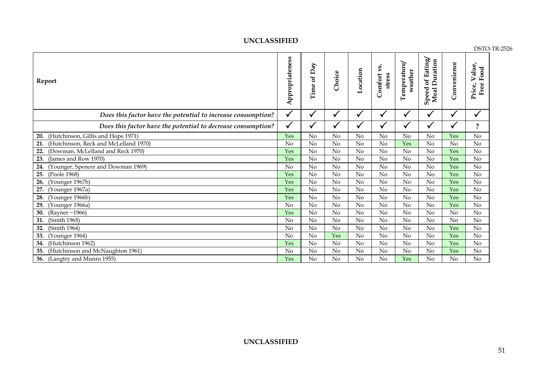| Report                                                       |                | $\mathbf{A}$<br>≏<br>$\mathfrak{b}$<br>Time | Choice | Location | VS.<br>Comfort<br>stress | Temperature<br>weather | of Eating<br>Duration<br>Meal<br>Speed | Convenience  | Value,<br>Food<br>Free<br>Price, |
|--------------------------------------------------------------|----------------|---------------------------------------------|--------|----------|--------------------------|------------------------|----------------------------------------|--------------|----------------------------------|
| Does this factor have the potential to increase consumption? | $\checkmark$   | ✔                                           | ✓      | ✔        | ✓                        | v                      | ✓                                      | $\checkmark$ | $\sqrt{ }$                       |
| Does this factor have the potential to decrease consumption? | $\checkmark$   | √                                           |        | ✔        | √                        | v                      | √                                      | ✓            | $\ddot{\mathbf{?}}$              |
| (Hutchinson, Gillis and Hope 1971)<br>20.                    | Yes            | No                                          | No     | No       | No                       | No                     | No                                     | Yes          | No                               |
| (Hutchinson, Reck and McLelland 1970)<br>21.                 | No             | No                                          | No     | No       | No                       | Yes                    | No                                     | No           | No                               |
| (Dowman, McLelland and Reck 1970)<br>22.                     | Yes            | No                                          | No     | No       | No                       | No                     | No                                     | Yes          | No                               |
| (James and Row 1970)<br>23.                                  | Yes            | No                                          | No     | No       | No                       | No                     | No                                     | Yes          | N <sub>o</sub>                   |
| (Younger, Spencer and Dowman 1969)<br>24.                    | $\overline{N}$ | No                                          | No     | No       | $\rm No$                 | $\rm No$               | $\rm No$                               | Yes          | N <sub>o</sub>                   |
| 25.<br>(Poole 1968)                                          | Yes            | No                                          | No     | No       | No                       | No                     | No                                     | Yes          | No                               |
| 26.<br>(Younger 1967b)                                       | Yes            | No                                          | No     | No       | No                       | No                     | No                                     | Yes          | No                               |
| 27.<br>(Younger 1967a)                                       | Yes            | No                                          | No     | No       | No                       | No                     | No                                     | Yes          | No                               |
| 28.<br>(Younger 1966b)                                       | Yes            | No                                          | No     | No       | No                       | No                     | No                                     | Yes          | $\rm No$                         |
| 29.<br>(Younger 1966a)                                       | No             | No                                          | No     | No       | No                       | No                     | No                                     | Yes          | $\rm No$                         |
| 30.<br>(Rayner ~1966)                                        | Yes            | No                                          | No     | No       | No                       | No                     | No                                     | No           | N <sub>o</sub>                   |
| (Smith 1965)<br>31.                                          | No             | No                                          | No     | No       | No                       | No                     | No                                     | No           | No                               |
| (Smith 1964)<br>32.                                          | No             | No                                          | No     | No       | No                       | No                     | No                                     | Yes          | $\rm No$                         |
| (Younger 1964)<br>33.                                        | $\rm No$       | No                                          | Yes    | No       | $\rm No$                 | No                     | No                                     | Yes          | $\rm No$                         |
| (Hutchinson 1962)<br>34.                                     | Yes            | No                                          | No     | No       | No                       | No                     | No                                     | Yes          | No                               |
| (Hutchinson and McNaughton 1961)<br>35.                      | No             | No                                          | No     | No       | No                       | No                     | No                                     | Yes          | $\rm No$                         |
| (Langtry and Munro 1955)<br>36.                              | Yes            | No                                          | No     | No       | No                       | Yes                    | No                                     | No           | $\rm No$                         |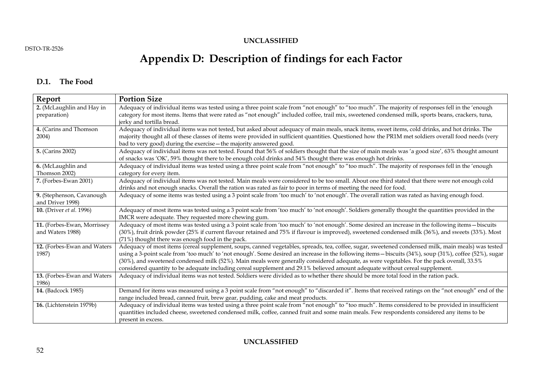# **Appendix D: Description of findings for each Factor**

## **D.1. The Food**

<span id="page-58-1"></span><span id="page-58-0"></span>

| Report                                        | <b>Portion Size</b>                                                                                                                                                                                                         |
|-----------------------------------------------|-----------------------------------------------------------------------------------------------------------------------------------------------------------------------------------------------------------------------------|
| 2. (McLaughlin and Hay in                     | Adequacy of individual items was tested using a three point scale from "not enough" to "too much". The majority of responses fell in the 'enough                                                                            |
| preparation)                                  | category for most items. Items that were rated as "not enough" included coffee, trail mix, sweetened condensed milk, sports beans, crackers, tuna,<br>jerky and tortilla bread.                                             |
| 4. (Carins and Thomson                        | Adequacy of individual items was not tested, but asked about adequacy of main meals, snack items, sweet items, cold drinks, and hot drinks. The                                                                             |
| 2004)                                         | majority thought all of these classes of items were provided in sufficient quantities. Questioned how the PR1M met soldiers overall food needs (very<br>bad to very good) during the exercise - the majority answered good. |
| 5. (Carins 2002)                              | Adequacy of individual items was not tested. Found that 56% of soldiers thought that the size of main meals was 'a good size', 63% thought amount                                                                           |
|                                               | of snacks was 'OK', 59% thought there to be enough cold drinks and 54% thought there was enough hot drinks.                                                                                                                 |
| 6. (McLaughlin and<br>Thomson 2002)           | Adequacy of individual items was tested using a three point scale from "not enough" to "too much". The majority of responses fell in the 'enough<br>category for every item.                                                |
| 7. (Forbes-Ewan 2001)                         | Adequacy of individual items was not tested. Main meals were considered to be too small. About one third stated that there were not enough cold                                                                             |
|                                               | drinks and not enough snacks. Overall the ration was rated as fair to poor in terms of meeting the need for food.                                                                                                           |
| 9. (Stephenson, Cavanough<br>and Driver 1998) | Adequacy of some items was tested using a 3 point scale from 'too much' to 'not enough'. The overall ration was rated as having enough food.                                                                                |
| 10. (Driver et al. 1996)                      | Adequacy of most items was tested using a 3 point scale from 'too much' to 'not enough'. Soldiers generally thought the quantities provided in the<br>IMCR were adequate. They requested more chewing gum.                  |
| 11. (Forbes-Ewan, Morrissey                   | Adequacy of most items was tested using a 3 point scale from 'too much' to 'not enough'. Some desired an increase in the following items - biscuits                                                                         |
| and Waters 1988)                              | (30%), fruit drink powder (25% if current flavour retained and 75% if flavour is improved), sweetened condensed milk (36%), and sweets (33%). Most<br>(71%) thought there was enough food in the pack.                      |
| 12. (Forbes-Ewan and Waters                   | Adequacy of most items (cereal supplement, soups, canned vegetables, spreads, tea, coffee, sugar, sweetened condensed milk, main meals) was tested                                                                          |
| 1987)                                         | using a 3-point scale from 'too much' to 'not enough'. Some desired an increase in the following items - biscuits (34%), soup (31%), coffee (52%), sugar                                                                    |
|                                               | (30%), and sweetened condensed milk (52%). Main meals were generally considered adequate, as were vegetables. For the pack overall, 33.5%                                                                                   |
|                                               | considered quantity to be adequate including cereal supplement and 29.1% believed amount adequate without cereal supplement.                                                                                                |
| 13. (Forbes-Ewan and Waters                   | Adequacy of individual items was not tested. Soldiers were divided as to whether there should be more total food in the ration pack.                                                                                        |
| 1986)                                         |                                                                                                                                                                                                                             |
| <b>14.</b> (Badcock 1985)                     | Demand for items was measured using a 3 point scale from "not enough" to "discarded it". Items that received ratings on the "not enough" end of the                                                                         |
|                                               | range included bread, canned fruit, brew gear, pudding, cake and meat products.                                                                                                                                             |
| 16. (Lichtenstein 1979b)                      | Adequacy of individual items was tested using a three point scale from "not enough" to "too much". Items considered to be provided in insufficient                                                                          |
|                                               | quantities included cheese, sweetened condensed milk, coffee, canned fruit and some main meals. Few respondents considered any items to be                                                                                  |
|                                               | present in excess.                                                                                                                                                                                                          |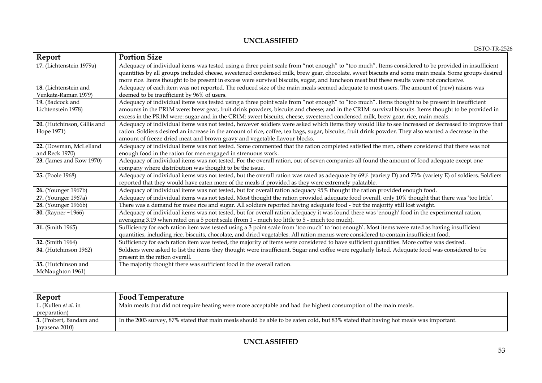| Report                      | <b>Portion Size</b>                                                                                                                                    |
|-----------------------------|--------------------------------------------------------------------------------------------------------------------------------------------------------|
| 17. (Lichtenstein 1979a)    | Adequacy of individual items was tested using a three point scale from "not enough" to "too much". Items considered to be provided in insufficient     |
|                             | quantities by all groups included cheese, sweetened condensed milk, brew gear, chocolate, sweet biscuits and some main meals. Some groups desired      |
|                             | more rice. Items thought to be present in excess were survival biscuits, sugar, and luncheon meat but these results were not conclusive.               |
| 18. (Lichtenstein and       | Adequacy of each item was not reported. The reduced size of the main meals seemed adequate to most users. The amount of (new) raisins was              |
| Venkata-Raman 1979)         | deemed to be insufficient by 96% of users.                                                                                                             |
| 19. (Badcock and            | Adequacy of individual items was tested using a three point scale from "not enough" to "too much". Items thought to be present in insufficient         |
| Lichtenstein 1978)          | amounts in the PR1M were: brew gear, fruit drink powders, biscuits and cheese; and in the CR1M: survival biscuits. Items thought to be provided in     |
|                             | excess in the PR1M were: sugar and in the CR1M: sweet biscuits, cheese, sweetened condensed milk, brew gear, rice, main meals.                         |
| 20. (Hutchinson, Gillis and | Adequacy of individual items was not tested, however soldiers were asked which items they would like to see increased or decreased to improve that     |
| Hope 1971)                  | ration. Soldiers desired an increase in the amount of rice, coffee, tea bags, sugar, biscuits, fruit drink powder. They also wanted a decrease in the  |
|                             | amount of freeze dried meat and brown gravy and vegetable flavour blocks.                                                                              |
| 22. (Dowman, McLelland      | Adequacy of individual items was not tested. Some commented that the ration completed satisfied the men, others considered that there was not          |
| and Reck 1970)              | enough food in the ration for men engaged in strenuous work.                                                                                           |
| 23. (James and Row 1970)    | Adequacy of individual items was not tested. For the overall ration, out of seven companies all found the amount of food adequate except one           |
|                             | company where distribution was thought to be the issue.                                                                                                |
| 25. (Poole 1968)            | Adequacy of individual items was not tested, but the overall ration was rated as adequate by 69% (variety D) and 73% (variety E) of soldiers. Soldiers |
|                             | reported that they would have eaten more of the meals if provided as they were extremely palatable.                                                    |
| 26. (Younger 1967b)         | Adequacy of individual items was not tested, but for overall ration adequacy 95% thought the ration provided enough food.                              |
| 27. (Younger 1967a)         | Adequacy of individual items was not tested. Most thought the ration provided adequate food overall, only 10% thought that there was 'too little'.     |
| 28. (Younger 1966b)         | There was a demand for more rice and sugar. All soldiers reported having adequate food - but the majority still lost weight.                           |
| 30. (Rayner ~1966)          | Adequacy of individual items was not tested, but for overall ration adequacy it was found there was 'enough' food in the experimental ration,          |
|                             | averaging 3.19 when rated on a 5 point scale (from 1 - much too little to 5 - much too much).                                                          |
| 31. (Smith 1965)            | Sufficiency for each ration item was tested using a 3 point scale from 'too much' to 'not enough'. Most items were rated as having insufficient        |
|                             | quantities, including rice, biscuits, chocolate, and dried vegetables. All ration menus were considered to contain insufficient food.                  |
| 32. (Smith 1964)            | Sufficiency for each ration item was tested, the majority of items were considered to have sufficient quantities. More coffee was desired.             |
| 34. (Hutchinson 1962)       | Soldiers were asked to list the items they thought were insufficient. Sugar and coffee were regularly listed. Adequate food was considered to be       |
|                             | present in the ration overall.                                                                                                                         |
| 35. (Hutchinson and         | The majority thought there was sufficient food in the overall ration.                                                                                  |
| McNaughton 1961)            |                                                                                                                                                        |

| Report                      | <b>Food Temperature</b>                                                                                                             |
|-----------------------------|-------------------------------------------------------------------------------------------------------------------------------------|
| 1. (Kullen <i>et al.</i> in | Main meals that did not require heating were more acceptable and had the highest consumption of the main meals.                     |
| preparation)                |                                                                                                                                     |
| 3. (Probert, Bandara and    | In the 2003 survey, 87% stated that main meals should be able to be eaten cold, but 83% stated that having hot meals was important. |
| Jayasena 2010)              |                                                                                                                                     |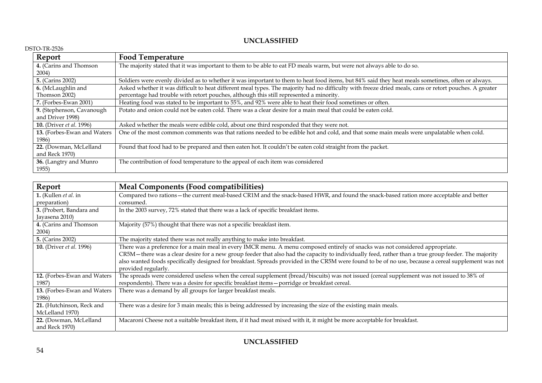| Report                                 | <b>Food Temperature</b>                                                                                                                                |
|----------------------------------------|--------------------------------------------------------------------------------------------------------------------------------------------------------|
| 4. (Carins and Thomson                 | The majority stated that it was important to them to be able to eat FD meals warm, but were not always able to do so.                                  |
| 2004)                                  |                                                                                                                                                        |
| <b>5.</b> (Carins 2002)                | Soldiers were evenly divided as to whether it was important to them to heat food items, but 84% said they heat meals sometimes, often or always.       |
| 6. (McLaughlin and                     | Asked whether it was difficult to heat different meal types. The majority had no difficulty with freeze dried meals, cans or retort pouches. A greater |
| Thomson 2002)                          | percentage had trouble with retort pouches, although this still represented a minority.                                                                |
| 7. (Forbes-Ewan 2001)                  | Heating food was stated to be important to 55%, and 92% were able to heat their food sometimes or often.                                               |
| 9. (Stephenson, Cavanough              | Potato and onion could not be eaten cold. There was a clear desire for a main meal that could be eaten cold.                                           |
| and Driver 1998)                       |                                                                                                                                                        |
| <b>10.</b> (Driver <i>et al.</i> 1996) | Asked whether the meals were edible cold, about one third responded that they were not.                                                                |
| 13. (Forbes-Ewan and Waters            | One of the most common comments was that rations needed to be edible hot and cold, and that some main meals were unpalatable when cold.                |
| 1986)                                  |                                                                                                                                                        |
| 22. (Dowman, McLelland                 | Found that food had to be prepared and then eaten hot. It couldn't be eaten cold straight from the packet.                                             |
| and Reck 1970)                         |                                                                                                                                                        |
| 36. (Langtry and Munro                 | The contribution of food temperature to the appeal of each item was considered                                                                         |
| 1955)                                  |                                                                                                                                                        |

| Report                          | <b>Meal Components (Food compatibilities)</b>                                                                                                         |
|---------------------------------|-------------------------------------------------------------------------------------------------------------------------------------------------------|
| 1. (Kullen et al. in            | Compared two rations - the current meal-based CR1M and the snack-based HWR, and found the snack-based ration more acceptable and better               |
| preparation)                    | consumed.                                                                                                                                             |
| 3. (Probert, Bandara and        | In the 2003 survey, 72% stated that there was a lack of specific breakfast items.                                                                     |
| Javasena 2010)                  |                                                                                                                                                       |
| 4. (Carins and Thomson          | Majority (57%) thought that there was not a specific breakfast item.                                                                                  |
| 2004)                           |                                                                                                                                                       |
| <b>5.</b> (Carins 2002)         | The majority stated there was not really anything to make into breakfast.                                                                             |
| <b>10.</b> (Driver et al. 1996) | There was a preference for a main meal in every IMCR menu. A menu composed entirely of snacks was not considered appropriate.                         |
|                                 | CR5M – there was a clear desire for a new group feeder that also had the capacity to individually feed, rather than a true group feeder. The majority |
|                                 | also wanted foods specifically designed for breakfast. Spreads provided in the CR5M were found to be of no use, because a cereal supplement was not   |
|                                 | provided regularly.                                                                                                                                   |
| 12. (Forbes-Ewan and Waters     | The spreads were considered useless when the cereal supplement (bread/biscuits) was not issued (cereal supplement was not issued to 38% of            |
| 1987)                           | respondents). There was a desire for specific breakfast items - porridge or breakfast cereal.                                                         |
| 13. (Forbes-Ewan and Waters     | There was a demand by all groups for larger breakfast meals.                                                                                          |
| 1986)                           |                                                                                                                                                       |
| 21. (Hutchinson, Reck and       | There was a desire for 3 main meals; this is being addressed by increasing the size of the existing main meals.                                       |
| McLelland 1970)                 |                                                                                                                                                       |
| 22. (Dowman, McLelland          | Macaroni Cheese not a suitable breakfast item, if it had meat mixed with it, it might be more acceptable for breakfast.                               |
| and Reck 1970)                  |                                                                                                                                                       |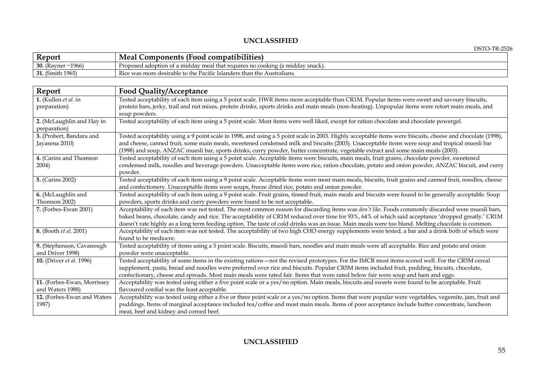| Report                  | Meal<br>  Components (Food compatibilities)                                   |
|-------------------------|-------------------------------------------------------------------------------|
| 30. (Rayner<br>~1966    | Proposed adoption of a midday meal that requires no cooking (a midday snack). |
| <b>31.</b> (Smith 1965) | Rice was more desirable to the Pacific Islanders than the Australians.        |

| Report                      | <b>Food Quality/Acceptance</b>                                                                                                                             |
|-----------------------------|------------------------------------------------------------------------------------------------------------------------------------------------------------|
| 1. (Kullen et al. in        | Tested acceptability of each item using a 5 point scale. HWR items more acceptable than CR1M. Popular items were sweet and savoury biscuits,               |
| preparation)                | protein bars, jerky, trail and nut mixes, protein drinks, sports drinks and main meals (non-heating). Unpopular items were retort main meals, and          |
|                             | soup powders.                                                                                                                                              |
| 2. (McLaughlin and Hay in   | Tested acceptability of each item using a 5 point scale. Most items were well liked, except for ration chocolate and chocolate powergel.                   |
| preparation)                |                                                                                                                                                            |
| 3. (Probert, Bandara and    | Tested acceptability using a 9 point scale in 1998, and using a 5 point scale in 2003. Highly acceptable items were biscuits, cheese and chocolate (1998), |
| Jayasena 2010)              | and cheese, canned fruit, some main meals, sweetened condensed milk and biscuits (2003). Unacceptable items were soup and tropical muesli bar              |
|                             | (1998) and soup, ANZAC muesli bar, sports drinks, curry powder, butter concentrate, vegetable extract and some main meals (2003).                          |
| 4. (Carins and Thomson      | Tested acceptability of each item using a 5 point scale. Acceptable items were biscuits, main meals, fruit grains, chocolate powder, sweetened             |
| 2004)                       | condensed milk, noodles and beverage powders. Unacceptable items were rice, ration chocolate, potato and onion powder, ANZAC biscuit, and curry            |
|                             | powder.                                                                                                                                                    |
| <b>5.</b> (Carins 2002)     | Tested acceptability of each item using a 9 point scale. Acceptable items were most main meals, biscuits, fruit grains and canned fruit, noodles, cheese   |
|                             | and confectionery. Unacceptable items were soups, freeze dried rice, potato and onion powder.                                                              |
| 6. (McLaughlin and          | Tested acceptability of each item using a 9 point scale. Fruit grains, tinned fruit, main meals and biscuits were found to be generally acceptable. Soup   |
| Thomson 2002)               | powders, sports drinks and curry powders were found to be not acceptable.                                                                                  |
| 7. (Forbes-Ewan 2001)       | Acceptability of each item was not tested. The most common reason for discarding items was don't like. Foods commonly discarded were muesli bars,          |
|                             | baked beans, chocolate, candy and rice. The acceptability of CR1M reduced over time for 93%, 64% of which said acceptance 'dropped greatly.' CR1M          |
|                             | doesn't rate highly as a long term feeding option. The taste of cold drinks was an issue. Main meals were too bland. Melting chocolate is common.          |
| 8. (Booth et al. 2001)      | Acceptability of each item was not tested. The acceptability of two high CHO energy supplements were tested, a bar and a drink both of which were          |
|                             | found to be mediocre.                                                                                                                                      |
| 9. (Stephenson, Cavanough   | Tested acceptability of items using a 5 point scale. Biscuits, muesli bars, noodles and main meals were all acceptable. Rice and potato and onion          |
| and Driver 1998)            | powder were unacceptable.                                                                                                                                  |
| 10. (Driver et al. 1996)    | Tested acceptability of some items in the existing rations-not the revised prototypes. For the IMCR most items scored well. For the CR5M cereal            |
|                             | supplement, pasta, bread and noodles were preferred over rice and biscuits. Popular CR5M items included fruit, pudding, biscuits, chocolate,               |
|                             | confectionary, cheese and spreads. Most main meals were rated fair. Items that were rated below fair were soup and ham and eggs.                           |
| 11. (Forbes-Ewan, Morrissey | Acceptability was tested using either a five point scale or a yes/no option. Main meals, biscuits and sweets were found to be acceptable. Fruit            |
| and Waters 1988)            | flavoured cordial was the least acceptable.                                                                                                                |
| 12. (Forbes-Ewan and Waters | Acceptability was tested using either a five or three point scale or a yes/no option. Items that were popular were vegetables, vegemite, jam, fruit and    |
| 1987)                       | puddings. Items of marginal acceptance included tea/coffee and most main meals. Items of poor acceptance include butter concentrate, luncheon              |
|                             | meat, beef and kidney and corned beef.                                                                                                                     |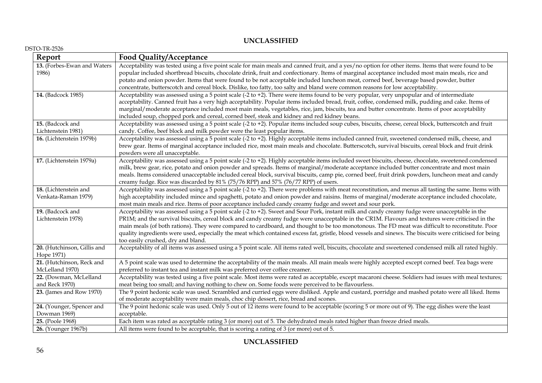| Report                      | <b>Food Quality/Acceptance</b>                                                                                                                                                                 |
|-----------------------------|------------------------------------------------------------------------------------------------------------------------------------------------------------------------------------------------|
| 13. (Forbes-Ewan and Waters | Acceptability was tested using a five point scale for main meals and canned fruit, and a yes/no option for other items. Items that were found to be                                            |
| 1986)                       | popular included shortbread biscuits, chocolate drink, fruit and confectionary. Items of marginal acceptance included most main meals, rice and                                                |
|                             | potato and onion powder. Items that were found to be not acceptable included luncheon meat, corned beef, beverage based powder, butter                                                         |
|                             | concentrate, butterscotch and cereal block. Dislike, too fatty, too salty and bland were common reasons for low acceptability.                                                                 |
| 14. (Badcock 1985)          | Acceptability was assessed using a 5 point scale $(-2 \text{ to } +2)$ . There were items found to be very popular, very unpopular and of intermediate                                         |
|                             | acceptability. Canned fruit has a very high acceptability. Popular items included bread, fruit, coffee, condensed milk, pudding and cake. Items of                                             |
|                             | marginal/moderate acceptance included most main meals, vegetables, rice, jam, biscuits, tea and butter concentrate. Items of poor acceptability                                                |
|                             | included soup, chopped pork and cereal, corned beef, steak and kidney and red kidney beans.                                                                                                    |
| 15. (Badcock and            | Acceptability was assessed using a 5 point scale (-2 to +2). Popular items included soup cubes, biscuits, cheese, cereal block, butterscotch and fruit                                         |
| Lichtenstein 1981)          | candy. Coffee, beef block and milk powder were the least popular items.                                                                                                                        |
| 16. (Lichtenstein 1979b)    | Acceptability was assessed using a 5 point scale (-2 to +2). Highly acceptable items included canned fruit, sweetened condensed milk, cheese, and                                              |
|                             | brew gear. Items of marginal acceptance included rice, most main meals and chocolate. Butterscotch, survival biscuits, cereal block and fruit drink                                            |
|                             | powders were all unacceptable.                                                                                                                                                                 |
| 17. (Lichtenstein 1979a)    | Acceptability was assessed using a 5 point scale (-2 to +2). Highly acceptable items included sweet biscuits, cheese, chocolate, sweetened condensed                                           |
|                             | milk, brew gear, rice, potato and onion powder and spreads. Items of marginal/moderate acceptance included butter concentrate and most main                                                    |
|                             | meals. Items considered unacceptable included cereal block, survival biscuits, camp pie, corned beef, fruit drink powders, luncheon meat and candy                                             |
|                             | creamy fudge. Rice was discarded by 81% (75/76 RPP) and 57% (76/77 RPP) of users.                                                                                                              |
| 18. (Lichtenstein and       | Acceptability was assessed using a 5 point scale (-2 to +2). There were problems with meat reconstitution, and menus all tasting the same. Items with                                          |
| Venkata-Raman 1979)         | high acceptability included mince and spaghetti, potato and onion powder and raisins. Items of marginal/moderate acceptance included chocolate,                                                |
|                             | most main meals and rice. Items of poor acceptance included candy creamy fudge and sweet and sour pork.                                                                                        |
| 19. (Badcock and            | Acceptability was assessed using a 5 point scale (-2 to +2). Sweet and Sour Pork, instant milk and candy creamy fudge were unacceptable in the                                                 |
| Lichtenstein 1978)          | PR1M; and the survival biscuits, cereal block and candy creamy fudge were unacceptable in the CR1M. Flavours and textures were criticised in the                                               |
|                             | main meals (of both rations). They were compared to cardboard, and thought to be too monotonous. The FD meat was difficult to reconstitute. Poor                                               |
|                             | quality ingredients were used, especially the meat which contained excess fat, gristle, blood vessels and sinews. The biscuits were criticised for being<br>too easily crushed, dry and bland. |
| 20. (Hutchinson, Gillis and | Acceptability of all items was assessed using a 5 point scale. All items rated well, biscuits, chocolate and sweetened condensed milk all rated highly.                                        |
| Hope 1971)                  |                                                                                                                                                                                                |
| 21. (Hutchinson, Reck and   | A 5 point scale was used to determine the acceptability of the main meals. All main meals were highly accepted except corned beef. Tea bags were                                               |
| McLelland 1970)             | preferred to instant tea and instant milk was preferred over coffee creamer.                                                                                                                   |
| 22. (Dowman, McLelland      | Acceptability was tested using a five point scale. Most items were rated as acceptable, except macaroni cheese. Soldiers had issues with meal textures;                                        |
| and Reck 1970)              | meat being too small; and having nothing to chew on. Some foods were perceived to be flavourless.                                                                                              |
| 23. (James and Row 1970)    | The 9 point hedonic scale was used. Scrambled and curried eggs were disliked. Apple and custard, porridge and mashed potato were all liked. Items                                              |
|                             | of moderate acceptability were main meals, choc chip dessert, rice, bread and scones.                                                                                                          |
| 24. (Younger, Spencer and   | The 9 point hedonic scale was used. Only 5 out of 12 items were found to be acceptable (scoring 5 or more out of 9). The egg dishes were the least                                             |
| Dowman 1969)                | acceptable.                                                                                                                                                                                    |
| 25. (Poole 1968)            | Each item was rated as acceptable rating 3 (or more) out of 5. The dehydrated meals rated higher than freeze dried meals.                                                                      |
| 26. (Younger 1967b)         | All items were found to be acceptable, that is scoring a rating of 3 (or more) out of 5.                                                                                                       |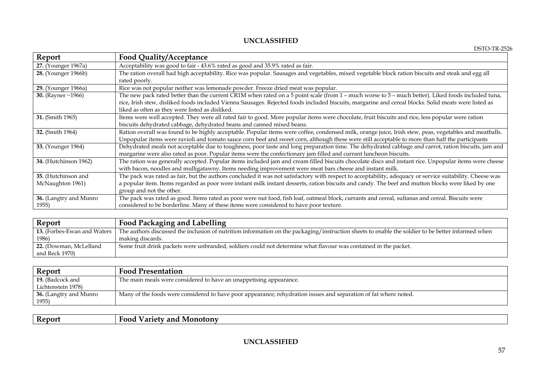|                                 | DSTO-TR-2526                                                                                                                                                                                                                                                                                                                                                  |
|---------------------------------|---------------------------------------------------------------------------------------------------------------------------------------------------------------------------------------------------------------------------------------------------------------------------------------------------------------------------------------------------------------|
| Report                          | <b>Food Quality/Acceptance</b>                                                                                                                                                                                                                                                                                                                                |
| <b>27.</b> (Younger 1967a)      | Acceptability was good to fair - 43.6% rated as good and 35.9% rated as fair.                                                                                                                                                                                                                                                                                 |
| <b>28.</b> (Younger 1966b)      | The ration overall had high acceptability. Rice was popular. Sausages and vegetables, mixed vegetable block ration biscuits and steak and egg all<br>rated poorly.                                                                                                                                                                                            |
| 29. (Younger 1966a)             | Rice was not popular neither was lemonade powder. Freeze dried meat was popular.                                                                                                                                                                                                                                                                              |
| <b>30.</b> (Rayner $\sim$ 1966) | The new pack rated better than the current CR1M when rated on a 5 point scale (from 1 - much worse to 5 - much better). Liked foods included tuna,<br>rice, Irish stew, disliked foods included Vienna Sausages. Rejected foods included biscuits, margarine and cereal blocks. Solid meats were listed as<br>liked as often as they were listed as disliked. |
| <b>31.</b> (Smith 1965)         | Items were well accepted. They were all rated fair to good. More popular items were chocolate, fruit biscuits and rice, less popular were ration<br>biscuits dehydrated cabbage, dehydrated beans and canned mixed beans.                                                                                                                                     |
| 32. (Smith 1964)                | Ration overall was found to be highly acceptable. Popular items were coffee, condensed milk, orange juice, Irish stew, peas, vegetables and meatballs.<br>Unpopular items were ravioli and tomato sauce corn beef and sweet corn, although these were still acceptable to more than half the participants                                                     |
| <b>33.</b> (Younger 1964)       | Dehydrated meals not acceptable due to toughness, poor taste and long preparation time. The dehydrated cabbage and carrot, ration biscuits, jam and<br>margarine were also rated as poor. Popular items were the confectionary jam filled and currant luncheon biscuits.                                                                                      |
| 34. (Hutchinson 1962)           | The ration was generally accepted. Popular items included jam and cream filled biscuits chocolate discs and instant rice. Unpopular items were cheese<br>with bacon, noodles and mulligatawny. Items needing improvement were meat bars cheese and instant milk.                                                                                              |
| 35. (Hutchinson and             | The pack was rated as fair, but the authors concluded it was not satisfactory with respect to acceptability, adequacy or service suitability. Cheese was                                                                                                                                                                                                      |
| McNaughton 1961)                | a popular item. Items regarded as poor were instant milk instant desserts, ration biscuits and candy. The beef and mutton blocks were liked by one                                                                                                                                                                                                            |
|                                 | group and not the other.                                                                                                                                                                                                                                                                                                                                      |
| 36. (Langtry and Munro          | The pack was rated as good. Items rated as poor were nut food, fish loaf, oatmeal block, currants and cereal, sultanas and cereal. Biscuits were                                                                                                                                                                                                              |
| 1955)                           | considered to be borderline. Many of these items were considered to have poor texture.                                                                                                                                                                                                                                                                        |

| Report                      | <b>Food Packaging and Labelling</b>                                                                                                               |
|-----------------------------|---------------------------------------------------------------------------------------------------------------------------------------------------|
| 13. (Forbes-Ewan and Waters | The authors discussed the inclusion of nutrition information on the packaging/instruction sheets to enable the soldier to be better informed when |
| 1986)                       | making discards.                                                                                                                                  |
| 22. (Dowman, McLelland      | Some fruit drink packets were unbranded, soldiers could not determine what flavour was contained in the packet.                                   |
| and Reck 1970)              |                                                                                                                                                   |

| Report                  | <b>Food Presentation</b>                                                                                         |
|-------------------------|------------------------------------------------------------------------------------------------------------------|
| <b>19.</b> (Badcock and | The main meals were considered to have an unappetising appearance.                                               |
| Lichtenstein 1978)      |                                                                                                                  |
| 36. (Langtry and Munro  | Many of the foods were considered to have poor appearance; rehydration issues and separation of fat where noted. |
| 1955)                   |                                                                                                                  |

| Report | Monotony<br>Food<br>and<br>V ariety |
|--------|-------------------------------------|
|        |                                     |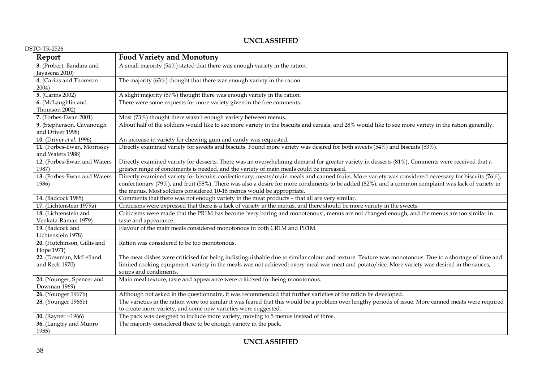| Report                      | <b>Food Variety and Monotony</b>                                                                                                                       |
|-----------------------------|--------------------------------------------------------------------------------------------------------------------------------------------------------|
| 3. (Probert, Bandara and    | A small majority (54%) stated that there was enough variety in the ration.                                                                             |
| Jayasena 2010)              |                                                                                                                                                        |
| 4. (Carins and Thomson      | The majority (63%) thought that there was enough variety in the ration.                                                                                |
| 2004)                       |                                                                                                                                                        |
| 5. (Carins 2002)            | A slight majority (57%) thought there was enough variety in the ration.                                                                                |
| 6. (McLaughlin and          | There were some requests for more variety given in the free comments.                                                                                  |
| Thomson 2002)               |                                                                                                                                                        |
| 7. (Forbes-Ewan 2001)       | Most (73%) thought there wasn't enough variety between menus.                                                                                          |
| 9. (Stephenson, Cavanough   | About half of the soldiers would like to see more variety in the biscuits and cereals, and 28% would like to see more variety in the ration generally. |
| and Driver 1998)            |                                                                                                                                                        |
| 10. (Driver et al. 1996)    | An increase in variety for chewing gum and candy was requested.                                                                                        |
| 11. (Forbes-Ewan, Morrissey | Directly examined variety for sweets and biscuits. Found more variety was desired for both sweets (54%) and biscuits (53%).                            |
| and Waters 1988)            |                                                                                                                                                        |
| 12. (Forbes-Ewan and Waters | Directly examined variety for desserts. There was an overwhelming demand for greater variety in desserts (81%). Comments were received that a          |
| 1987)                       | greater range of condiments is needed, and the variety of main meals could be increased.                                                               |
| 13. (Forbes-Ewan and Waters | Directly examined variety for biscuits, confectionary, meats/main meals and canned fruits. More variety was considered necessary for biscuits (76%),   |
| 1986)                       | confectionary (79%), and fruit (58%). There was also a desire for more condiments to be added (82%), and a common complaint was lack of variety in     |
|                             | the menus. Most soldiers considered 10-15 menus would be appropriate.                                                                                  |
| 14. (Badcock 1985)          | Comments that there was not enough variety in the meat products - that all are very similar.                                                           |
| 17. (Lichtenstein 1979a)    | Criticisms were expressed that there is a lack of variety in the menus, and there should be more variety in the sweets.                                |
| 18. (Lichtenstein and       | Criticisms were made that the PR1M has become 'very boring and monotonous', menus are not changed enough, and the menus are too similar in             |
| Venkata-Raman 1979)         | taste and appearance.                                                                                                                                  |
| 19. (Badcock and            | Flavour of the main meals considered monotonous in both CR1M and PR1M.                                                                                 |
| Lichtenstein 1978)          |                                                                                                                                                        |
| 20. (Hutchinson, Gillis and | Ration was considered to be too monotonous.                                                                                                            |
| Hope 1971)                  |                                                                                                                                                        |
| 22. (Dowman, McLelland      | The meat dishes were criticised for being indistinguishable due to similar colour and texture. Texture was monotonous. Due to a shortage of time and   |
| and Reck 1970)              | limited cooking equipment, variety in the meals was not achieved; every meal was meat and potato/rice. More variety was desired in the sauces,         |
|                             | soups and condiments.                                                                                                                                  |
| 24. (Younger, Spencer and   | Main meal texture, taste and appearance were criticised for being monotonous.                                                                          |
| Dowman 1969)                |                                                                                                                                                        |
| 26. (Younger 1967b)         | Although not asked in the questionnaire, it was recommended that further varieties of the ration be developed.                                         |
| 28. (Younger 1966b)         | The varieties in the ration were too similar it was feared that this would be a problem over lengthy periods of issue. More canned meats were required |
|                             | to create more variety, and some new varieties were suggested.                                                                                         |
| 30. (Rayner ~1966)          | The pack was designed to include more variety, moving to 5 menus instead of three.                                                                     |
| 36. (Langtry and Munro      | The majority considered there to be enough variety in the pack.                                                                                        |
| 1955                        |                                                                                                                                                        |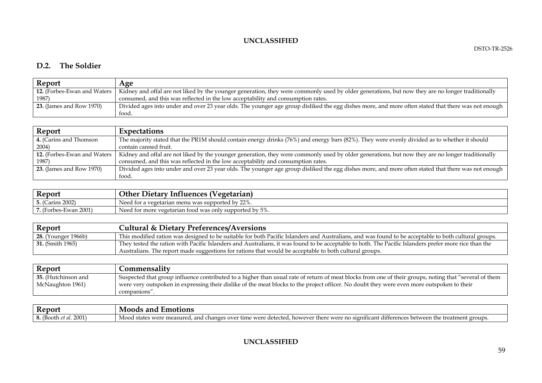## **D.2. The Soldier**

| Report                             | Age                                                                                                                                                |
|------------------------------------|----------------------------------------------------------------------------------------------------------------------------------------------------|
| <b>12.</b> (Forbes-Ewan and Waters | Kidney and offal are not liked by the younger generation, they were commonly used by older generations, but now they are no longer traditionally   |
| 1987)                              | consumed, and this was reflected in the low acceptability and consumption rates.                                                                   |
| <b>23.</b> (James and Row 1970)    | Divided ages into under and over 23 year olds. The younger age group disliked the egg dishes more, and more often stated that there was not enough |
|                                    | food.                                                                                                                                              |

| <b>Report</b>                      | Expectations                                                                                                                                       |
|------------------------------------|----------------------------------------------------------------------------------------------------------------------------------------------------|
| 4. (Carins and Thomson             | The majority stated that the PR1M should contain energy drinks (76%) and energy bars (82%). They were evenly divided as to whether it should       |
| 2004)                              | contain canned fruit.                                                                                                                              |
| <b>12.</b> (Forbes-Ewan and Waters | Kidney and offal are not liked by the younger generation, they were commonly used by older generations, but now they are no longer traditionally   |
| 1987)                              | consumed, and this was reflected in the low acceptability and consumption rates.                                                                   |
| <b>23.</b> (James and Row 1970)    | Divided ages into under and over 23 year olds. The younger age group disliked the egg dishes more, and more often stated that there was not enough |
|                                    | food.                                                                                                                                              |

| ≖<br>Report                | Other<br>Dietary<br>'egetarian.<br>Influences                                               |
|----------------------------|---------------------------------------------------------------------------------------------|
| Carins 2002)<br>$\sqrt{ }$ | 220<br>Need for a<br>a vegetarian menu was supported by .<br>$\angle$ $\angle$ $\sqrt{0}$ . |
| 7. (Forbes-Ewan 2001)      | $ \circ$<br>I Need for more vegetarian food was only suppor<br>orted by 5%.                 |

| Report              | <b>Cultural &amp; Dietary Preferences/Aversions</b>                                                                                                   |
|---------------------|-------------------------------------------------------------------------------------------------------------------------------------------------------|
| 28. (Younger 1966b) | This modified ration was designed to be suitable for both Pacific Islanders and Australians, and was found to be acceptable to both cultural groups.  |
| $31.$ (Smith 1965)  | They tested the ration with Pacific Islanders and Australians, it was found to be acceptable to both. The Pacific Islanders prefer more rice than the |
|                     | Australians. The report made suggestions for rations that would be acceptable to both cultural groups.                                                |

| Report              | Commensality                                                                                                                                           |
|---------------------|--------------------------------------------------------------------------------------------------------------------------------------------------------|
| 35. (Hutchinson and | Suspected that group influence contributed to a higher than usual rate of return of meat blocks from one of their groups, noting that "several of them |
| McNaughton 1961)    | were very outspoken in expressing their dislike of the meat blocks to the project officer. No doubt they were even more outspoken to their             |
|                     | companions"                                                                                                                                            |

<span id="page-65-0"></span>

| Kepor'                    | Emotions<br>Moods<br>anu                                                                                                                                                                                                                                 |
|---------------------------|----------------------------------------------------------------------------------------------------------------------------------------------------------------------------------------------------------------------------------------------------------|
| 2001<br>8. (Booth<br>. и. | $\mathbf{1}$ . $\mathbf{1}$ .<br>-anc<br>detected<br>the.<br>were<br>over<br>. however<br>asureo.<br>. differenc⁄<br>significant ا<br>hetween<br>tım<br>∘ treatment groups.<br>` were no<br>were mea<br>. chanc<br>state<br>- there<br>$\sim$ 100 $\sim$ |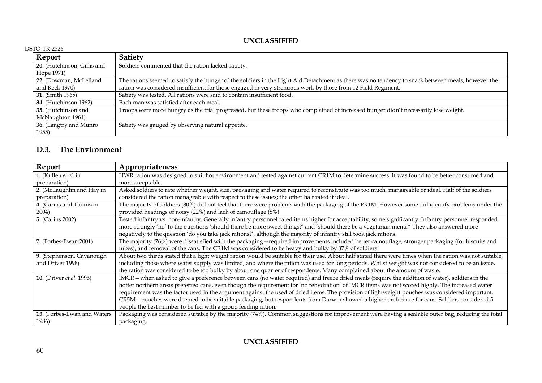#### DSTO-TR-2526

| Report                       | <b>Satiety</b>                                                                                                                                    |
|------------------------------|---------------------------------------------------------------------------------------------------------------------------------------------------|
| 20. (Hutchinson, Gillis and  | Soldiers commented that the ration lacked satiety.                                                                                                |
| Hope 1971)                   |                                                                                                                                                   |
| 22. (Dowman, McLelland       | The rations seemed to satisfy the hunger of the soldiers in the Light Aid Detachment as there was no tendency to snack between meals, however the |
| and Reck 1970)               | ration was considered insufficient for those engaged in very strenuous work by those from 12 Field Regiment.                                      |
| <b>31.</b> (Smith 1965)      | Satiety was tested. All rations were said to contain insufficient food.                                                                           |
| <b>34.</b> (Hutchinson 1962) | Each man was satisfied after each meal.                                                                                                           |
| <b>35.</b> (Hutchinson and   | Troops were more hungry as the trial progressed, but these troops who complained of increased hunger didn't necessarily lose weight.              |
| McNaughton 1961)             |                                                                                                                                                   |
| 36. (Langtry and Munro       | Satiety was gauged by observing natural appetite.                                                                                                 |
| 1955)                        |                                                                                                                                                   |

## **D.3. The Environment**

<span id="page-66-0"></span>

| Report                          | Appropriateness                                                                                                                                          |
|---------------------------------|----------------------------------------------------------------------------------------------------------------------------------------------------------|
| 1. (Kullen <i>et al.</i> in     | HWR ration was designed to suit hot environment and tested against current CR1M to determine success. It was found to be better consumed and             |
| preparation)                    | more acceptable.                                                                                                                                         |
| 2. (McLaughlin and Hay in       | Asked soldiers to rate whether weight, size, packaging and water required to reconstitute was too much, manageable or ideal. Half of the soldiers        |
| preparation)                    | considered the ration manageable with respect to these issues; the other half rated it ideal.                                                            |
| 4. (Carins and Thomson          | The majority of soldiers (80%) did not feel that there were problems with the packaging of the PR1M. However some did identify problems under the        |
| 2004)                           | provided headings of noisy (22%) and lack of camouflage (8%).                                                                                            |
| <b>5.</b> (Carins 2002)         | Tested infantry vs. non-infantry. Generally infantry personnel rated items higher for acceptability, some significantly. Infantry personnel responded    |
|                                 | more strongly 'no' to the questions 'should there be more sweet things?' and 'should there be a vegetarian menu?' They also answered more                |
|                                 | negatively to the question 'do you take jack rations?', although the majority of infantry still took jack rations.                                       |
| 7. (Forbes-Ewan 2001)           | The majority (76%) were dissatisfied with the packaging-required improvements included better camouflage, stronger packaging (for biscuits and           |
|                                 | tubes), and removal of the cans. The CR1M was considered to be heavy and bulky by 87% of soldiers.                                                       |
| 9. (Stephenson, Cavanough       | About two thirds stated that a light weight ration would be suitable for their use. About half stated there were times when the ration was not suitable, |
| and Driver 1998)                | including those where water supply was limited, and where the ration was used for long periods. Whilst weight was not considered to be an issue,         |
|                                 | the ration was considered to be too bulky by about one quarter of respondents. Many complained about the amount of waste.                                |
| <b>10.</b> (Driver et al. 1996) | IMCR-when asked to give a preference between cans (no water required) and freeze dried meals (require the addition of water), soldiers in the            |
|                                 | hotter northern areas preferred cans, even though the requirement for 'no rehydration' of IMCR items was not scored highly. The increased water          |
|                                 | requirement was the factor used in the argument against the used of dried items. The provision of lightweight pouches was considered important.          |
|                                 | CR5M - pouches were deemed to be suitable packaging, but respondents from Darwin showed a higher preference for cans. Soldiers considered 5              |
|                                 | people the best number to be fed with a group feeding ration.                                                                                            |
| 13. (Forbes-Ewan and Waters     | Packaging was considered suitable by the majority (74%). Common suggestions for improvement were having a sealable outer bag, reducing the total         |
| 1986)                           | packaging.                                                                                                                                               |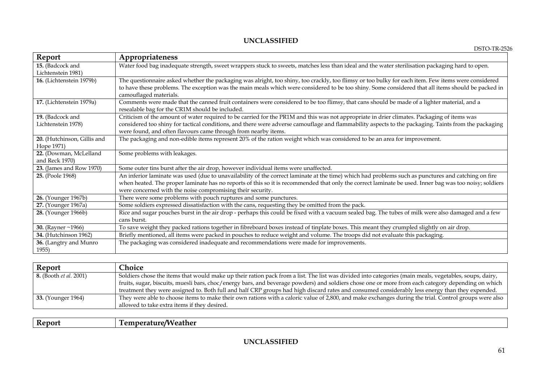| Report                                    | Appropriateness                                                                                                                                                                                                                                                                                                                                                             |
|-------------------------------------------|-----------------------------------------------------------------------------------------------------------------------------------------------------------------------------------------------------------------------------------------------------------------------------------------------------------------------------------------------------------------------------|
| 15. (Badcock and<br>Lichtenstein 1981)    | Water food bag inadequate strength, sweet wrappers stuck to sweets, matches less than ideal and the water sterilisation packaging hard to open.                                                                                                                                                                                                                             |
| 16. (Lichtenstein 1979b)                  | The questionnaire asked whether the packaging was alright, too shiny, too crackly, too flimsy or too bulky for each item. Few items were considered<br>to have these problems. The exception was the main meals which were considered to be too shiny. Some considered that all items should be packed in<br>camouflaged materials.                                         |
| 17. (Lichtenstein 1979a)                  | Comments were made that the canned fruit containers were considered to be too flimsy, that cans should be made of a lighter material, and a<br>resealable bag for the CR1M should be included.                                                                                                                                                                              |
| 19. (Badcock and<br>Lichtenstein 1978)    | Criticism of the amount of water required to be carried for the PR1M and this was not appropriate in drier climates. Packaging of items was<br>considered too shiny for tactical conditions, and there were adverse camouflage and flammability aspects to the packaging. Taints from the packaging<br>were found, and often flavours came through from nearby items.       |
| 20. (Hutchinson, Gillis and<br>Hope 1971) | The packaging and non-edible items represent 20% of the ration weight which was considered to be an area for improvement.                                                                                                                                                                                                                                                   |
| 22. (Dowman, McLelland<br>and Reck 1970)  | Some problems with leakages.                                                                                                                                                                                                                                                                                                                                                |
| 23. (James and Row 1970)                  | Some outer tins burst after the air drop, however individual items were unaffected.                                                                                                                                                                                                                                                                                         |
| 25. (Poole 1968)                          | An inferior laminate was used (due to unavailability of the correct laminate at the time) which had problems such as punctures and catching on fire<br>when heated. The proper laminate has no reports of this so it is recommended that only the correct laminate be used. Inner bag was too noisy; soldiers<br>were concerned with the noise compromising their security. |
| 26. (Younger 1967b)                       | There were some problems with pouch ruptures and some punctures.                                                                                                                                                                                                                                                                                                            |
| 27. (Younger 1967a)                       | Some soldiers expressed dissatisfaction with the cans, requesting they be omitted from the pack.                                                                                                                                                                                                                                                                            |
| 28. (Younger 1966b)                       | Rice and sugar pouches burst in the air drop - perhaps this could be fixed with a vacuum sealed bag. The tubes of milk were also damaged and a few<br>cans burst.                                                                                                                                                                                                           |
| 30. (Rayner $~1966$ )                     | To save weight they packed rations together in fibreboard boxes instead of tinplate boxes. This meant they crumpled slightly on air drop.                                                                                                                                                                                                                                   |
| 34. (Hutchinson 1962)                     | Briefly mentioned, all items were packed in pouches to reduce weight and volume. The troops did not evaluate this packaging.                                                                                                                                                                                                                                                |
| 36. (Langtry and Munro<br>1955)           | The packaging was considered inadequate and recommendations were made for improvements.                                                                                                                                                                                                                                                                                     |

| Report                               | Choice                                                                                                                                                 |
|--------------------------------------|--------------------------------------------------------------------------------------------------------------------------------------------------------|
| <b>8.</b> (Booth <i>et al.</i> 2001) | Soldiers chose the items that would make up their ration pack from a list. The list was divided into categories (main meals, vegetables, soups, dairy, |
|                                      | fruits, sugar, biscuits, muesli bars, choc/energy bars, and beverage powders) and soldiers chose one or more from each category depending on which     |
|                                      | treatment they were assigned to. Both full and half CRP groups had high discard rates and consumed considerably less energy than they expended.        |
| <b>33.</b> (Younger 1964)            | They were able to choose items to make their own rations with a caloric value of 2,800, and make exchanges during the trial. Control groups were also  |
|                                      | allowed to take extra items if they desired.                                                                                                           |

| -ather -<br><b>RED</b><br>◡ |
|-----------------------------|
|-----------------------------|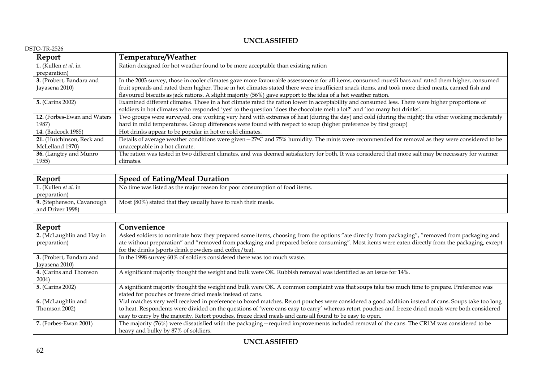| Report                      | Temperature/Weather                                                                                                                                 |
|-----------------------------|-----------------------------------------------------------------------------------------------------------------------------------------------------|
| 1. (Kullen et al. in        | Ration designed for hot weather found to be more acceptable than existing ration                                                                    |
| preparation)                |                                                                                                                                                     |
| 3. (Probert, Bandara and    | In the 2003 survey, those in cooler climates gave more favourable assessments for all items, consumed muesli bars and rated them higher, consumed   |
| Jayasena 2010)              | fruit spreads and rated them higher. Those in hot climates stated there were insufficient snack items, and took more dried meats, canned fish and   |
|                             | flavoured biscuits as jack rations. A slight majority (56%) gave support to the idea of a hot weather ration.                                       |
| <b>5.</b> (Carins 2002)     | Examined different climates. Those in a hot climate rated the ration lower in acceptability and consumed less. There were higher proportions of     |
|                             | soldiers in hot climates who responded 'yes' to the question 'does the chocolate melt a lot?' and 'too many hot drinks'.                            |
| 12. (Forbes-Ewan and Waters | Two groups were surveyed, one working very hard with extremes of heat (during the day) and cold (during the night); the other working moderately    |
| 1987)                       | hard in mild temperatures. Group differences were found with respect to soup (higher preference by first group)                                     |
| <b>14.</b> (Badcock 1985)   | Hot drinks appear to be popular in hot or cold climates.                                                                                            |
| 21. (Hutchinson, Reck and   | Details of average weather conditions were given - 27°C and 75% humidity. The mints were recommended for removal as they were considered to be      |
| McLelland 1970)             | unacceptable in a hot climate.                                                                                                                      |
| 36. (Langtry and Munro      | The ration was tested in two different climates, and was deemed satisfactory for both. It was considered that more salt may be necessary for warmer |
| 1955)                       | climates.                                                                                                                                           |

| Report                             | <b>Speed of Eating/Meal Duration</b>                                       |
|------------------------------------|----------------------------------------------------------------------------|
| <b>1.</b> (Kullen <i>et al.</i> in | No time was listed as the major reason for poor consumption of food items. |
| preparation)                       |                                                                            |
| 9. (Stephenson, Cavanough          | Most (80%) stated that they usually have to rush their meals.              |
| and Driver 1998)                   |                                                                            |

| Report                    | Convenience                                                                                                                                         |
|---------------------------|-----------------------------------------------------------------------------------------------------------------------------------------------------|
| 2. (McLaughlin and Hay in | Asked soldiers to nominate how they prepared some items, choosing from the options "ate directly from packaging", "removed from packaging and       |
| preparation)              | ate without preparation" and "removed from packaging and prepared before consuming". Most items were eaten directly from the packaging, except      |
|                           | for the drinks (sports drink powders and coffee/tea).                                                                                               |
| 3. (Probert, Bandara and  | In the 1998 survey 60% of soldiers considered there was too much waste.                                                                             |
| Jayasena 2010)            |                                                                                                                                                     |
| 4. (Carins and Thomson    | A significant majority thought the weight and bulk were OK. Rubbish removal was identified as an issue for 14%.                                     |
| 2004)                     |                                                                                                                                                     |
| 5. (Carins 2002)          | A significant majority thought the weight and bulk were OK. A common complaint was that soups take too much time to prepare. Preference was         |
|                           | stated for pouches or freeze dried meals instead of cans.                                                                                           |
| 6. (McLaughlin and        | Vial matches very well received in preference to boxed matches. Retort pouches were considered a good addition instead of cans. Soups take too long |
| Thomson 2002)             | to heat. Respondents were divided on the questions of 'were cans easy to carry' whereas retort pouches and freeze dried meals were both considered  |
|                           | easy to carry by the majority. Retort pouches, freeze dried meals and cans all found to be easy to open.                                            |
| 7. (Forbes-Ewan 2001)     | The majority (76%) were dissatisfied with the packaging-required improvements included removal of the cans. The CR1M was considered to be           |
|                           | heavy and bulky by 87% of soldiers.                                                                                                                 |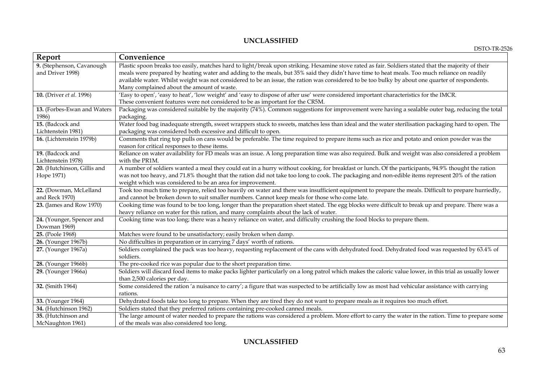| Report                      | Convenience                                                                                                                                                                                    |
|-----------------------------|------------------------------------------------------------------------------------------------------------------------------------------------------------------------------------------------|
| 9. (Stephenson, Cavanough   | Plastic spoon breaks too easily, matches hard to light/break upon striking. Hexamine stove rated as fair. Soldiers stated that the majority of their                                           |
| and Driver 1998)            | meals were prepared by heating water and adding to the meals, but 35% said they didn't have time to heat meals. Too much reliance on readily                                                   |
|                             | available water. Whilst weight was not considered to be an issue, the ration was considered to be too bulky by about one quarter of respondents.                                               |
|                             | Many complained about the amount of waste.                                                                                                                                                     |
| 10. (Driver et al. 1996)    | 'Easy to open', 'easy to heat', 'low weight' and 'easy to dispose of after use' were considered important characteristics for the IMCR.                                                        |
|                             | These convenient features were not considered to be as important for the CR5M.                                                                                                                 |
| 13. (Forbes-Ewan and Waters | Packaging was considered suitable by the majority (74%). Common suggestions for improvement were having a sealable outer bag, reducing the total                                               |
| 1986)                       | packaging.                                                                                                                                                                                     |
| 15. (Badcock and            | Water food bag inadequate strength, sweet wrappers stuck to sweets, matches less than ideal and the water sterilisation packaging hard to open. The                                            |
| Lichtenstein 1981)          | packaging was considered both excessive and difficult to open.                                                                                                                                 |
| 16. (Lichtenstein 1979b)    | Comments that ring top pulls on cans would be preferable. The time required to prepare items such as rice and potato and onion powder was the<br>reason for critical responses to these items. |
| 19. (Badcock and            | Reliance on water availability for FD meals was an issue. A long preparation time was also required. Bulk and weight was also considered a problem                                             |
| Lichtenstein 1978)          | with the PR1M.                                                                                                                                                                                 |
| 20. (Hutchinson, Gillis and | A number of soldiers wanted a meal they could eat in a hurry without cooking, for breakfast or lunch. Of the participants, 94.9% thought the ration                                            |
| Hope 1971)                  | was not too heavy, and 71.8% thought that the ration did not take too long to cook. The packaging and non-edible items represent 20% of the ration                                             |
|                             | weight which was considered to be an area for improvement.                                                                                                                                     |
| 22. (Dowman, McLelland      | Took too much time to prepare, relied too heavily on water and there was insufficient equipment to prepare the meals. Difficult to prepare hurriedly,                                          |
| and Reck 1970)              | and cannot be broken down to suit smaller numbers. Cannot keep meals for those who come late.                                                                                                  |
| 23. (James and Row 1970)    | Cooking time was found to be too long, longer than the preparation sheet stated. The egg blocks were difficult to break up and prepare. There was a                                            |
|                             | heavy reliance on water for this ration, and many complaints about the lack of water.                                                                                                          |
| 24. (Younger, Spencer and   | Cooking time was too long; there was a heavy reliance on water, and difficulty crushing the food blocks to prepare them.                                                                       |
| Dowman 1969)                |                                                                                                                                                                                                |
| 25. (Poole 1968)            | Matches were found to be unsatisfactory; easily broken when damp.                                                                                                                              |
| 26. (Younger 1967b)         | No difficulties in preparation or in carrying 7 days' worth of rations.                                                                                                                        |
| 27. (Younger 1967a)         | Soldiers complained the pack was too heavy, requesting replacement of the cans with dehydrated food. Dehydrated food was requested by 63.4% of<br>soldiers.                                    |
| 28. (Younger 1966b)         | The pre-cooked rice was popular due to the short preparation time.                                                                                                                             |
| 29. (Younger 1966a)         | Soldiers will discard food items to make packs lighter particularly on a long patrol which makes the caloric value lower, in this trial as usually lower                                       |
|                             | than 2,500 calories per day.                                                                                                                                                                   |
| 32. (Smith 1964)            | Some considered the ration 'a nuisance to carry'; a figure that was suspected to be artificially low as most had vehicular assistance with carrying                                            |
|                             | rations.                                                                                                                                                                                       |
| 33. (Younger 1964)          | Dehydrated foods take too long to prepare. When they are tired they do not want to prepare meals as it requires too much effort.                                                               |
| 34. (Hutchinson 1962)       | Soldiers stated that they preferred rations containing pre-cooked canned meals.                                                                                                                |
| 35. (Hutchinson and         | The large amount of water needed to prepare the rations was considered a problem. More effort to carry the water in the ration. Time to prepare some                                           |
| McNaughton 1961)            | of the meals was also considered too long.                                                                                                                                                     |